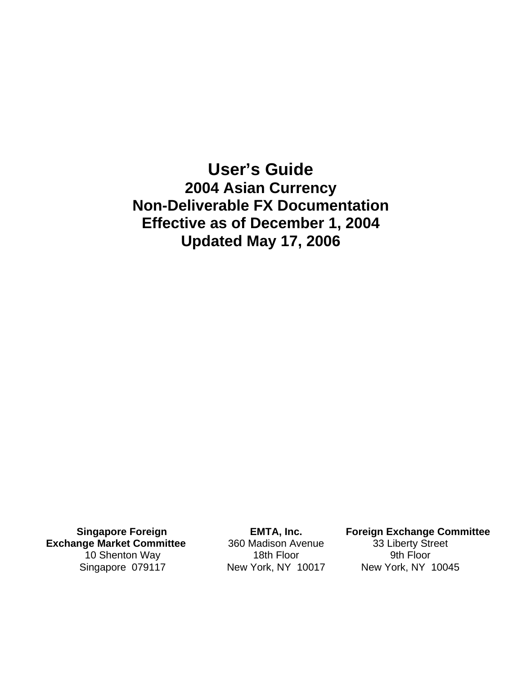**User's Guide 2004 Asian Currency Non-Deliverable FX Documentation Effective as of December 1, 2004 Updated May 17, 2006** 

**Singapore Foreign Exchange Market Committee**  10 Shenton Way Singapore 079117

**EMTA, Inc.**  360 Madison Avenue 18th Floor New York, NY 10017 **Foreign Exchange Committee**  33 Liberty Street 9th Floor New York, NY 10045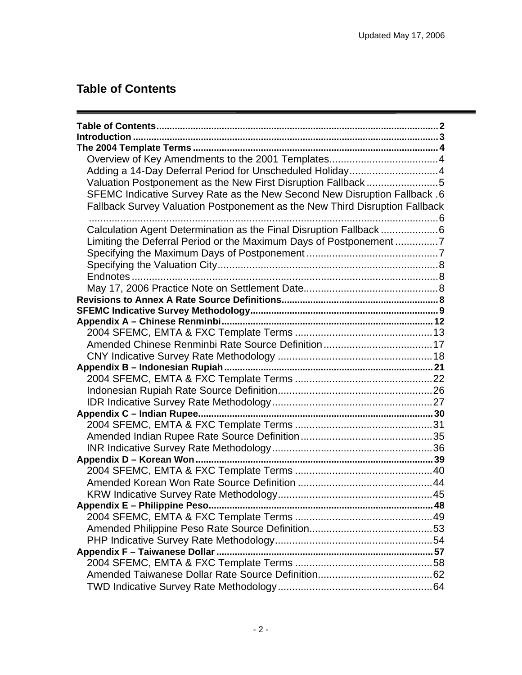# <span id="page-1-0"></span>**Table of Contents**

| Adding a 14-Day Deferral Period for Unscheduled Holiday4                    |
|-----------------------------------------------------------------------------|
| Valuation Postponement as the New First Disruption Fallback 5               |
| SFEMC Indicative Survey Rate as the New Second New Disruption Fallback .6   |
| Fallback Survey Valuation Postponement as the New Third Disruption Fallback |
| Calculation Agent Determination as the Final Disruption Fallback 6          |
| Limiting the Deferral Period or the Maximum Days of Postponement 7          |
|                                                                             |
|                                                                             |
|                                                                             |
|                                                                             |
|                                                                             |
|                                                                             |
|                                                                             |
|                                                                             |
|                                                                             |
|                                                                             |
|                                                                             |
|                                                                             |
|                                                                             |
|                                                                             |
|                                                                             |
|                                                                             |
|                                                                             |
|                                                                             |
|                                                                             |
|                                                                             |
|                                                                             |
|                                                                             |
|                                                                             |
|                                                                             |
|                                                                             |
|                                                                             |
|                                                                             |
|                                                                             |
|                                                                             |
|                                                                             |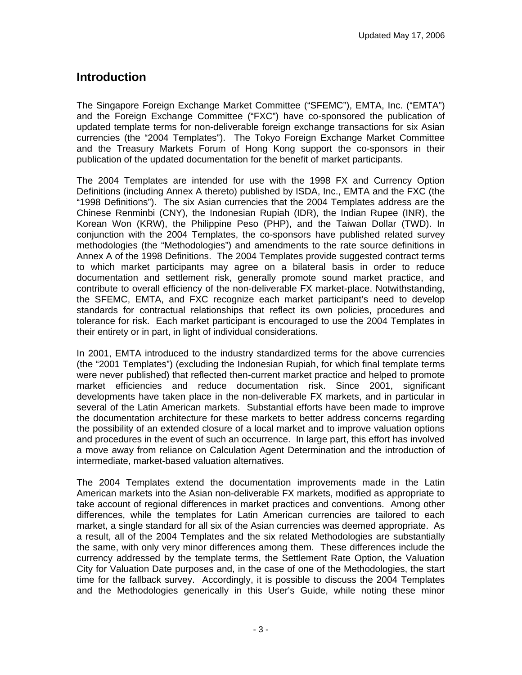# <span id="page-2-0"></span>**Introduction**

The Singapore Foreign Exchange Market Committee ("SFEMC"), EMTA, Inc. ("EMTA") and the Foreign Exchange Committee ("FXC") have co-sponsored the publication of updated template terms for non-deliverable foreign exchange transactions for six Asian currencies (the "2004 Templates"). The Tokyo Foreign Exchange Market Committee and the Treasury Markets Forum of Hong Kong support the co-sponsors in their publication of the updated documentation for the benefit of market participants.

The 2004 Templates are intended for use with the 1998 FX and Currency Option Definitions (including Annex A thereto) published by ISDA, Inc., EMTA and the FXC (the "1998 Definitions"). The six Asian currencies that the 2004 Templates address are the Chinese Renminbi (CNY), the Indonesian Rupiah (IDR), the Indian Rupee (INR), the Korean Won (KRW), the Philippine Peso (PHP), and the Taiwan Dollar (TWD). In conjunction with the 2004 Templates, the co-sponsors have published related survey methodologies (the "Methodologies") and amendments to the rate source definitions in Annex A of the 1998 Definitions. The 2004 Templates provide suggested contract terms to which market participants may agree on a bilateral basis in order to reduce documentation and settlement risk, generally promote sound market practice, and contribute to overall efficiency of the non-deliverable FX market-place. Notwithstanding, the SFEMC, EMTA, and FXC recognize each market participant's need to develop standards for contractual relationships that reflect its own policies, procedures and tolerance for risk. Each market participant is encouraged to use the 2004 Templates in their entirety or in part, in light of individual considerations.

In 2001, EMTA introduced to the industry standardized terms for the above currencies (the "2001 Templates") (excluding the Indonesian Rupiah, for which final template terms were never published) that reflected then-current market practice and helped to promote market efficiencies and reduce documentation risk. Since 2001, significant developments have taken place in the non-deliverable FX markets, and in particular in several of the Latin American markets. Substantial efforts have been made to improve the documentation architecture for these markets to better address concerns regarding the possibility of an extended closure of a local market and to improve valuation options and procedures in the event of such an occurrence. In large part, this effort has involved a move away from reliance on Calculation Agent Determination and the introduction of intermediate, market-based valuation alternatives.

The 2004 Templates extend the documentation improvements made in the Latin American markets into the Asian non-deliverable FX markets, modified as appropriate to take account of regional differences in market practices and conventions. Among other differences, while the templates for Latin American currencies are tailored to each market, a single standard for all six of the Asian currencies was deemed appropriate. As a result, all of the 2004 Templates and the six related Methodologies are substantially the same, with only very minor differences among them. These differences include the currency addressed by the template terms, the Settlement Rate Option, the Valuation City for Valuation Date purposes and, in the case of one of the Methodologies, the start time for the fallback survey. Accordingly, it is possible to discuss the 2004 Templates and the Methodologies generically in this User's Guide, while noting these minor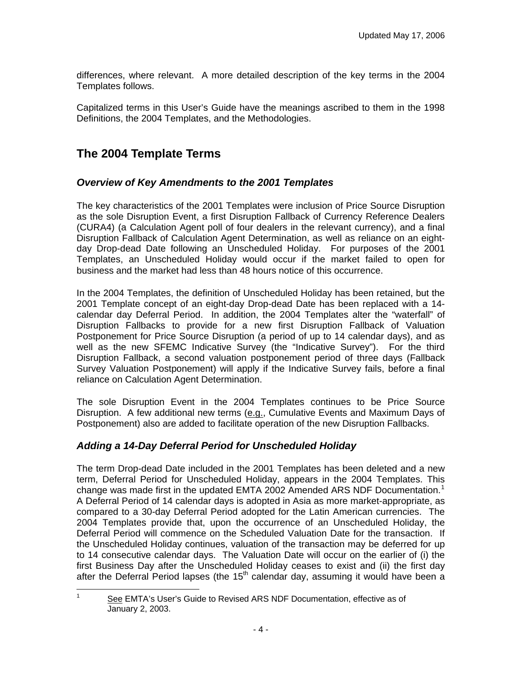<span id="page-3-0"></span>differences, where relevant. A more detailed description of the key terms in the 2004 Templates follows.

Capitalized terms in this User's Guide have the meanings ascribed to them in the 1998 Definitions, the 2004 Templates, and the Methodologies.

# **The 2004 Template Terms**

## *Overview of Key Amendments to the 2001 Templates*

The key characteristics of the 2001 Templates were inclusion of Price Source Disruption as the sole Disruption Event, a first Disruption Fallback of Currency Reference Dealers (CURA4) (a Calculation Agent poll of four dealers in the relevant currency), and a final Disruption Fallback of Calculation Agent Determination, as well as reliance on an eightday Drop-dead Date following an Unscheduled Holiday. For purposes of the 2001 Templates, an Unscheduled Holiday would occur if the market failed to open for business and the market had less than 48 hours notice of this occurrence.

In the 2004 Templates, the definition of Unscheduled Holiday has been retained, but the 2001 Template concept of an eight-day Drop-dead Date has been replaced with a 14 calendar day Deferral Period. In addition, the 2004 Templates alter the "waterfall" of Disruption Fallbacks to provide for a new first Disruption Fallback of Valuation Postponement for Price Source Disruption (a period of up to 14 calendar days), and as well as the new SFEMC Indicative Survey (the "Indicative Survey"). For the third Disruption Fallback, a second valuation postponement period of three days (Fallback Survey Valuation Postponement) will apply if the Indicative Survey fails, before a final reliance on Calculation Agent Determination.

The sole Disruption Event in the 2004 Templates continues to be Price Source Disruption. A few additional new terms (e.g., Cumulative Events and Maximum Days of Postponement) also are added to facilitate operation of the new Disruption Fallbacks.

# *Adding a 14-Day Deferral Period for Unscheduled Holiday*

The term Drop-dead Date included in the 2001 Templates has been deleted and a new term, Deferral Period for Unscheduled Holiday, appears in the 2004 Templates. This change was made first in the updated EMTA 2002 Amended ARS NDF Documentation.<sup>[1](#page-3-1)</sup> A Deferral Period of 14 calendar days is adopted in Asia as more market-appropriate, as compared to a 30-day Deferral Period adopted for the Latin American currencies. The 2004 Templates provide that, upon the occurrence of an Unscheduled Holiday, the Deferral Period will commence on the Scheduled Valuation Date for the transaction. If the Unscheduled Holiday continues, valuation of the transaction may be deferred for up to 14 consecutive calendar days. The Valuation Date will occur on the earlier of (i) the first Business Day after the Unscheduled Holiday ceases to exist and (ii) the first day after the Deferral Period lapses (the 15<sup>th</sup> calendar day, assuming it would have been a

<span id="page-3-1"></span> $\mathbf{1}$ 

See EMTA's User's Guide to Revised ARS NDF Documentation, effective as of January 2, 2003.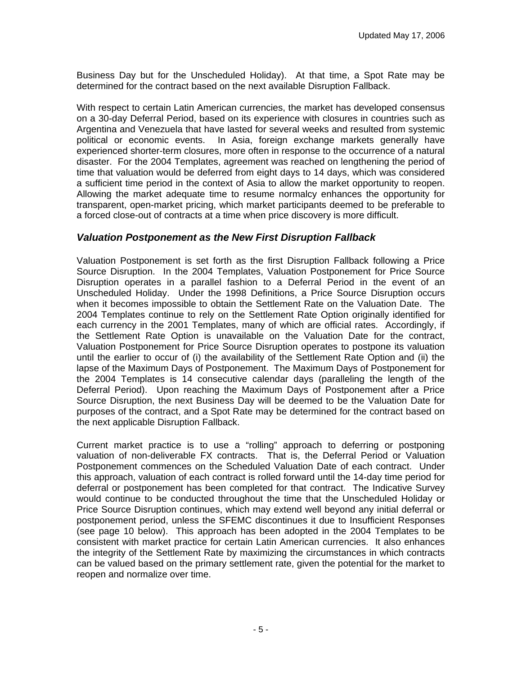<span id="page-4-0"></span>Business Day but for the Unscheduled Holiday). At that time, a Spot Rate may be determined for the contract based on the next available Disruption Fallback.

With respect to certain Latin American currencies, the market has developed consensus on a 30-day Deferral Period, based on its experience with closures in countries such as Argentina and Venezuela that have lasted for several weeks and resulted from systemic political or economic events. In Asia, foreign exchange markets generally have experienced shorter-term closures, more often in response to the occurrence of a natural disaster. For the 2004 Templates, agreement was reached on lengthening the period of time that valuation would be deferred from eight days to 14 days, which was considered a sufficient time period in the context of Asia to allow the market opportunity to reopen. Allowing the market adequate time to resume normalcy enhances the opportunity for transparent, open-market pricing, which market participants deemed to be preferable to a forced close-out of contracts at a time when price discovery is more difficult.

#### *Valuation Postponement as the New First Disruption Fallback*

Valuation Postponement is set forth as the first Disruption Fallback following a Price Source Disruption. In the 2004 Templates, Valuation Postponement for Price Source Disruption operates in a parallel fashion to a Deferral Period in the event of an Unscheduled Holiday. Under the 1998 Definitions, a Price Source Disruption occurs when it becomes impossible to obtain the Settlement Rate on the Valuation Date. The 2004 Templates continue to rely on the Settlement Rate Option originally identified for each currency in the 2001 Templates, many of which are official rates. Accordingly, if the Settlement Rate Option is unavailable on the Valuation Date for the contract, Valuation Postponement for Price Source Disruption operates to postpone its valuation until the earlier to occur of (i) the availability of the Settlement Rate Option and (ii) the lapse of the Maximum Days of Postponement. The Maximum Days of Postponement for the 2004 Templates is 14 consecutive calendar days (paralleling the length of the Deferral Period). Upon reaching the Maximum Days of Postponement after a Price Source Disruption, the next Business Day will be deemed to be the Valuation Date for purposes of the contract, and a Spot Rate may be determined for the contract based on the next applicable Disruption Fallback.

Current market practice is to use a "rolling" approach to deferring or postponing valuation of non-deliverable FX contracts. That is, the Deferral Period or Valuation Postponement commences on the Scheduled Valuation Date of each contract. Under this approach, valuation of each contract is rolled forward until the 14-day time period for deferral or postponement has been completed for that contract. The Indicative Survey would continue to be conducted throughout the time that the Unscheduled Holiday or Price Source Disruption continues, which may extend well beyond any initial deferral or postponement period, unless the SFEMC discontinues it due to Insufficient Responses (see page 10 below). This approach has been adopted in the 2004 Templates to be consistent with market practice for certain Latin American currencies. It also enhances the integrity of the Settlement Rate by maximizing the circumstances in which contracts can be valued based on the primary settlement rate, given the potential for the market to reopen and normalize over time.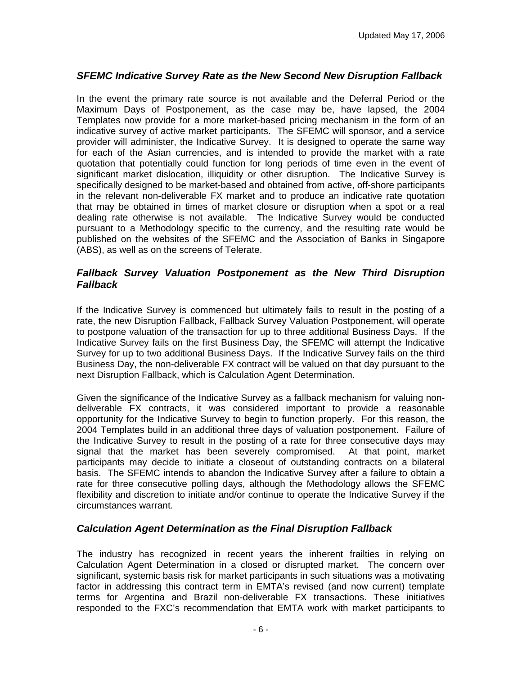# <span id="page-5-0"></span>*SFEMC Indicative Survey Rate as the New Second New Disruption Fallback*

In the event the primary rate source is not available and the Deferral Period or the Maximum Days of Postponement, as the case may be, have lapsed, the 2004 Templates now provide for a more market-based pricing mechanism in the form of an indicative survey of active market participants. The SFEMC will sponsor, and a service provider will administer, the Indicative Survey. It is designed to operate the same way for each of the Asian currencies, and is intended to provide the market with a rate quotation that potentially could function for long periods of time even in the event of significant market dislocation, illiquidity or other disruption. The Indicative Survey is specifically designed to be market-based and obtained from active, off-shore participants in the relevant non-deliverable FX market and to produce an indicative rate quotation that may be obtained in times of market closure or disruption when a spot or a real dealing rate otherwise is not available. The Indicative Survey would be conducted pursuant to a Methodology specific to the currency, and the resulting rate would be published on the websites of the SFEMC and the Association of Banks in Singapore (ABS), as well as on the screens of Telerate.

### *Fallback Survey Valuation Postponement as the New Third Disruption Fallback*

If the Indicative Survey is commenced but ultimately fails to result in the posting of a rate, the new Disruption Fallback, Fallback Survey Valuation Postponement, will operate to postpone valuation of the transaction for up to three additional Business Days. If the Indicative Survey fails on the first Business Day, the SFEMC will attempt the Indicative Survey for up to two additional Business Days. If the Indicative Survey fails on the third Business Day, the non-deliverable FX contract will be valued on that day pursuant to the next Disruption Fallback, which is Calculation Agent Determination.

Given the significance of the Indicative Survey as a fallback mechanism for valuing nondeliverable FX contracts, it was considered important to provide a reasonable opportunity for the Indicative Survey to begin to function properly. For this reason, the 2004 Templates build in an additional three days of valuation postponement. Failure of the Indicative Survey to result in the posting of a rate for three consecutive days may signal that the market has been severely compromised. At that point, market participants may decide to initiate a closeout of outstanding contracts on a bilateral basis. The SFEMC intends to abandon the Indicative Survey after a failure to obtain a rate for three consecutive polling days, although the Methodology allows the SFEMC flexibility and discretion to initiate and/or continue to operate the Indicative Survey if the circumstances warrant.

# *Calculation Agent Determination as the Final Disruption Fallback*

The industry has recognized in recent years the inherent frailties in relying on Calculation Agent Determination in a closed or disrupted market. The concern over significant, systemic basis risk for market participants in such situations was a motivating factor in addressing this contract term in EMTA's revised (and now current) template terms for Argentina and Brazil non-deliverable FX transactions. These initiatives responded to the FXC's recommendation that EMTA work with market participants to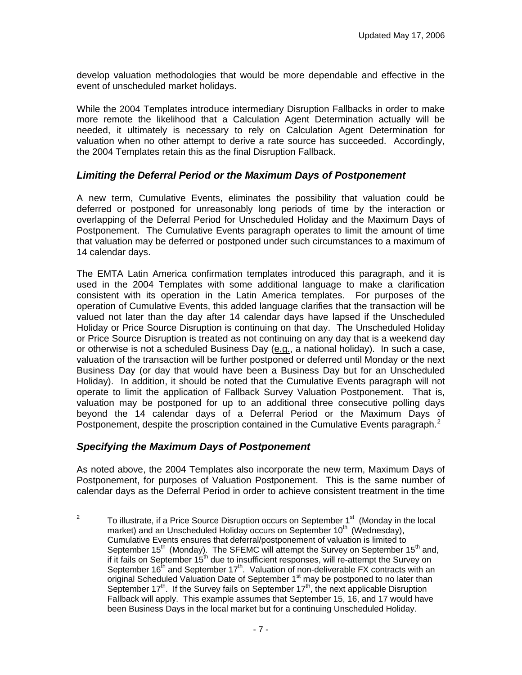<span id="page-6-0"></span>develop valuation methodologies that would be more dependable and effective in the event of unscheduled market holidays.

While the 2004 Templates introduce intermediary Disruption Fallbacks in order to make more remote the likelihood that a Calculation Agent Determination actually will be needed, it ultimately is necessary to rely on Calculation Agent Determination for valuation when no other attempt to derive a rate source has succeeded. Accordingly, the 2004 Templates retain this as the final Disruption Fallback.

# *Limiting the Deferral Period or the Maximum Days of Postponement*

A new term, Cumulative Events, eliminates the possibility that valuation could be deferred or postponed for unreasonably long periods of time by the interaction or overlapping of the Deferral Period for Unscheduled Holiday and the Maximum Days of Postponement. The Cumulative Events paragraph operates to limit the amount of time that valuation may be deferred or postponed under such circumstances to a maximum of 14 calendar days.

The EMTA Latin America confirmation templates introduced this paragraph, and it is used in the 2004 Templates with some additional language to make a clarification consistent with its operation in the Latin America templates. For purposes of the operation of Cumulative Events, this added language clarifies that the transaction will be valued not later than the day after 14 calendar days have lapsed if the Unscheduled Holiday or Price Source Disruption is continuing on that day. The Unscheduled Holiday or Price Source Disruption is treated as not continuing on any day that is a weekend day or otherwise is not a scheduled Business Day  $(e.g., a$  national holiday). In such a case, valuation of the transaction will be further postponed or deferred until Monday or the next Business Day (or day that would have been a Business Day but for an Unscheduled Holiday). In addition, it should be noted that the Cumulative Events paragraph will not operate to limit the application of Fallback Survey Valuation Postponement. That is, valuation may be postponed for up to an additional three consecutive polling days beyond the 14 calendar days of a Deferral Period or the Maximum Days of Postponement, despite the proscription contained in the Cumulative Events paragraph. $2$ 

# *Specifying the Maximum Days of Postponement*

As noted above, the 2004 Templates also incorporate the new term, Maximum Days of Postponement, for purposes of Valuation Postponement. This is the same number of calendar days as the Deferral Period in order to achieve consistent treatment in the time

<span id="page-6-1"></span> $\frac{1}{2}$ To illustrate, if a Price Source Disruption occurs on September 1<sup>st</sup> (Monday in the local market) and an Unscheduled Holiday occurs on September 10<sup>th</sup> (Wednesday), Cumulative Events ensures that deferral/postponement of valuation is limited to September 15<sup>th</sup> (Monday). The SFEMC will attempt the Survey on September 15<sup>th</sup> and, if it fails on September  $15<sup>th</sup>$  due to insufficient responses, will re-attempt the Survey on September  $16<sup>th</sup>$  and September  $17<sup>th</sup>$ . Valuation of non-deliverable FX contracts with an original Scheduled Valuation Date of September 1<sup>st</sup> may be postponed to no later than September  $17<sup>th</sup>$ . If the Survey fails on September  $17<sup>th</sup>$ , the next applicable Disruption Fallback will apply. This example assumes that September 15, 16, and 17 would have been Business Days in the local market but for a continuing Unscheduled Holiday.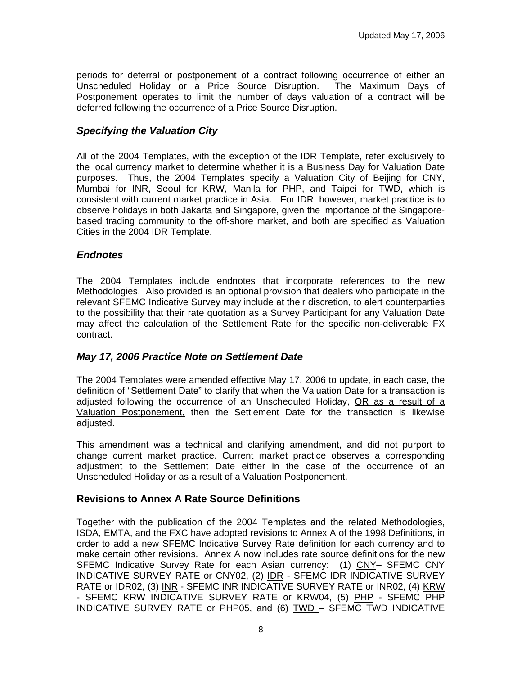<span id="page-7-0"></span>periods for deferral or postponement of a contract following occurrence of either an Unscheduled Holiday or a Price Source Disruption. The Maximum Days of Postponement operates to limit the number of days valuation of a contract will be deferred following the occurrence of a Price Source Disruption.

## *Specifying the Valuation City*

All of the 2004 Templates, with the exception of the IDR Template, refer exclusively to the local currency market to determine whether it is a Business Day for Valuation Date purposes. Thus, the 2004 Templates specify a Valuation City of Beijing for CNY, Mumbai for INR, Seoul for KRW, Manila for PHP, and Taipei for TWD, which is consistent with current market practice in Asia. For IDR, however, market practice is to observe holidays in both Jakarta and Singapore, given the importance of the Singaporebased trading community to the off-shore market, and both are specified as Valuation Cities in the 2004 IDR Template.

#### *Endnotes*

The 2004 Templates include endnotes that incorporate references to the new Methodologies. Also provided is an optional provision that dealers who participate in the relevant SFEMC Indicative Survey may include at their discretion, to alert counterparties to the possibility that their rate quotation as a Survey Participant for any Valuation Date may affect the calculation of the Settlement Rate for the specific non-deliverable FX contract.

### *May 17, 2006 Practice Note on Settlement Date*

The 2004 Templates were amended effective May 17, 2006 to update, in each case, the definition of "Settlement Date" to clarify that when the Valuation Date for a transaction is adjusted following the occurrence of an Unscheduled Holiday, OR as a result of a Valuation Postponement, then the Settlement Date for the transaction is likewise adiusted.

This amendment was a technical and clarifying amendment, and did not purport to change current market practice. Current market practice observes a corresponding adjustment to the Settlement Date either in the case of the occurrence of an Unscheduled Holiday or as a result of a Valuation Postponement.

### **Revisions to Annex A Rate Source Definitions**

Together with the publication of the 2004 Templates and the related Methodologies, ISDA, EMTA, and the FXC have adopted revisions to Annex A of the 1998 Definitions, in order to add a new SFEMC Indicative Survey Rate definition for each currency and to make certain other revisions. Annex A now includes rate source definitions for the new SFEMC Indicative Survey Rate for each Asian currency: (1) CNY– SFEMC CNY INDICATIVE SURVEY RATE or CNY02, (2) IDR - SFEMC IDR INDICATIVE SURVEY RATE or IDR02, (3) INR - SFEMC INR INDICATIVE SURVEY RATE or INR02, (4) KRW - SFEMC KRW INDICATIVE SURVEY RATE or KRW04, (5) PHP - SFEMC PHP INDICATIVE SURVEY RATE or PHP05, and (6) TWD – SFEMC TWD INDICATIVE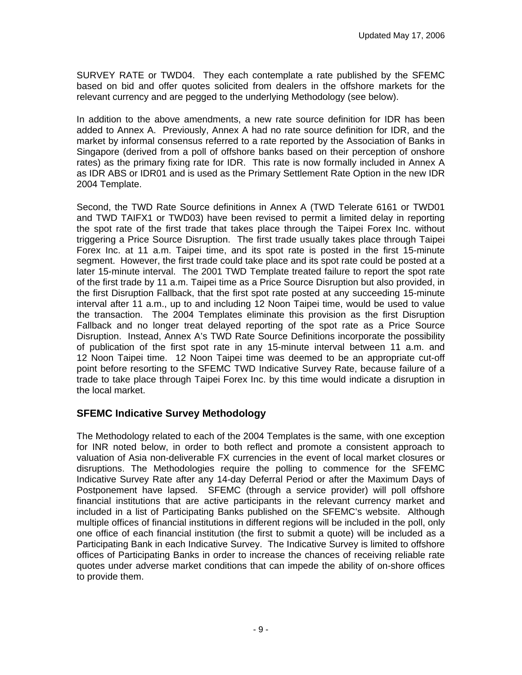<span id="page-8-0"></span>SURVEY RATE or TWD04. They each contemplate a rate published by the SFEMC based on bid and offer quotes solicited from dealers in the offshore markets for the relevant currency and are pegged to the underlying Methodology (see below).

In addition to the above amendments, a new rate source definition for IDR has been added to Annex A. Previously, Annex A had no rate source definition for IDR, and the market by informal consensus referred to a rate reported by the Association of Banks in Singapore (derived from a poll of offshore banks based on their perception of onshore rates) as the primary fixing rate for IDR. This rate is now formally included in Annex A as IDR ABS or IDR01 and is used as the Primary Settlement Rate Option in the new IDR 2004 Template.

Second, the TWD Rate Source definitions in Annex A (TWD Telerate 6161 or TWD01 and TWD TAIFX1 or TWD03) have been revised to permit a limited delay in reporting the spot rate of the first trade that takes place through the Taipei Forex Inc. without triggering a Price Source Disruption. The first trade usually takes place through Taipei Forex Inc. at 11 a.m. Taipei time, and its spot rate is posted in the first 15-minute segment. However, the first trade could take place and its spot rate could be posted at a later 15-minute interval. The 2001 TWD Template treated failure to report the spot rate of the first trade by 11 a.m. Taipei time as a Price Source Disruption but also provided, in the first Disruption Fallback, that the first spot rate posted at any succeeding 15-minute interval after 11 a.m., up to and including 12 Noon Taipei time, would be used to value the transaction. The 2004 Templates eliminate this provision as the first Disruption Fallback and no longer treat delayed reporting of the spot rate as a Price Source Disruption. Instead, Annex A's TWD Rate Source Definitions incorporate the possibility of publication of the first spot rate in any 15-minute interval between 11 a.m. and 12 Noon Taipei time. 12 Noon Taipei time was deemed to be an appropriate cut-off point before resorting to the SFEMC TWD Indicative Survey Rate, because failure of a trade to take place through Taipei Forex Inc. by this time would indicate a disruption in the local market.

### **SFEMC Indicative Survey Methodology**

The Methodology related to each of the 2004 Templates is the same, with one exception for INR noted below, in order to both reflect and promote a consistent approach to valuation of Asia non-deliverable FX currencies in the event of local market closures or disruptions. The Methodologies require the polling to commence for the SFEMC Indicative Survey Rate after any 14-day Deferral Period or after the Maximum Days of Postponement have lapsed. SFEMC (through a service provider) will poll offshore financial institutions that are active participants in the relevant currency market and included in a list of Participating Banks published on the SFEMC's website. Although multiple offices of financial institutions in different regions will be included in the poll, only one office of each financial institution (the first to submit a quote) will be included as a Participating Bank in each Indicative Survey. The Indicative Survey is limited to offshore offices of Participating Banks in order to increase the chances of receiving reliable rate quotes under adverse market conditions that can impede the ability of on-shore offices to provide them.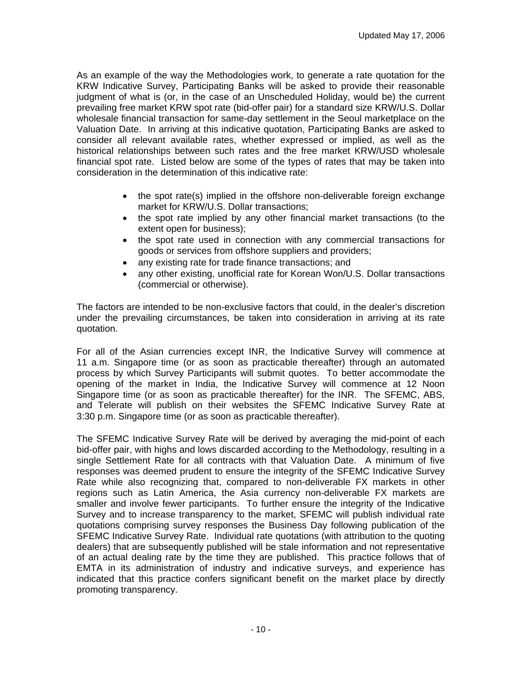As an example of the way the Methodologies work, to generate a rate quotation for the KRW Indicative Survey, Participating Banks will be asked to provide their reasonable judgment of what is (or, in the case of an Unscheduled Holiday, would be) the current prevailing free market KRW spot rate (bid-offer pair) for a standard size KRW/U.S. Dollar wholesale financial transaction for same-day settlement in the Seoul marketplace on the Valuation Date. In arriving at this indicative quotation, Participating Banks are asked to consider all relevant available rates, whether expressed or implied, as well as the historical relationships between such rates and the free market KRW/USD wholesale financial spot rate. Listed below are some of the types of rates that may be taken into consideration in the determination of this indicative rate:

- the spot rate(s) implied in the offshore non-deliverable foreign exchange market for KRW/U.S. Dollar transactions;
- the spot rate implied by any other financial market transactions (to the extent open for business);
- the spot rate used in connection with any commercial transactions for goods or services from offshore suppliers and providers;
- any existing rate for trade finance transactions; and
- any other existing, unofficial rate for Korean Won/U.S. Dollar transactions (commercial or otherwise).

The factors are intended to be non-exclusive factors that could, in the dealer's discretion under the prevailing circumstances, be taken into consideration in arriving at its rate quotation.

For all of the Asian currencies except INR, the Indicative Survey will commence at 11 a.m. Singapore time (or as soon as practicable thereafter) through an automated process by which Survey Participants will submit quotes. To better accommodate the opening of the market in India, the Indicative Survey will commence at 12 Noon Singapore time (or as soon as practicable thereafter) for the INR. The SFEMC, ABS, and Telerate will publish on their websites the SFEMC Indicative Survey Rate at 3:30 p.m. Singapore time (or as soon as practicable thereafter).

The SFEMC Indicative Survey Rate will be derived by averaging the mid-point of each bid-offer pair, with highs and lows discarded according to the Methodology, resulting in a single Settlement Rate for all contracts with that Valuation Date. A minimum of five responses was deemed prudent to ensure the integrity of the SFEMC Indicative Survey Rate while also recognizing that, compared to non-deliverable FX markets in other regions such as Latin America, the Asia currency non-deliverable FX markets are smaller and involve fewer participants. To further ensure the integrity of the Indicative Survey and to increase transparency to the market, SFEMC will publish individual rate quotations comprising survey responses the Business Day following publication of the SFEMC Indicative Survey Rate. Individual rate quotations (with attribution to the quoting dealers) that are subsequently published will be stale information and not representative of an actual dealing rate by the time they are published. This practice follows that of EMTA in its administration of industry and indicative surveys, and experience has indicated that this practice confers significant benefit on the market place by directly promoting transparency.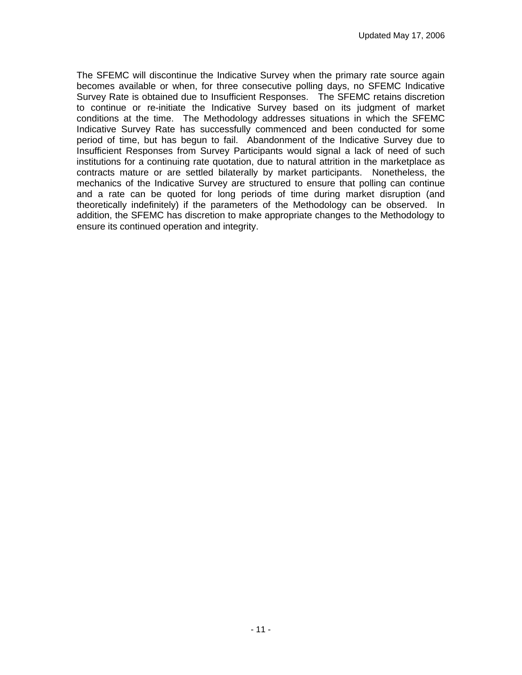The SFEMC will discontinue the Indicative Survey when the primary rate source again becomes available or when, for three consecutive polling days, no SFEMC Indicative Survey Rate is obtained due to Insufficient Responses. The SFEMC retains discretion to continue or re-initiate the Indicative Survey based on its judgment of market conditions at the time. The Methodology addresses situations in which the SFEMC Indicative Survey Rate has successfully commenced and been conducted for some period of time, but has begun to fail. Abandonment of the Indicative Survey due to Insufficient Responses from Survey Participants would signal a lack of need of such institutions for a continuing rate quotation, due to natural attrition in the marketplace as contracts mature or are settled bilaterally by market participants. Nonetheless, the mechanics of the Indicative Survey are structured to ensure that polling can continue and a rate can be quoted for long periods of time during market disruption (and theoretically indefinitely) if the parameters of the Methodology can be observed. In addition, the SFEMC has discretion to make appropriate changes to the Methodology to ensure its continued operation and integrity.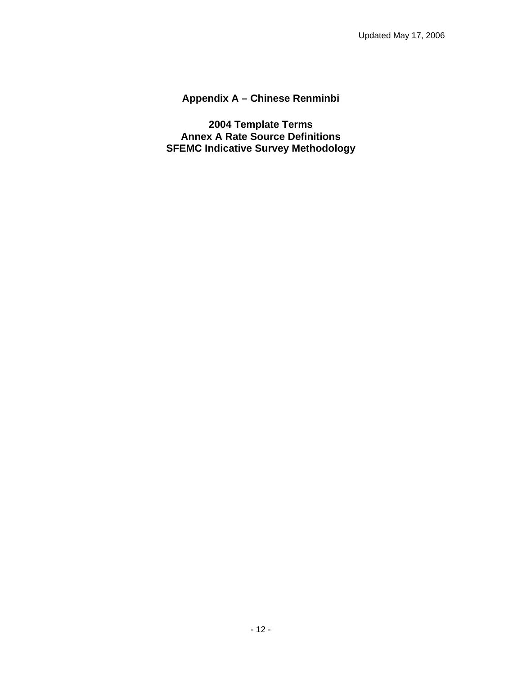<span id="page-11-0"></span>**Appendix A – Chinese Renminbi** 

**2004 Template Terms Annex A Rate Source Definitions SFEMC Indicative Survey Methodology**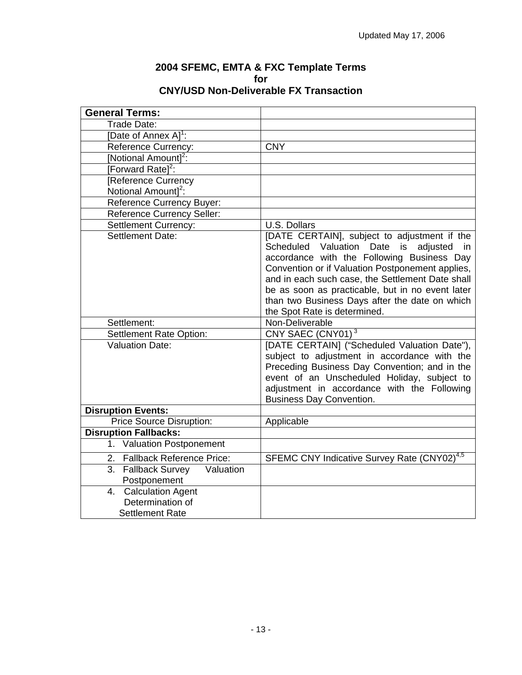#### **2004 SFEMC, EMTA & FXC Template Terms for CNY/USD Non-Deliverable FX Transaction**

<span id="page-12-0"></span>

| <b>General Terms:</b>                                                                       |                                                                                                                                                                                                                                                                                                                                                                                                                                                                                                                                                                                                                                                                                           |
|---------------------------------------------------------------------------------------------|-------------------------------------------------------------------------------------------------------------------------------------------------------------------------------------------------------------------------------------------------------------------------------------------------------------------------------------------------------------------------------------------------------------------------------------------------------------------------------------------------------------------------------------------------------------------------------------------------------------------------------------------------------------------------------------------|
| Trade Date:                                                                                 |                                                                                                                                                                                                                                                                                                                                                                                                                                                                                                                                                                                                                                                                                           |
| [Date of Annex A] <sup>1</sup> :                                                            |                                                                                                                                                                                                                                                                                                                                                                                                                                                                                                                                                                                                                                                                                           |
| <b>Reference Currency:</b>                                                                  | <b>CNY</b>                                                                                                                                                                                                                                                                                                                                                                                                                                                                                                                                                                                                                                                                                |
| [Notional Amount] <sup>2</sup> :                                                            |                                                                                                                                                                                                                                                                                                                                                                                                                                                                                                                                                                                                                                                                                           |
| [Forward Rate] <sup>2</sup> :                                                               |                                                                                                                                                                                                                                                                                                                                                                                                                                                                                                                                                                                                                                                                                           |
| [Reference Currency                                                                         |                                                                                                                                                                                                                                                                                                                                                                                                                                                                                                                                                                                                                                                                                           |
| Notional Amount] <sup>2</sup> :                                                             |                                                                                                                                                                                                                                                                                                                                                                                                                                                                                                                                                                                                                                                                                           |
| Reference Currency Buyer:                                                                   |                                                                                                                                                                                                                                                                                                                                                                                                                                                                                                                                                                                                                                                                                           |
| <b>Reference Currency Seller:</b>                                                           |                                                                                                                                                                                                                                                                                                                                                                                                                                                                                                                                                                                                                                                                                           |
| <b>Settlement Currency:</b>                                                                 | U.S. Dollars                                                                                                                                                                                                                                                                                                                                                                                                                                                                                                                                                                                                                                                                              |
| Settlement Date:<br>Settlement:<br><b>Settlement Rate Option:</b><br><b>Valuation Date:</b> | [DATE CERTAIN], subject to adjustment if the<br>Scheduled Valuation Date is<br>adjusted in<br>accordance with the Following Business Day<br>Convention or if Valuation Postponement applies,<br>and in each such case, the Settlement Date shall<br>be as soon as practicable, but in no event later<br>than two Business Days after the date on which<br>the Spot Rate is determined.<br>Non-Deliverable<br>CNY SAEC (CNY01) <sup>3</sup><br>[DATE CERTAIN] ("Scheduled Valuation Date"),<br>subject to adjustment in accordance with the<br>Preceding Business Day Convention; and in the<br>event of an Unscheduled Holiday, subject to<br>adjustment in accordance with the Following |
| <b>Disruption Events:</b>                                                                   | <b>Business Day Convention.</b>                                                                                                                                                                                                                                                                                                                                                                                                                                                                                                                                                                                                                                                           |
| Price Source Disruption:                                                                    | Applicable                                                                                                                                                                                                                                                                                                                                                                                                                                                                                                                                                                                                                                                                                |
| <b>Disruption Fallbacks:</b>                                                                |                                                                                                                                                                                                                                                                                                                                                                                                                                                                                                                                                                                                                                                                                           |
| 1. Valuation Postponement                                                                   |                                                                                                                                                                                                                                                                                                                                                                                                                                                                                                                                                                                                                                                                                           |
| Fallback Reference Price:<br>2.                                                             | SFEMC CNY Indicative Survey Rate (CNY02)4,5                                                                                                                                                                                                                                                                                                                                                                                                                                                                                                                                                                                                                                               |
| 3. Fallback Survey<br>Valuation<br>Postponement                                             |                                                                                                                                                                                                                                                                                                                                                                                                                                                                                                                                                                                                                                                                                           |
| 4. Calculation Agent                                                                        |                                                                                                                                                                                                                                                                                                                                                                                                                                                                                                                                                                                                                                                                                           |
| Determination of                                                                            |                                                                                                                                                                                                                                                                                                                                                                                                                                                                                                                                                                                                                                                                                           |
| <b>Settlement Rate</b>                                                                      |                                                                                                                                                                                                                                                                                                                                                                                                                                                                                                                                                                                                                                                                                           |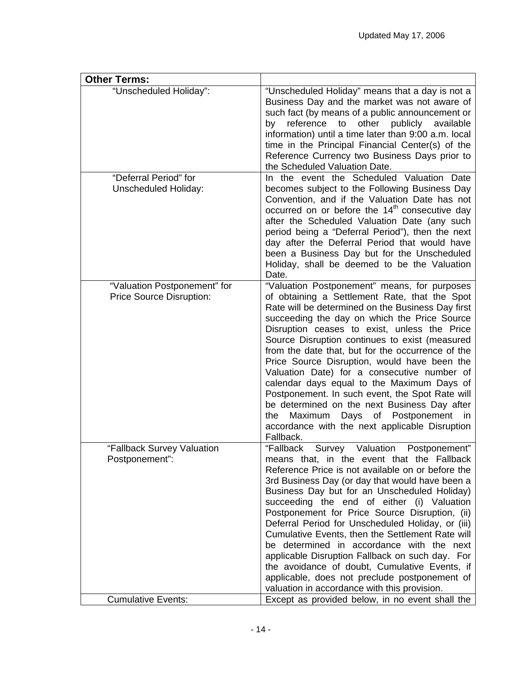| <b>Other Terms:</b>                                             |                                                                                                                                                                                                                                                                                                                                                                                                                                                                                                                                                                                                                                                                                                                          |
|-----------------------------------------------------------------|--------------------------------------------------------------------------------------------------------------------------------------------------------------------------------------------------------------------------------------------------------------------------------------------------------------------------------------------------------------------------------------------------------------------------------------------------------------------------------------------------------------------------------------------------------------------------------------------------------------------------------------------------------------------------------------------------------------------------|
| "Unscheduled Holiday":                                          | "Unscheduled Holiday" means that a day is not a<br>Business Day and the market was not aware of<br>such fact (by means of a public announcement or<br>reference to other<br>publicly<br>by<br>available<br>information) until a time later than 9:00 a.m. local<br>time in the Principal Financial Center(s) of the<br>Reference Currency two Business Days prior to<br>the Scheduled Valuation Date.                                                                                                                                                                                                                                                                                                                    |
| "Deferral Period" for<br><b>Unscheduled Holiday:</b>            | In the event the Scheduled Valuation Date<br>becomes subject to the Following Business Day<br>Convention, and if the Valuation Date has not<br>occurred on or before the 14 <sup>th</sup> consecutive day<br>after the Scheduled Valuation Date (any such<br>period being a "Deferral Period"), then the next<br>day after the Deferral Period that would have<br>been a Business Day but for the Unscheduled<br>Holiday, shall be deemed to be the Valuation<br>Date.                                                                                                                                                                                                                                                   |
| "Valuation Postponement" for<br><b>Price Source Disruption:</b> | "Valuation Postponement" means, for purposes<br>of obtaining a Settlement Rate, that the Spot<br>Rate will be determined on the Business Day first<br>succeeding the day on which the Price Source<br>Disruption ceases to exist, unless the Price<br>Source Disruption continues to exist (measured<br>from the date that, but for the occurrence of the<br>Price Source Disruption, would have been the<br>Valuation Date) for a consecutive number of<br>calendar days equal to the Maximum Days of<br>Postponement. In such event, the Spot Rate will<br>be determined on the next Business Day after<br>Days of Postponement<br>the<br>Maximum<br>in<br>accordance with the next applicable Disruption<br>Fallback. |
| "Fallback Survey Valuation<br>Postponement":                    | "Fallback<br>Valuation<br>Postponement"<br>Survey<br>means that, in the event that the Fallback<br>Reference Price is not available on or before the<br>3rd Business Day (or day that would have been a<br>Business Day but for an Unscheduled Holiday)<br>succeeding the end of either (i) Valuation<br>Postponement for Price Source Disruption, (ii)<br>Deferral Period for Unscheduled Holiday, or (iii)<br>Cumulative Events, then the Settlement Rate will<br>be determined in accordance with the next<br>applicable Disruption Fallback on such day. For<br>the avoidance of doubt, Cumulative Events, if<br>applicable, does not preclude postponement of                                                       |
| <b>Cumulative Events:</b>                                       | valuation in accordance with this provision.<br>Except as provided below, in no event shall the                                                                                                                                                                                                                                                                                                                                                                                                                                                                                                                                                                                                                          |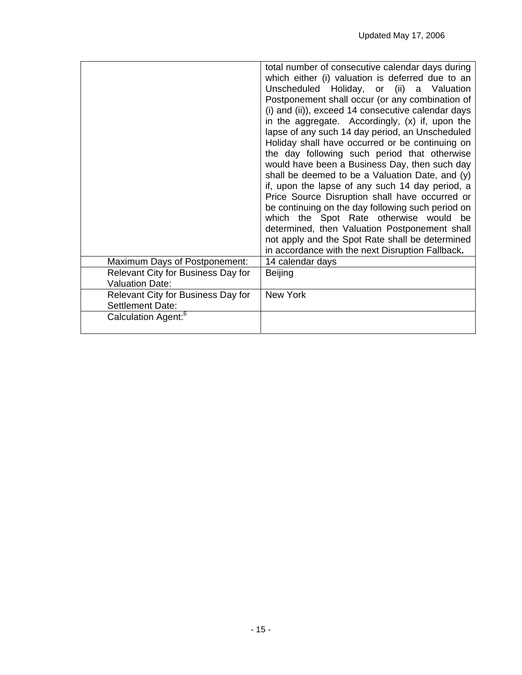| Maximum Days of Postponement:<br>Relevant City for Business Day for | total number of consecutive calendar days during<br>which either (i) valuation is deferred due to an<br>Unscheduled Holiday, or (ii) a Valuation<br>Postponement shall occur (or any combination of<br>(i) and (ii)), exceed 14 consecutive calendar days<br>in the aggregate. Accordingly, (x) if, upon the<br>lapse of any such 14 day period, an Unscheduled<br>Holiday shall have occurred or be continuing on<br>the day following such period that otherwise<br>would have been a Business Day, then such day<br>shall be deemed to be a Valuation Date, and (y)<br>if, upon the lapse of any such 14 day period, a<br>Price Source Disruption shall have occurred or<br>be continuing on the day following such period on<br>which the Spot Rate otherwise would be<br>determined, then Valuation Postponement shall<br>not apply and the Spot Rate shall be determined<br>in accordance with the next Disruption Fallback.<br>14 calendar days<br><b>Beijing</b> |
|---------------------------------------------------------------------|--------------------------------------------------------------------------------------------------------------------------------------------------------------------------------------------------------------------------------------------------------------------------------------------------------------------------------------------------------------------------------------------------------------------------------------------------------------------------------------------------------------------------------------------------------------------------------------------------------------------------------------------------------------------------------------------------------------------------------------------------------------------------------------------------------------------------------------------------------------------------------------------------------------------------------------------------------------------------|
| <b>Valuation Date:</b>                                              |                                                                                                                                                                                                                                                                                                                                                                                                                                                                                                                                                                                                                                                                                                                                                                                                                                                                                                                                                                          |
| Relevant City for Business Day for                                  | <b>New York</b>                                                                                                                                                                                                                                                                                                                                                                                                                                                                                                                                                                                                                                                                                                                                                                                                                                                                                                                                                          |
| Settlement Date:                                                    |                                                                                                                                                                                                                                                                                                                                                                                                                                                                                                                                                                                                                                                                                                                                                                                                                                                                                                                                                                          |
| Calculation Agent: <sup>6</sup>                                     |                                                                                                                                                                                                                                                                                                                                                                                                                                                                                                                                                                                                                                                                                                                                                                                                                                                                                                                                                                          |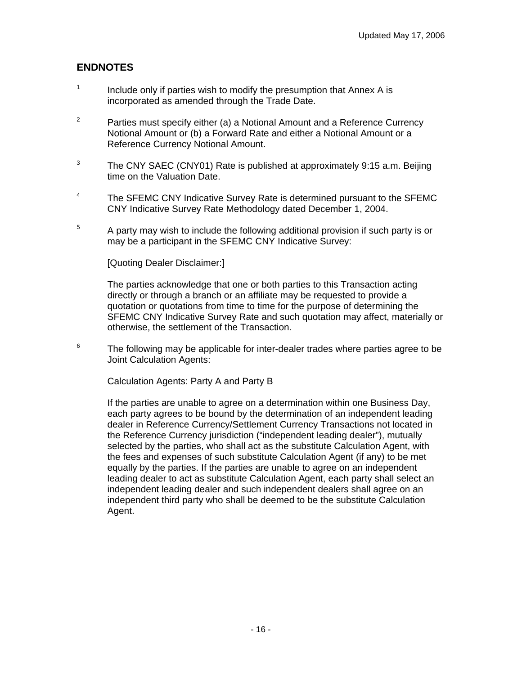# **ENDNOTES**

- 1 Include only if parties wish to modify the presumption that Annex A is incorporated as amended through the Trade Date.
- <sup>2</sup> Parties must specify either (a) a Notional Amount and a Reference Currency Notional Amount or (b) a Forward Rate and either a Notional Amount or a Reference Currency Notional Amount.
- $3$  The CNY SAEC (CNY01) Rate is published at approximately 9:15 a.m. Beijing time on the Valuation Date.
- $4$  The SFEMC CNY Indicative Survey Rate is determined pursuant to the SFEMC CNY Indicative Survey Rate Methodology dated December 1, 2004.
- $5$  A party may wish to include the following additional provision if such party is or may be a participant in the SFEMC CNY Indicative Survey:

[Quoting Dealer Disclaimer:]

The parties acknowledge that one or both parties to this Transaction acting directly or through a branch or an affiliate may be requested to provide a quotation or quotations from time to time for the purpose of determining the SFEMC CNY Indicative Survey Rate and such quotation may affect, materially or otherwise, the settlement of the Transaction.

 $6$  The following may be applicable for inter-dealer trades where parties agree to be Joint Calculation Agents:

Calculation Agents: Party A and Party B

If the parties are unable to agree on a determination within one Business Day, each party agrees to be bound by the determination of an independent leading dealer in Reference Currency/Settlement Currency Transactions not located in the Reference Currency jurisdiction ("independent leading dealer"), mutually selected by the parties, who shall act as the substitute Calculation Agent, with the fees and expenses of such substitute Calculation Agent (if any) to be met equally by the parties. If the parties are unable to agree on an independent leading dealer to act as substitute Calculation Agent, each party shall select an independent leading dealer and such independent dealers shall agree on an independent third party who shall be deemed to be the substitute Calculation Agent.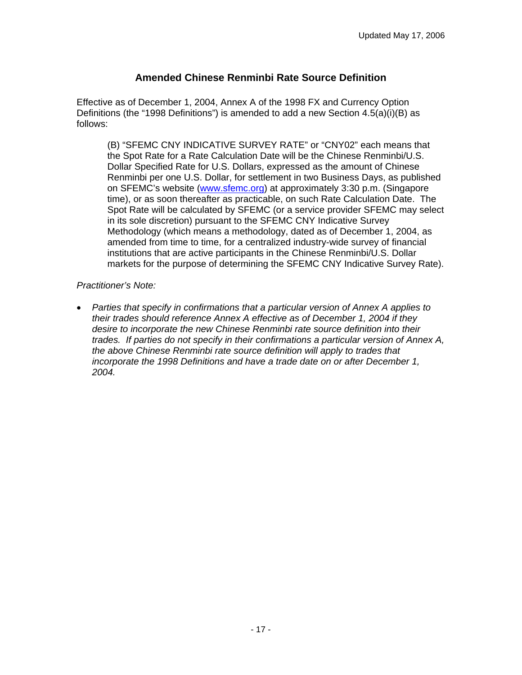# **Amended Chinese Renminbi Rate Source Definition**

<span id="page-16-0"></span>Effective as of December 1, 2004, Annex A of the 1998 FX and Currency Option Definitions (the "1998 Definitions") is amended to add a new Section  $4.5(a)(i)(B)$  as follows:

(B) "SFEMC CNY INDICATIVE SURVEY RATE" or "CNY02" each means that the Spot Rate for a Rate Calculation Date will be the Chinese Renminbi/U.S. Dollar Specified Rate for U.S. Dollars, expressed as the amount of Chinese Renminbi per one U.S. Dollar, for settlement in two Business Days, as published on SFEMC's website ([www.sfemc.org](http://www.sfemc.org/)) at approximately 3:30 p.m. (Singapore time), or as soon thereafter as practicable, on such Rate Calculation Date. The Spot Rate will be calculated by SFEMC (or a service provider SFEMC may select in its sole discretion) pursuant to the SFEMC CNY Indicative Survey Methodology (which means a methodology, dated as of December 1, 2004, as amended from time to time, for a centralized industry-wide survey of financial institutions that are active participants in the Chinese Renminbi/U.S. Dollar markets for the purpose of determining the SFEMC CNY Indicative Survey Rate).

#### *Practitioner's Note:*

• *Parties that specify in confirmations that a particular version of Annex A applies to their trades should reference Annex A effective as of December 1, 2004 if they desire to incorporate the new Chinese Renminbi rate source definition into their trades. If parties do not specify in their confirmations a particular version of Annex A, the above Chinese Renminbi rate source definition will apply to trades that incorporate the 1998 Definitions and have a trade date on or after December 1, 2004.*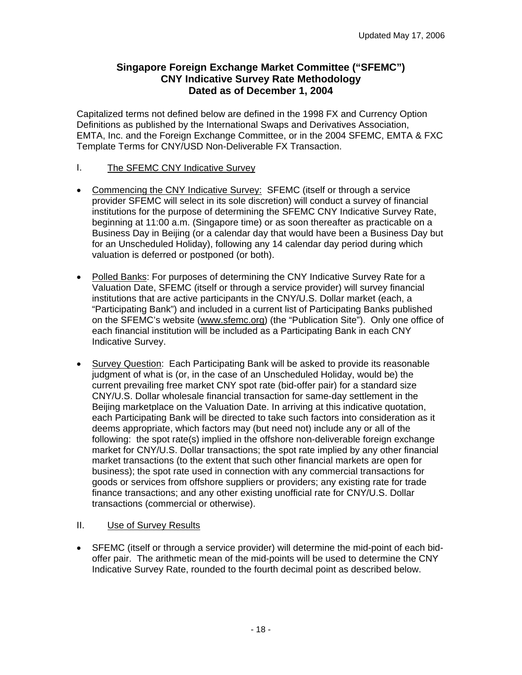## <span id="page-17-0"></span>**Singapore Foreign Exchange Market Committee ("SFEMC") CNY Indicative Survey Rate Methodology Dated as of December 1, 2004**

Capitalized terms not defined below are defined in the 1998 FX and Currency Option Definitions as published by the International Swaps and Derivatives Association, EMTA, Inc. and the Foreign Exchange Committee, or in the 2004 SFEMC, EMTA & FXC Template Terms for CNY/USD Non-Deliverable FX Transaction.

#### I. The SFEMC CNY Indicative Survey

- Commencing the CNY Indicative Survey: SFEMC (itself or through a service provider SFEMC will select in its sole discretion) will conduct a survey of financial institutions for the purpose of determining the SFEMC CNY Indicative Survey Rate, beginning at 11:00 a.m. (Singapore time) or as soon thereafter as practicable on a Business Day in Beijing (or a calendar day that would have been a Business Day but for an Unscheduled Holiday), following any 14 calendar day period during which valuation is deferred or postponed (or both).
- Polled Banks: For purposes of determining the CNY Indicative Survey Rate for a Valuation Date, SFEMC (itself or through a service provider) will survey financial institutions that are active participants in the CNY/U.S. Dollar market (each, a "Participating Bank") and included in a current list of Participating Banks published on the SFEMC's website [\(www.sfemc.org](http://www.sfemc.org/)) (the "Publication Site"). Only one office of each financial institution will be included as a Participating Bank in each CNY Indicative Survey.
- Survey Question: Each Participating Bank will be asked to provide its reasonable judgment of what is (or, in the case of an Unscheduled Holiday, would be) the current prevailing free market CNY spot rate (bid-offer pair) for a standard size CNY/U.S. Dollar wholesale financial transaction for same-day settlement in the Beijing marketplace on the Valuation Date. In arriving at this indicative quotation, each Participating Bank will be directed to take such factors into consideration as it deems appropriate, which factors may (but need not) include any or all of the following: the spot rate(s) implied in the offshore non-deliverable foreign exchange market for CNY/U.S. Dollar transactions; the spot rate implied by any other financial market transactions (to the extent that such other financial markets are open for business); the spot rate used in connection with any commercial transactions for goods or services from offshore suppliers or providers; any existing rate for trade finance transactions; and any other existing unofficial rate for CNY/U.S. Dollar transactions (commercial or otherwise).

#### II. Use of Survey Results

• SFEMC (itself or through a service provider) will determine the mid-point of each bidoffer pair. The arithmetic mean of the mid-points will be used to determine the CNY Indicative Survey Rate, rounded to the fourth decimal point as described below.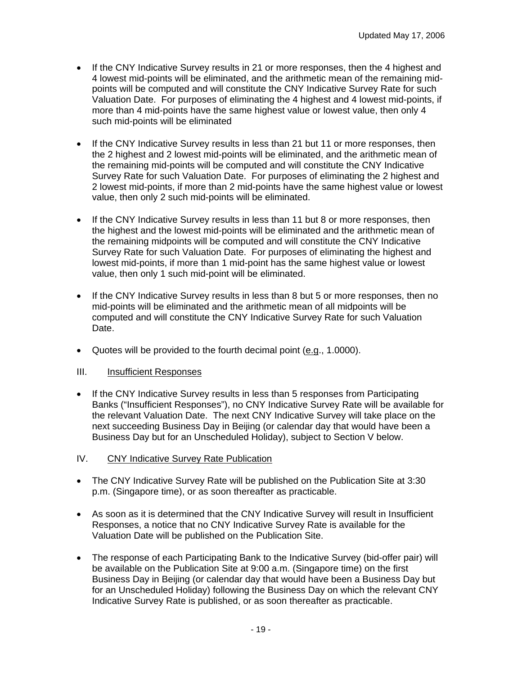- If the CNY Indicative Survey results in 21 or more responses, then the 4 highest and 4 lowest mid-points will be eliminated, and the arithmetic mean of the remaining midpoints will be computed and will constitute the CNY Indicative Survey Rate for such Valuation Date. For purposes of eliminating the 4 highest and 4 lowest mid-points, if more than 4 mid-points have the same highest value or lowest value, then only 4 such mid-points will be eliminated
- If the CNY Indicative Survey results in less than 21 but 11 or more responses, then the 2 highest and 2 lowest mid-points will be eliminated, and the arithmetic mean of the remaining mid-points will be computed and will constitute the CNY Indicative Survey Rate for such Valuation Date. For purposes of eliminating the 2 highest and 2 lowest mid-points, if more than 2 mid-points have the same highest value or lowest value, then only 2 such mid-points will be eliminated.
- If the CNY Indicative Survey results in less than 11 but 8 or more responses, then the highest and the lowest mid-points will be eliminated and the arithmetic mean of the remaining midpoints will be computed and will constitute the CNY Indicative Survey Rate for such Valuation Date. For purposes of eliminating the highest and lowest mid-points, if more than 1 mid-point has the same highest value or lowest value, then only 1 such mid-point will be eliminated.
- If the CNY Indicative Survey results in less than 8 but 5 or more responses, then no mid-points will be eliminated and the arithmetic mean of all midpoints will be computed and will constitute the CNY Indicative Survey Rate for such Valuation Date.
- Quotes will be provided to the fourth decimal point (e.g., 1.0000).

#### III. Insufficient Responses

- If the CNY Indicative Survey results in less than 5 responses from Participating Banks ("Insufficient Responses"), no CNY Indicative Survey Rate will be available for the relevant Valuation Date. The next CNY Indicative Survey will take place on the next succeeding Business Day in Beijing (or calendar day that would have been a Business Day but for an Unscheduled Holiday), subject to Section V below.
- IV. CNY Indicative Survey Rate Publication
- The CNY Indicative Survey Rate will be published on the Publication Site at 3:30 p.m. (Singapore time), or as soon thereafter as practicable.
- As soon as it is determined that the CNY Indicative Survey will result in Insufficient Responses, a notice that no CNY Indicative Survey Rate is available for the Valuation Date will be published on the Publication Site.
- The response of each Participating Bank to the Indicative Survey (bid-offer pair) will be available on the Publication Site at 9:00 a.m. (Singapore time) on the first Business Day in Beijing (or calendar day that would have been a Business Day but for an Unscheduled Holiday) following the Business Day on which the relevant CNY Indicative Survey Rate is published, or as soon thereafter as practicable.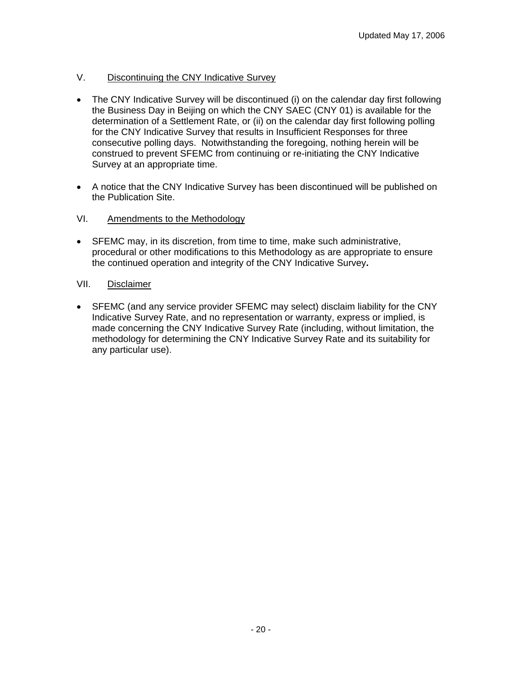## V. Discontinuing the CNY Indicative Survey

- The CNY Indicative Survey will be discontinued (i) on the calendar day first following the Business Day in Beijing on which the CNY SAEC (CNY 01) is available for the determination of a Settlement Rate, or (ii) on the calendar day first following polling for the CNY Indicative Survey that results in Insufficient Responses for three consecutive polling days. Notwithstanding the foregoing, nothing herein will be construed to prevent SFEMC from continuing or re-initiating the CNY Indicative Survey at an appropriate time.
- A notice that the CNY Indicative Survey has been discontinued will be published on the Publication Site.

#### VI. Amendments to the Methodology

• SFEMC may, in its discretion, from time to time, make such administrative, procedural or other modifications to this Methodology as are appropriate to ensure the continued operation and integrity of the CNY Indicative Survey**.** 

#### VII. Disclaimer

• SFEMC (and any service provider SFEMC may select) disclaim liability for the CNY Indicative Survey Rate, and no representation or warranty, express or implied, is made concerning the CNY Indicative Survey Rate (including, without limitation, the methodology for determining the CNY Indicative Survey Rate and its suitability for any particular use).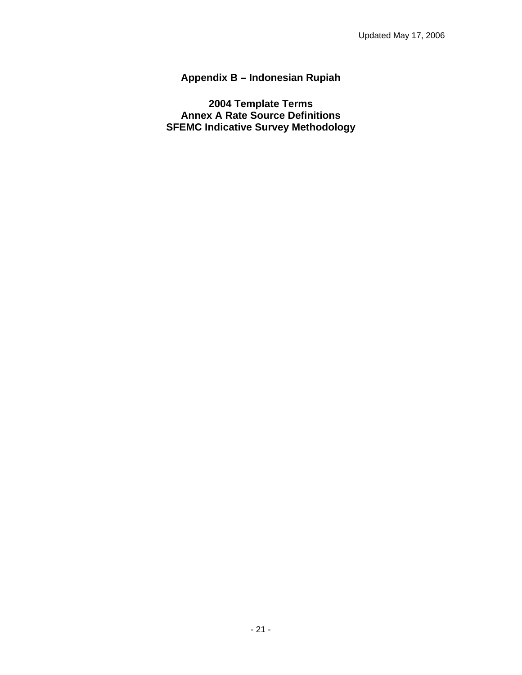# **Appendix B – Indonesian Rupiah**

<span id="page-20-0"></span>**2004 Template Terms Annex A Rate Source Definitions SFEMC Indicative Survey Methodology**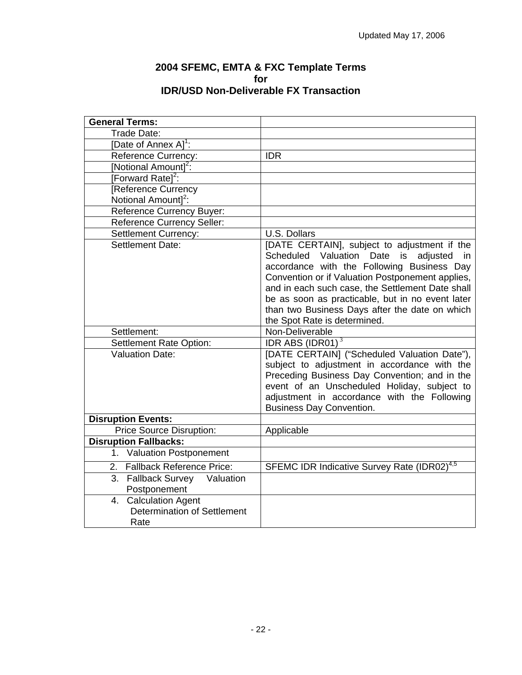#### **2004 SFEMC, EMTA & FXC Template Terms for IDR/USD Non-Deliverable FX Transaction**

<span id="page-21-0"></span>

| <b>General Terms:</b>                                                                       |                                                                                                                                                                                                                                                                                                                                                                                                                                                                                                                                                                                   |
|---------------------------------------------------------------------------------------------|-----------------------------------------------------------------------------------------------------------------------------------------------------------------------------------------------------------------------------------------------------------------------------------------------------------------------------------------------------------------------------------------------------------------------------------------------------------------------------------------------------------------------------------------------------------------------------------|
| Trade Date:                                                                                 |                                                                                                                                                                                                                                                                                                                                                                                                                                                                                                                                                                                   |
| [Date of Annex A] <sup>1</sup> :                                                            |                                                                                                                                                                                                                                                                                                                                                                                                                                                                                                                                                                                   |
| <b>Reference Currency:</b>                                                                  | <b>IDR</b>                                                                                                                                                                                                                                                                                                                                                                                                                                                                                                                                                                        |
| [Notional Amount] <sup>2</sup> :                                                            |                                                                                                                                                                                                                                                                                                                                                                                                                                                                                                                                                                                   |
| [Forward Rate] <sup>2</sup> :                                                               |                                                                                                                                                                                                                                                                                                                                                                                                                                                                                                                                                                                   |
| Reference Currency                                                                          |                                                                                                                                                                                                                                                                                                                                                                                                                                                                                                                                                                                   |
| Notional Amount] <sup>2</sup> :                                                             |                                                                                                                                                                                                                                                                                                                                                                                                                                                                                                                                                                                   |
| Reference Currency Buyer:                                                                   |                                                                                                                                                                                                                                                                                                                                                                                                                                                                                                                                                                                   |
| <b>Reference Currency Seller:</b>                                                           |                                                                                                                                                                                                                                                                                                                                                                                                                                                                                                                                                                                   |
| <b>Settlement Currency:</b>                                                                 | U.S. Dollars                                                                                                                                                                                                                                                                                                                                                                                                                                                                                                                                                                      |
| Settlement Date:<br>Settlement:<br><b>Settlement Rate Option:</b><br><b>Valuation Date:</b> | [DATE CERTAIN], subject to adjustment if the<br>Scheduled Valuation Date is<br>adjusted in<br>accordance with the Following Business Day<br>Convention or if Valuation Postponement applies,<br>and in each such case, the Settlement Date shall<br>be as soon as practicable, but in no event later<br>than two Business Days after the date on which<br>the Spot Rate is determined.<br>Non-Deliverable<br>IDR ABS (IDR01) $3$<br>[DATE CERTAIN] ("Scheduled Valuation Date"),<br>subject to adjustment in accordance with the<br>Preceding Business Day Convention; and in the |
|                                                                                             | event of an Unscheduled Holiday, subject to                                                                                                                                                                                                                                                                                                                                                                                                                                                                                                                                       |
|                                                                                             | adjustment in accordance with the Following<br><b>Business Day Convention.</b>                                                                                                                                                                                                                                                                                                                                                                                                                                                                                                    |
| <b>Disruption Events:</b>                                                                   |                                                                                                                                                                                                                                                                                                                                                                                                                                                                                                                                                                                   |
| Price Source Disruption:                                                                    | Applicable                                                                                                                                                                                                                                                                                                                                                                                                                                                                                                                                                                        |
| <b>Disruption Fallbacks:</b>                                                                |                                                                                                                                                                                                                                                                                                                                                                                                                                                                                                                                                                                   |
| 1. Valuation Postponement                                                                   |                                                                                                                                                                                                                                                                                                                                                                                                                                                                                                                                                                                   |
| <b>Fallback Reference Price:</b><br>2.                                                      | SFEMC IDR Indicative Survey Rate (IDR02)4,5                                                                                                                                                                                                                                                                                                                                                                                                                                                                                                                                       |
| 3. Fallback Survey<br>Valuation<br>Postponement                                             |                                                                                                                                                                                                                                                                                                                                                                                                                                                                                                                                                                                   |
| 4. Calculation Agent<br>Determination of Settlement<br>Rate                                 |                                                                                                                                                                                                                                                                                                                                                                                                                                                                                                                                                                                   |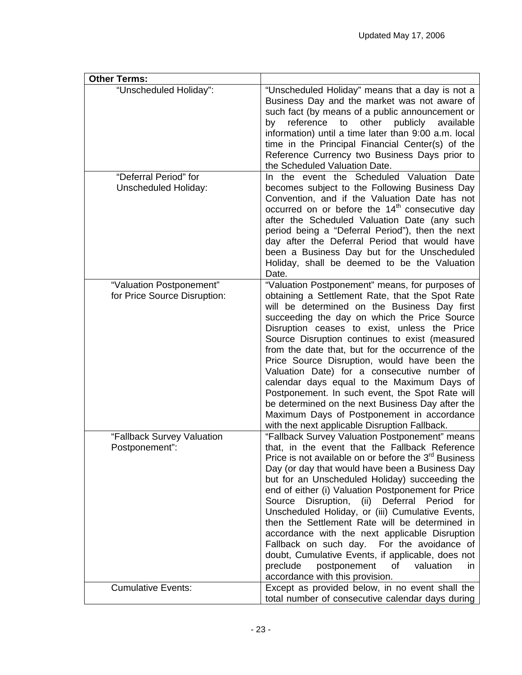| <b>Other Terms:</b>                                      |                                                                                                                                                                                                                                                                                                                                                                                                                                                                                                                                                                                                                                                                                                                                                   |
|----------------------------------------------------------|---------------------------------------------------------------------------------------------------------------------------------------------------------------------------------------------------------------------------------------------------------------------------------------------------------------------------------------------------------------------------------------------------------------------------------------------------------------------------------------------------------------------------------------------------------------------------------------------------------------------------------------------------------------------------------------------------------------------------------------------------|
| "Unscheduled Holiday":                                   | "Unscheduled Holiday" means that a day is not a<br>Business Day and the market was not aware of<br>such fact (by means of a public announcement or<br>publicly<br>reference<br>to<br>other<br>by<br>available<br>information) until a time later than 9:00 a.m. local<br>time in the Principal Financial Center(s) of the<br>Reference Currency two Business Days prior to<br>the Scheduled Valuation Date.                                                                                                                                                                                                                                                                                                                                       |
| "Deferral Period" for<br><b>Unscheduled Holiday:</b>     | In the event the Scheduled Valuation Date<br>becomes subject to the Following Business Day<br>Convention, and if the Valuation Date has not<br>occurred on or before the 14 <sup>th</sup> consecutive day<br>after the Scheduled Valuation Date (any such<br>period being a "Deferral Period"), then the next<br>day after the Deferral Period that would have<br>been a Business Day but for the Unscheduled<br>Holiday, shall be deemed to be the Valuation<br>Date.                                                                                                                                                                                                                                                                            |
| "Valuation Postponement"<br>for Price Source Disruption: | "Valuation Postponement" means, for purposes of<br>obtaining a Settlement Rate, that the Spot Rate<br>will be determined on the Business Day first<br>succeeding the day on which the Price Source<br>Disruption ceases to exist, unless the Price<br>Source Disruption continues to exist (measured<br>from the date that, but for the occurrence of the<br>Price Source Disruption, would have been the<br>Valuation Date) for a consecutive number of<br>calendar days equal to the Maximum Days of<br>Postponement. In such event, the Spot Rate will<br>be determined on the next Business Day after the<br>Maximum Days of Postponement in accordance<br>with the next applicable Disruption Fallback.                                      |
| "Fallback Survey Valuation<br>Postponement":             | "Fallback Survey Valuation Postponement" means<br>that, in the event that the Fallback Reference<br>Price is not available on or before the 3 <sup>rd</sup> Business<br>Day (or day that would have been a Business Day<br>but for an Unscheduled Holiday) succeeding the<br>end of either (i) Valuation Postponement for Price<br>Disruption,<br>(ii)<br>Deferral<br>Source<br>Period<br>for<br>Unscheduled Holiday, or (iii) Cumulative Events,<br>then the Settlement Rate will be determined in<br>accordance with the next applicable Disruption<br>Fallback on such day. For the avoidance of<br>doubt, Cumulative Events, if applicable, does not<br>preclude<br>of<br>postponement<br>valuation<br>in.<br>accordance with this provision. |
| <b>Cumulative Events:</b>                                | Except as provided below, in no event shall the<br>total number of consecutive calendar days during                                                                                                                                                                                                                                                                                                                                                                                                                                                                                                                                                                                                                                               |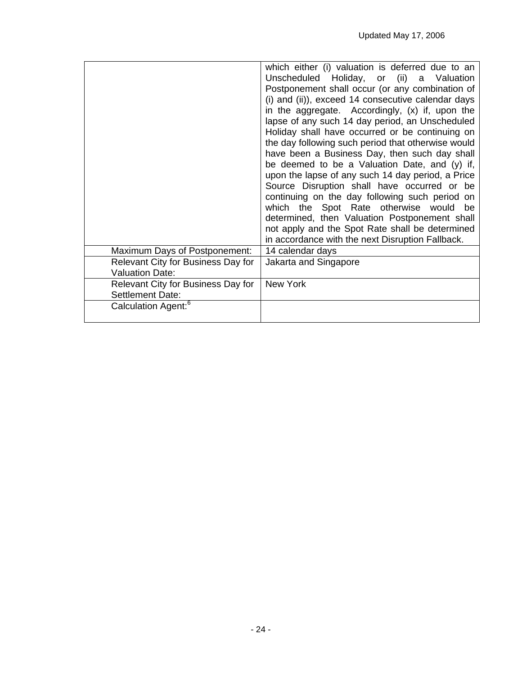|                                                               | which either (i) valuation is deferred due to an<br>Unscheduled Holiday, or (ii) a Valuation<br>Postponement shall occur (or any combination of<br>(i) and (ii)), exceed 14 consecutive calendar days<br>in the aggregate. Accordingly, (x) if, upon the<br>lapse of any such 14 day period, an Unscheduled<br>Holiday shall have occurred or be continuing on<br>the day following such period that otherwise would<br>have been a Business Day, then such day shall<br>be deemed to be a Valuation Date, and (y) if,<br>upon the lapse of any such 14 day period, a Price<br>Source Disruption shall have occurred or be<br>continuing on the day following such period on<br>which the Spot Rate otherwise would be<br>determined, then Valuation Postponement shall<br>not apply and the Spot Rate shall be determined<br>in accordance with the next Disruption Fallback. |
|---------------------------------------------------------------|--------------------------------------------------------------------------------------------------------------------------------------------------------------------------------------------------------------------------------------------------------------------------------------------------------------------------------------------------------------------------------------------------------------------------------------------------------------------------------------------------------------------------------------------------------------------------------------------------------------------------------------------------------------------------------------------------------------------------------------------------------------------------------------------------------------------------------------------------------------------------------|
| Maximum Days of Postponement:                                 | 14 calendar days                                                                                                                                                                                                                                                                                                                                                                                                                                                                                                                                                                                                                                                                                                                                                                                                                                                               |
| Relevant City for Business Day for<br><b>Valuation Date:</b>  | Jakarta and Singapore                                                                                                                                                                                                                                                                                                                                                                                                                                                                                                                                                                                                                                                                                                                                                                                                                                                          |
| Relevant City for Business Day for<br><b>Settlement Date:</b> | New York                                                                                                                                                                                                                                                                                                                                                                                                                                                                                                                                                                                                                                                                                                                                                                                                                                                                       |
| Calculation Agent: <sup>6</sup>                               |                                                                                                                                                                                                                                                                                                                                                                                                                                                                                                                                                                                                                                                                                                                                                                                                                                                                                |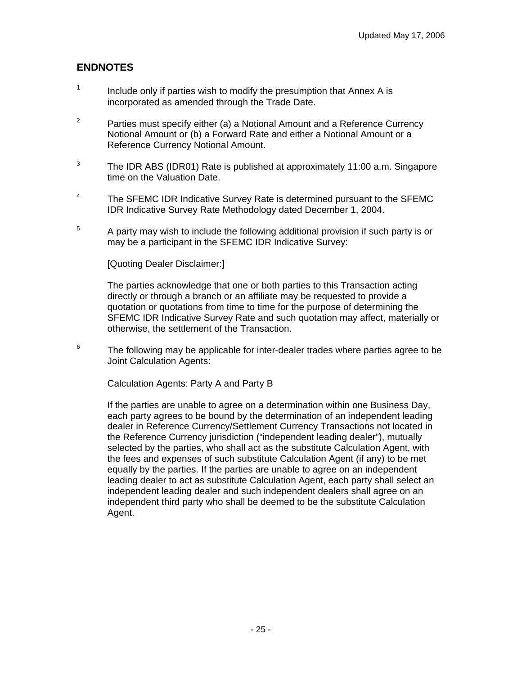# **ENDNOTES**

- $1$  Include only if parties wish to modify the presumption that Annex A is incorporated as amended through the Trade Date.
- <sup>2</sup> Parties must specify either (a) a Notional Amount and a Reference Currency Notional Amount or (b) a Forward Rate and either a Notional Amount or a Reference Currency Notional Amount.
- $3$  The IDR ABS (IDR01) Rate is published at approximately 11:00 a.m. Singapore time on the Valuation Date.
- $4$  The SFEMC IDR Indicative Survey Rate is determined pursuant to the SFEMC IDR Indicative Survey Rate Methodology dated December 1, 2004.
- 5 A party may wish to include the following additional provision if such party is or may be a participant in the SFEMC IDR Indicative Survey:

[Quoting Dealer Disclaimer:]

The parties acknowledge that one or both parties to this Transaction acting directly or through a branch or an affiliate may be requested to provide a quotation or quotations from time to time for the purpose of determining the SFEMC IDR Indicative Survey Rate and such quotation may affect, materially or otherwise, the settlement of the Transaction.

6 The following may be applicable for inter-dealer trades where parties agree to be Joint Calculation Agents:

Calculation Agents: Party A and Party B

If the parties are unable to agree on a determination within one Business Day, each party agrees to be bound by the determination of an independent leading dealer in Reference Currency/Settlement Currency Transactions not located in the Reference Currency jurisdiction ("independent leading dealer"), mutually selected by the parties, who shall act as the substitute Calculation Agent, with the fees and expenses of such substitute Calculation Agent (if any) to be met equally by the parties. If the parties are unable to agree on an independent leading dealer to act as substitute Calculation Agent, each party shall select an independent leading dealer and such independent dealers shall agree on an independent third party who shall be deemed to be the substitute Calculation Agent.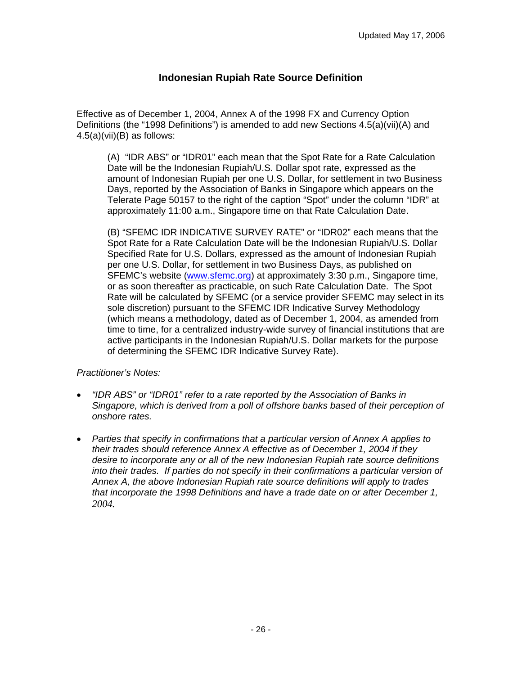# **Indonesian Rupiah Rate Source Definition**

<span id="page-25-0"></span>Effective as of December 1, 2004, Annex A of the 1998 FX and Currency Option Definitions (the "1998 Definitions") is amended to add new Sections 4.5(a)(vii)(A) and 4.5(a)(vii)(B) as follows:

(A) "IDR ABS" or "IDR01" each mean that the Spot Rate for a Rate Calculation Date will be the Indonesian Rupiah/U.S. Dollar spot rate, expressed as the amount of Indonesian Rupiah per one U.S. Dollar, for settlement in two Business Days, reported by the Association of Banks in Singapore which appears on the Telerate Page 50157 to the right of the caption "Spot" under the column "IDR" at approximately 11:00 a.m., Singapore time on that Rate Calculation Date.

(B) "SFEMC IDR INDICATIVE SURVEY RATE" or "IDR02" each means that the Spot Rate for a Rate Calculation Date will be the Indonesian Rupiah/U.S. Dollar Specified Rate for U.S. Dollars, expressed as the amount of Indonesian Rupiah per one U.S. Dollar, for settlement in two Business Days, as published on SFEMC's website [\(www.sfemc.org\)](http://www.sfemc.org/) at approximately 3:30 p.m., Singapore time, or as soon thereafter as practicable, on such Rate Calculation Date. The Spot Rate will be calculated by SFEMC (or a service provider SFEMC may select in its sole discretion) pursuant to the SFEMC IDR Indicative Survey Methodology (which means a methodology, dated as of December 1, 2004, as amended from time to time, for a centralized industry-wide survey of financial institutions that are active participants in the Indonesian Rupiah/U.S. Dollar markets for the purpose of determining the SFEMC IDR Indicative Survey Rate).

#### *Practitioner's Notes:*

- *"IDR ABS" or "IDR01" refer to a rate reported by the Association of Banks in Singapore, which is derived from a poll of offshore banks based of their perception of onshore rates.*
- *Parties that specify in confirmations that a particular version of Annex A applies to their trades should reference Annex A effective as of December 1, 2004 if they desire to incorporate any or all of the new Indonesian Rupiah rate source definitions into their trades. If parties do not specify in their confirmations a particular version of Annex A, the above Indonesian Rupiah rate source definitions will apply to trades that incorporate the 1998 Definitions and have a trade date on or after December 1, 2004.*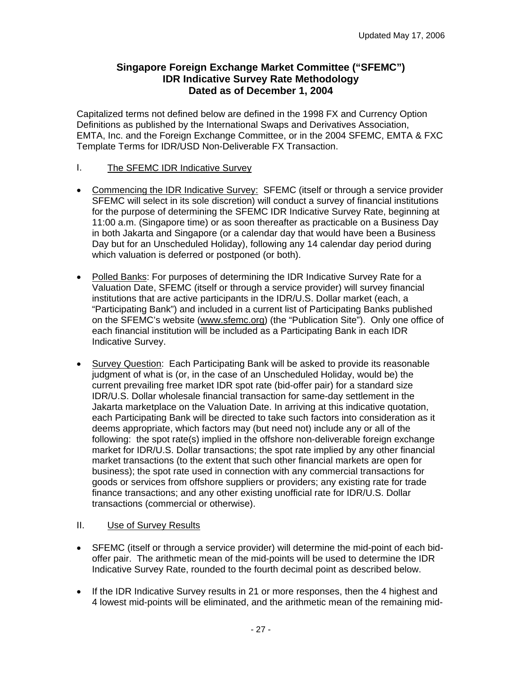## <span id="page-26-0"></span>**Singapore Foreign Exchange Market Committee ("SFEMC") IDR Indicative Survey Rate Methodology Dated as of December 1, 2004**

Capitalized terms not defined below are defined in the 1998 FX and Currency Option Definitions as published by the International Swaps and Derivatives Association, EMTA, Inc. and the Foreign Exchange Committee, or in the 2004 SFEMC, EMTA & FXC Template Terms for IDR/USD Non-Deliverable FX Transaction.

#### I. The SFEMC IDR Indicative Survey

- Commencing the IDR Indicative Survey: SFEMC (itself or through a service provider SFEMC will select in its sole discretion) will conduct a survey of financial institutions for the purpose of determining the SFEMC IDR Indicative Survey Rate, beginning at 11:00 a.m. (Singapore time) or as soon thereafter as practicable on a Business Day in both Jakarta and Singapore (or a calendar day that would have been a Business Day but for an Unscheduled Holiday), following any 14 calendar day period during which valuation is deferred or postponed (or both).
- Polled Banks: For purposes of determining the IDR Indicative Survey Rate for a Valuation Date, SFEMC (itself or through a service provider) will survey financial institutions that are active participants in the IDR/U.S. Dollar market (each, a "Participating Bank") and included in a current list of Participating Banks published on the SFEMC's website [\(www.sfemc.org](http://www.sfemc.org/)) (the "Publication Site"). Only one office of each financial institution will be included as a Participating Bank in each IDR Indicative Survey.
- Survey Question: Each Participating Bank will be asked to provide its reasonable judgment of what is (or, in the case of an Unscheduled Holiday, would be) the current prevailing free market IDR spot rate (bid-offer pair) for a standard size IDR/U.S. Dollar wholesale financial transaction for same-day settlement in the Jakarta marketplace on the Valuation Date. In arriving at this indicative quotation, each Participating Bank will be directed to take such factors into consideration as it deems appropriate, which factors may (but need not) include any or all of the following: the spot rate(s) implied in the offshore non-deliverable foreign exchange market for IDR/U.S. Dollar transactions; the spot rate implied by any other financial market transactions (to the extent that such other financial markets are open for business); the spot rate used in connection with any commercial transactions for goods or services from offshore suppliers or providers; any existing rate for trade finance transactions; and any other existing unofficial rate for IDR/U.S. Dollar transactions (commercial or otherwise).

#### II. Use of Survey Results

- SFEMC (itself or through a service provider) will determine the mid-point of each bidoffer pair. The arithmetic mean of the mid-points will be used to determine the IDR Indicative Survey Rate, rounded to the fourth decimal point as described below.
- If the IDR Indicative Survey results in 21 or more responses, then the 4 highest and 4 lowest mid-points will be eliminated, and the arithmetic mean of the remaining mid-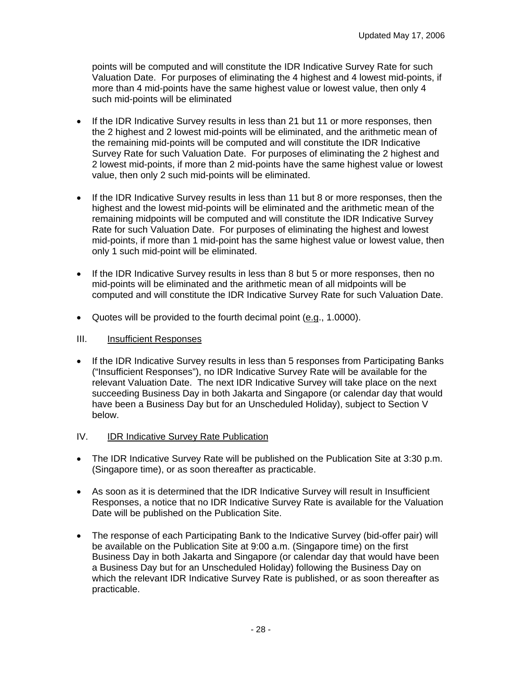points will be computed and will constitute the IDR Indicative Survey Rate for such Valuation Date. For purposes of eliminating the 4 highest and 4 lowest mid-points, if more than 4 mid-points have the same highest value or lowest value, then only 4 such mid-points will be eliminated

- If the IDR Indicative Survey results in less than 21 but 11 or more responses, then the 2 highest and 2 lowest mid-points will be eliminated, and the arithmetic mean of the remaining mid-points will be computed and will constitute the IDR Indicative Survey Rate for such Valuation Date. For purposes of eliminating the 2 highest and 2 lowest mid-points, if more than 2 mid-points have the same highest value or lowest value, then only 2 such mid-points will be eliminated.
- If the IDR Indicative Survey results in less than 11 but 8 or more responses, then the highest and the lowest mid-points will be eliminated and the arithmetic mean of the remaining midpoints will be computed and will constitute the IDR Indicative Survey Rate for such Valuation Date. For purposes of eliminating the highest and lowest mid-points, if more than 1 mid-point has the same highest value or lowest value, then only 1 such mid-point will be eliminated.
- If the IDR Indicative Survey results in less than 8 but 5 or more responses, then no mid-points will be eliminated and the arithmetic mean of all midpoints will be computed and will constitute the IDR Indicative Survey Rate for such Valuation Date.
- Quotes will be provided to the fourth decimal point (e.g., 1.0000).

#### III. Insufficient Responses

• If the IDR Indicative Survey results in less than 5 responses from Participating Banks ("Insufficient Responses"), no IDR Indicative Survey Rate will be available for the relevant Valuation Date. The next IDR Indicative Survey will take place on the next succeeding Business Day in both Jakarta and Singapore (or calendar day that would have been a Business Day but for an Unscheduled Holiday), subject to Section V below.

### IV. IDR Indicative Survey Rate Publication

- The IDR Indicative Survey Rate will be published on the Publication Site at 3:30 p.m. (Singapore time), or as soon thereafter as practicable.
- As soon as it is determined that the IDR Indicative Survey will result in Insufficient Responses, a notice that no IDR Indicative Survey Rate is available for the Valuation Date will be published on the Publication Site.
- The response of each Participating Bank to the Indicative Survey (bid-offer pair) will be available on the Publication Site at 9:00 a.m. (Singapore time) on the first Business Day in both Jakarta and Singapore (or calendar day that would have been a Business Day but for an Unscheduled Holiday) following the Business Day on which the relevant IDR Indicative Survey Rate is published, or as soon thereafter as practicable.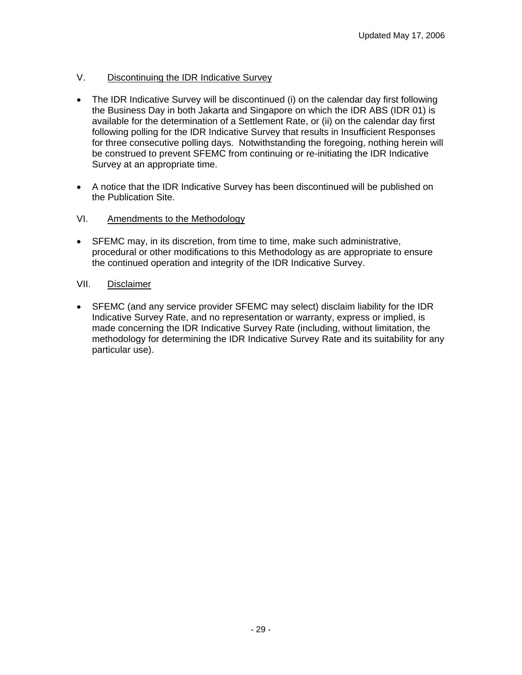### V. Discontinuing the IDR Indicative Survey

- The IDR Indicative Survey will be discontinued (i) on the calendar day first following the Business Day in both Jakarta and Singapore on which the IDR ABS (IDR 01) is available for the determination of a Settlement Rate, or (ii) on the calendar day first following polling for the IDR Indicative Survey that results in Insufficient Responses for three consecutive polling days. Notwithstanding the foregoing, nothing herein will be construed to prevent SFEMC from continuing or re-initiating the IDR Indicative Survey at an appropriate time.
- A notice that the IDR Indicative Survey has been discontinued will be published on the Publication Site.

#### VI. Amendments to the Methodology

• SFEMC may, in its discretion, from time to time, make such administrative, procedural or other modifications to this Methodology as are appropriate to ensure the continued operation and integrity of the IDR Indicative Survey.

#### VII. Disclaimer

• SFEMC (and any service provider SFEMC may select) disclaim liability for the IDR Indicative Survey Rate, and no representation or warranty, express or implied, is made concerning the IDR Indicative Survey Rate (including, without limitation, the methodology for determining the IDR Indicative Survey Rate and its suitability for any particular use).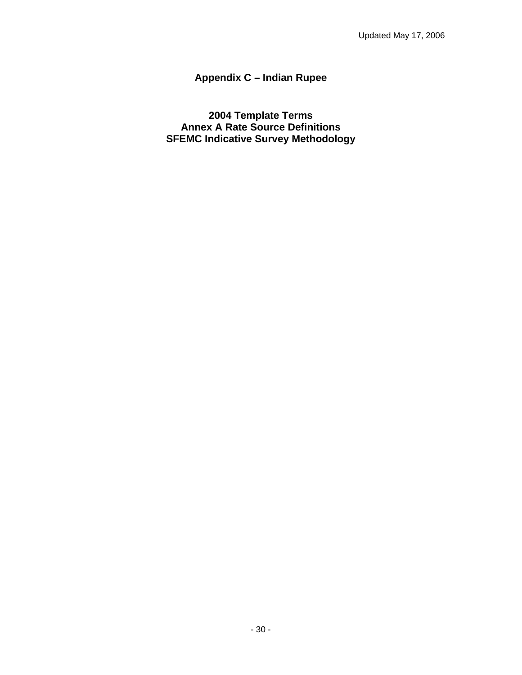# **Appendix C – Indian Rupee**

<span id="page-29-0"></span>**2004 Template Terms Annex A Rate Source Definitions SFEMC Indicative Survey Methodology**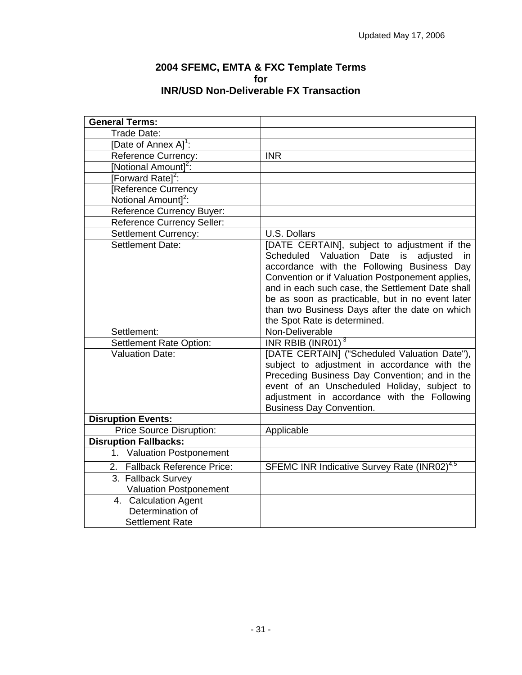#### **2004 SFEMC, EMTA & FXC Template Terms for INR/USD Non-Deliverable FX Transaction**

<span id="page-30-0"></span>

| <b>General Terms:</b>                                              |                                                                                                                                                                                                                                                                                                                                                                                        |
|--------------------------------------------------------------------|----------------------------------------------------------------------------------------------------------------------------------------------------------------------------------------------------------------------------------------------------------------------------------------------------------------------------------------------------------------------------------------|
| Trade Date:                                                        |                                                                                                                                                                                                                                                                                                                                                                                        |
| [Date of Annex A] <sup>1</sup> :                                   |                                                                                                                                                                                                                                                                                                                                                                                        |
| <b>Reference Currency:</b>                                         | <b>INR</b>                                                                                                                                                                                                                                                                                                                                                                             |
| [Notional Amount] <sup>2</sup> :                                   |                                                                                                                                                                                                                                                                                                                                                                                        |
| [Forward Rate] <sup>2</sup> :                                      |                                                                                                                                                                                                                                                                                                                                                                                        |
| [Reference Currency                                                |                                                                                                                                                                                                                                                                                                                                                                                        |
| Notional Amount] <sup>2</sup> :                                    |                                                                                                                                                                                                                                                                                                                                                                                        |
| Reference Currency Buyer:                                          |                                                                                                                                                                                                                                                                                                                                                                                        |
| <b>Reference Currency Seller:</b>                                  |                                                                                                                                                                                                                                                                                                                                                                                        |
| <b>Settlement Currency:</b>                                        | U.S. Dollars                                                                                                                                                                                                                                                                                                                                                                           |
| Settlement Date:                                                   | [DATE CERTAIN], subject to adjustment if the<br>Scheduled Valuation Date is<br>adjusted in<br>accordance with the Following Business Day<br>Convention or if Valuation Postponement applies,<br>and in each such case, the Settlement Date shall<br>be as soon as practicable, but in no event later<br>than two Business Days after the date on which<br>the Spot Rate is determined. |
| Settlement:                                                        | Non-Deliverable                                                                                                                                                                                                                                                                                                                                                                        |
| Settlement Rate Option:                                            | INR RBIB (INR01) $3$                                                                                                                                                                                                                                                                                                                                                                   |
| <b>Valuation Date:</b>                                             | [DATE CERTAIN] ("Scheduled Valuation Date"),<br>subject to adjustment in accordance with the<br>Preceding Business Day Convention; and in the<br>event of an Unscheduled Holiday, subject to<br>adjustment in accordance with the Following<br><b>Business Day Convention.</b>                                                                                                         |
| <b>Disruption Events:</b>                                          |                                                                                                                                                                                                                                                                                                                                                                                        |
| Price Source Disruption:                                           | Applicable                                                                                                                                                                                                                                                                                                                                                                             |
| <b>Disruption Fallbacks:</b>                                       |                                                                                                                                                                                                                                                                                                                                                                                        |
| 1. Valuation Postponement                                          |                                                                                                                                                                                                                                                                                                                                                                                        |
| Fallback Reference Price:<br>2.                                    | SFEMC INR Indicative Survey Rate (INR02)4,5                                                                                                                                                                                                                                                                                                                                            |
| 3. Fallback Survey<br><b>Valuation Postponement</b>                |                                                                                                                                                                                                                                                                                                                                                                                        |
| 4. Calculation Agent<br>Determination of<br><b>Settlement Rate</b> |                                                                                                                                                                                                                                                                                                                                                                                        |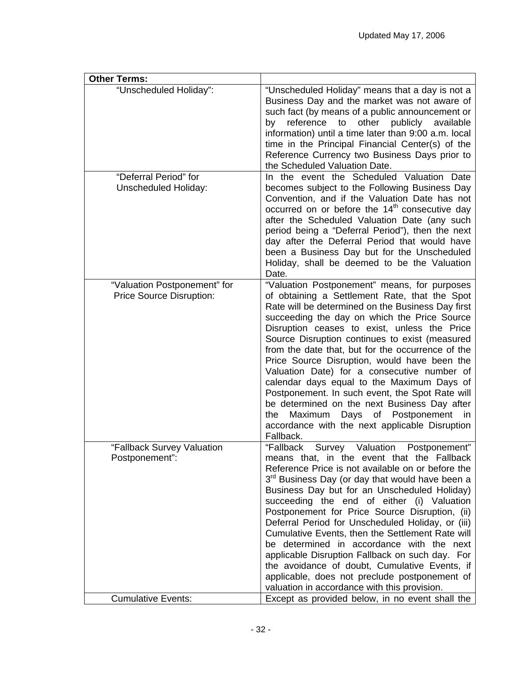| <b>Other Terms:</b>                                             |                                                                                                                                                                                                                                                                                                                                                                                                                                                                                                                                                                                                                                                                                                                          |
|-----------------------------------------------------------------|--------------------------------------------------------------------------------------------------------------------------------------------------------------------------------------------------------------------------------------------------------------------------------------------------------------------------------------------------------------------------------------------------------------------------------------------------------------------------------------------------------------------------------------------------------------------------------------------------------------------------------------------------------------------------------------------------------------------------|
| "Unscheduled Holiday":                                          | "Unscheduled Holiday" means that a day is not a<br>Business Day and the market was not aware of<br>such fact (by means of a public announcement or<br>reference to other<br>publicly available<br>by<br>information) until a time later than 9:00 a.m. local<br>time in the Principal Financial Center(s) of the<br>Reference Currency two Business Days prior to<br>the Scheduled Valuation Date.                                                                                                                                                                                                                                                                                                                       |
| "Deferral Period" for<br>Unscheduled Holiday:                   | In the event the Scheduled Valuation Date<br>becomes subject to the Following Business Day<br>Convention, and if the Valuation Date has not<br>occurred on or before the 14 <sup>th</sup> consecutive day<br>after the Scheduled Valuation Date (any such<br>period being a "Deferral Period"), then the next<br>day after the Deferral Period that would have<br>been a Business Day but for the Unscheduled<br>Holiday, shall be deemed to be the Valuation<br>Date.                                                                                                                                                                                                                                                   |
| "Valuation Postponement" for<br><b>Price Source Disruption:</b> | "Valuation Postponement" means, for purposes<br>of obtaining a Settlement Rate, that the Spot<br>Rate will be determined on the Business Day first<br>succeeding the day on which the Price Source<br>Disruption ceases to exist, unless the Price<br>Source Disruption continues to exist (measured<br>from the date that, but for the occurrence of the<br>Price Source Disruption, would have been the<br>Valuation Date) for a consecutive number of<br>calendar days equal to the Maximum Days of<br>Postponement. In such event, the Spot Rate will<br>be determined on the next Business Day after<br>Days of Postponement<br>the<br>Maximum<br>in<br>accordance with the next applicable Disruption<br>Fallback. |
| "Fallback Survey Valuation<br>Postponement":                    | "Fallback<br>Survey Valuation<br>Postponement"<br>means that, in the event that the Fallback<br>Reference Price is not available on or before the<br>3 <sup>rd</sup> Business Day (or day that would have been a<br>Business Day but for an Unscheduled Holiday)<br>succeeding the end of either (i) Valuation<br>Postponement for Price Source Disruption, (ii)<br>Deferral Period for Unscheduled Holiday, or (iii)<br>Cumulative Events, then the Settlement Rate will<br>be determined in accordance with the next<br>applicable Disruption Fallback on such day. For<br>the avoidance of doubt, Cumulative Events, if<br>applicable, does not preclude postponement of                                              |
| <b>Cumulative Events:</b>                                       | valuation in accordance with this provision.<br>Except as provided below, in no event shall the                                                                                                                                                                                                                                                                                                                                                                                                                                                                                                                                                                                                                          |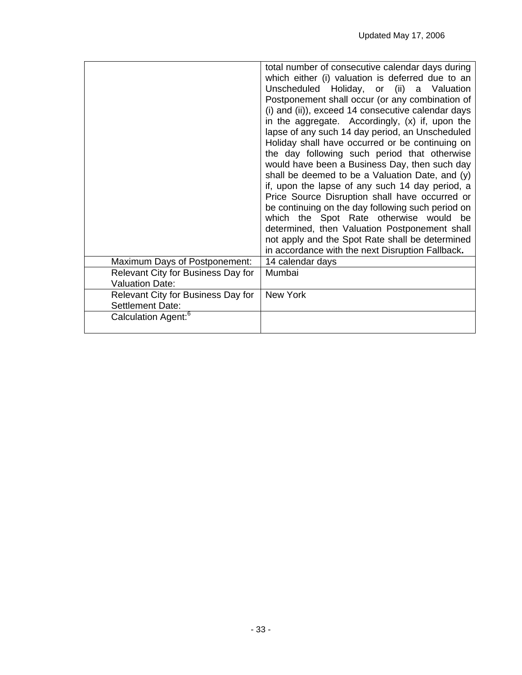|                                    | total number of consecutive calendar days during<br>which either (i) valuation is deferred due to an<br>Unscheduled Holiday, or (ii) a Valuation<br>Postponement shall occur (or any combination of<br>(i) and (ii)), exceed 14 consecutive calendar days<br>in the aggregate. Accordingly, (x) if, upon the<br>lapse of any such 14 day period, an Unscheduled<br>Holiday shall have occurred or be continuing on<br>the day following such period that otherwise<br>would have been a Business Day, then such day<br>shall be deemed to be a Valuation Date, and (y)<br>if, upon the lapse of any such 14 day period, a<br>Price Source Disruption shall have occurred or<br>be continuing on the day following such period on<br>which the Spot Rate otherwise would be<br>determined, then Valuation Postponement shall<br>not apply and the Spot Rate shall be determined<br>in accordance with the next Disruption Fallback. |
|------------------------------------|------------------------------------------------------------------------------------------------------------------------------------------------------------------------------------------------------------------------------------------------------------------------------------------------------------------------------------------------------------------------------------------------------------------------------------------------------------------------------------------------------------------------------------------------------------------------------------------------------------------------------------------------------------------------------------------------------------------------------------------------------------------------------------------------------------------------------------------------------------------------------------------------------------------------------------|
| Maximum Days of Postponement:      | 14 calendar days                                                                                                                                                                                                                                                                                                                                                                                                                                                                                                                                                                                                                                                                                                                                                                                                                                                                                                                   |
| Relevant City for Business Day for | Mumbai                                                                                                                                                                                                                                                                                                                                                                                                                                                                                                                                                                                                                                                                                                                                                                                                                                                                                                                             |
| <b>Valuation Date:</b>             |                                                                                                                                                                                                                                                                                                                                                                                                                                                                                                                                                                                                                                                                                                                                                                                                                                                                                                                                    |
| Relevant City for Business Day for | New York                                                                                                                                                                                                                                                                                                                                                                                                                                                                                                                                                                                                                                                                                                                                                                                                                                                                                                                           |
| Settlement Date:                   |                                                                                                                                                                                                                                                                                                                                                                                                                                                                                                                                                                                                                                                                                                                                                                                                                                                                                                                                    |
| Calculation Agent: <sup>6</sup>    |                                                                                                                                                                                                                                                                                                                                                                                                                                                                                                                                                                                                                                                                                                                                                                                                                                                                                                                                    |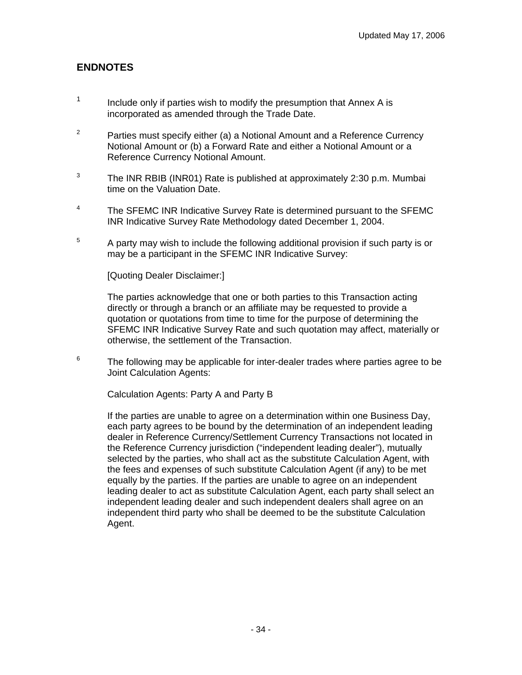# **ENDNOTES**

- $1$  Include only if parties wish to modify the presumption that Annex A is incorporated as amended through the Trade Date.
- <sup>2</sup> Parties must specify either (a) a Notional Amount and a Reference Currency Notional Amount or (b) a Forward Rate and either a Notional Amount or a Reference Currency Notional Amount.
- $3$  The INR RBIB (INR01) Rate is published at approximately 2:30 p.m. Mumbai time on the Valuation Date.
- $4$  The SFEMC INR Indicative Survey Rate is determined pursuant to the SFEMC INR Indicative Survey Rate Methodology dated December 1, 2004.
- 5 A party may wish to include the following additional provision if such party is or may be a participant in the SFEMC INR Indicative Survey:

[Quoting Dealer Disclaimer:]

The parties acknowledge that one or both parties to this Transaction acting directly or through a branch or an affiliate may be requested to provide a quotation or quotations from time to time for the purpose of determining the SFEMC INR Indicative Survey Rate and such quotation may affect, materially or otherwise, the settlement of the Transaction.

6 The following may be applicable for inter-dealer trades where parties agree to be Joint Calculation Agents:

Calculation Agents: Party A and Party B

If the parties are unable to agree on a determination within one Business Day, each party agrees to be bound by the determination of an independent leading dealer in Reference Currency/Settlement Currency Transactions not located in the Reference Currency jurisdiction ("independent leading dealer"), mutually selected by the parties, who shall act as the substitute Calculation Agent, with the fees and expenses of such substitute Calculation Agent (if any) to be met equally by the parties. If the parties are unable to agree on an independent leading dealer to act as substitute Calculation Agent, each party shall select an independent leading dealer and such independent dealers shall agree on an independent third party who shall be deemed to be the substitute Calculation Agent.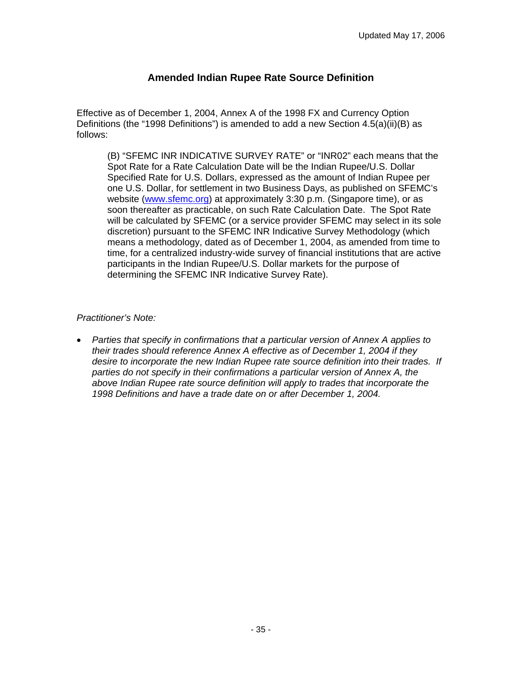# **Amended Indian Rupee Rate Source Definition**

<span id="page-34-0"></span>Effective as of December 1, 2004, Annex A of the 1998 FX and Currency Option Definitions (the "1998 Definitions") is amended to add a new Section 4.5(a)(ii)(B) as follows:

(B) "SFEMC INR INDICATIVE SURVEY RATE" or "INR02" each means that the Spot Rate for a Rate Calculation Date will be the Indian Rupee/U.S. Dollar Specified Rate for U.S. Dollars, expressed as the amount of Indian Rupee per one U.S. Dollar, for settlement in two Business Days, as published on SFEMC's website [\(www.sfemc.org](http://www.sfemc.org/)) at approximately 3:30 p.m. (Singapore time), or as soon thereafter as practicable, on such Rate Calculation Date. The Spot Rate will be calculated by SFEMC (or a service provider SFEMC may select in its sole discretion) pursuant to the SFEMC INR Indicative Survey Methodology (which means a methodology, dated as of December 1, 2004, as amended from time to time, for a centralized industry-wide survey of financial institutions that are active participants in the Indian Rupee/U.S. Dollar markets for the purpose of determining the SFEMC INR Indicative Survey Rate).

#### *Practitioner's Note:*

• *Parties that specify in confirmations that a particular version of Annex A applies to their trades should reference Annex A effective as of December 1, 2004 if they desire to incorporate the new Indian Rupee rate source definition into their trades. If parties do not specify in their confirmations a particular version of Annex A, the above Indian Rupee rate source definition will apply to trades that incorporate the 1998 Definitions and have a trade date on or after December 1, 2004.*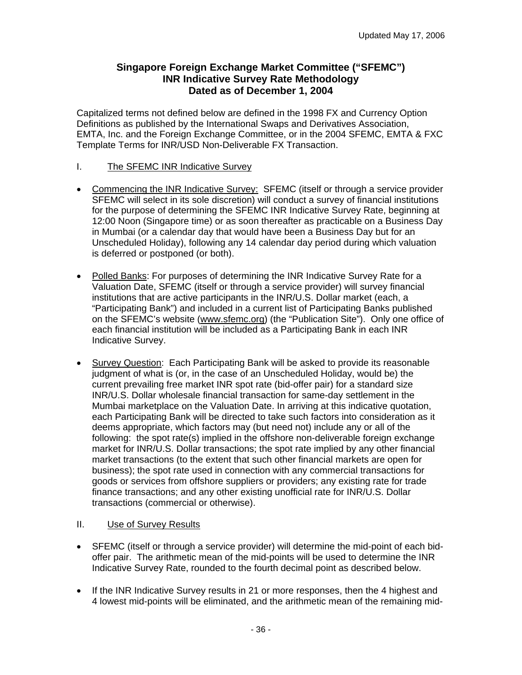## <span id="page-35-0"></span>**Singapore Foreign Exchange Market Committee ("SFEMC") INR Indicative Survey Rate Methodology Dated as of December 1, 2004**

Capitalized terms not defined below are defined in the 1998 FX and Currency Option Definitions as published by the International Swaps and Derivatives Association, EMTA, Inc. and the Foreign Exchange Committee, or in the 2004 SFEMC, EMTA & FXC Template Terms for INR/USD Non-Deliverable FX Transaction.

#### I. The SFEMC INR Indicative Survey

- Commencing the INR Indicative Survey: SFEMC (itself or through a service provider SFEMC will select in its sole discretion) will conduct a survey of financial institutions for the purpose of determining the SFEMC INR Indicative Survey Rate, beginning at 12:00 Noon (Singapore time) or as soon thereafter as practicable on a Business Day in Mumbai (or a calendar day that would have been a Business Day but for an Unscheduled Holiday), following any 14 calendar day period during which valuation is deferred or postponed (or both).
- Polled Banks: For purposes of determining the INR Indicative Survey Rate for a Valuation Date, SFEMC (itself or through a service provider) will survey financial institutions that are active participants in the INR/U.S. Dollar market (each, a "Participating Bank") and included in a current list of Participating Banks published on the SFEMC's website [\(www.sfemc.org](http://www.sfemc.org/)) (the "Publication Site"). Only one office of each financial institution will be included as a Participating Bank in each INR Indicative Survey.
- Survey Question: Each Participating Bank will be asked to provide its reasonable judgment of what is (or, in the case of an Unscheduled Holiday, would be) the current prevailing free market INR spot rate (bid-offer pair) for a standard size INR/U.S. Dollar wholesale financial transaction for same-day settlement in the Mumbai marketplace on the Valuation Date. In arriving at this indicative quotation, each Participating Bank will be directed to take such factors into consideration as it deems appropriate, which factors may (but need not) include any or all of the following: the spot rate(s) implied in the offshore non-deliverable foreign exchange market for INR/U.S. Dollar transactions; the spot rate implied by any other financial market transactions (to the extent that such other financial markets are open for business); the spot rate used in connection with any commercial transactions for goods or services from offshore suppliers or providers; any existing rate for trade finance transactions; and any other existing unofficial rate for INR/U.S. Dollar transactions (commercial or otherwise).

#### II. Use of Survey Results

- SFEMC (itself or through a service provider) will determine the mid-point of each bidoffer pair. The arithmetic mean of the mid-points will be used to determine the INR Indicative Survey Rate, rounded to the fourth decimal point as described below.
- If the INR Indicative Survey results in 21 or more responses, then the 4 highest and 4 lowest mid-points will be eliminated, and the arithmetic mean of the remaining mid-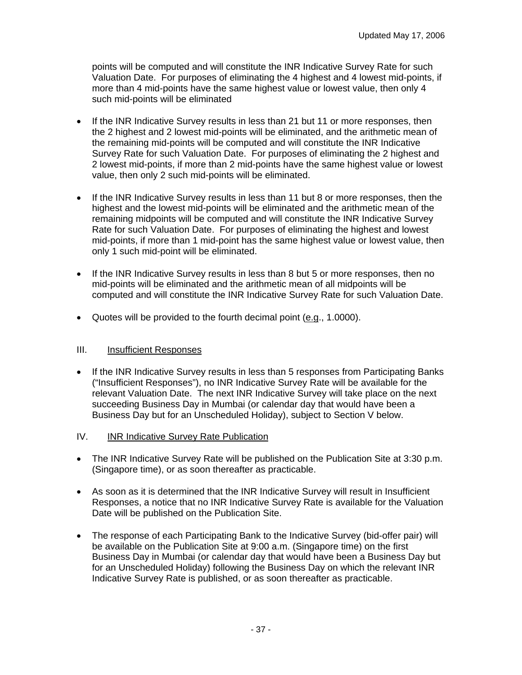points will be computed and will constitute the INR Indicative Survey Rate for such Valuation Date. For purposes of eliminating the 4 highest and 4 lowest mid-points, if more than 4 mid-points have the same highest value or lowest value, then only 4 such mid-points will be eliminated

- If the INR Indicative Survey results in less than 21 but 11 or more responses, then the 2 highest and 2 lowest mid-points will be eliminated, and the arithmetic mean of the remaining mid-points will be computed and will constitute the INR Indicative Survey Rate for such Valuation Date. For purposes of eliminating the 2 highest and 2 lowest mid-points, if more than 2 mid-points have the same highest value or lowest value, then only 2 such mid-points will be eliminated.
- If the INR Indicative Survey results in less than 11 but 8 or more responses, then the highest and the lowest mid-points will be eliminated and the arithmetic mean of the remaining midpoints will be computed and will constitute the INR Indicative Survey Rate for such Valuation Date. For purposes of eliminating the highest and lowest mid-points, if more than 1 mid-point has the same highest value or lowest value, then only 1 such mid-point will be eliminated.
- If the INR Indicative Survey results in less than 8 but 5 or more responses, then no mid-points will be eliminated and the arithmetic mean of all midpoints will be computed and will constitute the INR Indicative Survey Rate for such Valuation Date.
- Quotes will be provided to the fourth decimal point  $(e.g., 1.0000)$ .

#### III. Insufficient Responses

- If the INR Indicative Survey results in less than 5 responses from Participating Banks ("Insufficient Responses"), no INR Indicative Survey Rate will be available for the relevant Valuation Date. The next INR Indicative Survey will take place on the next succeeding Business Day in Mumbai (or calendar day that would have been a Business Day but for an Unscheduled Holiday), subject to Section V below.
- IV. INR Indicative Survey Rate Publication
- The INR Indicative Survey Rate will be published on the Publication Site at 3:30 p.m. (Singapore time), or as soon thereafter as practicable.
- As soon as it is determined that the INR Indicative Survey will result in Insufficient Responses, a notice that no INR Indicative Survey Rate is available for the Valuation Date will be published on the Publication Site.
- The response of each Participating Bank to the Indicative Survey (bid-offer pair) will be available on the Publication Site at 9:00 a.m. (Singapore time) on the first Business Day in Mumbai (or calendar day that would have been a Business Day but for an Unscheduled Holiday) following the Business Day on which the relevant INR Indicative Survey Rate is published, or as soon thereafter as practicable.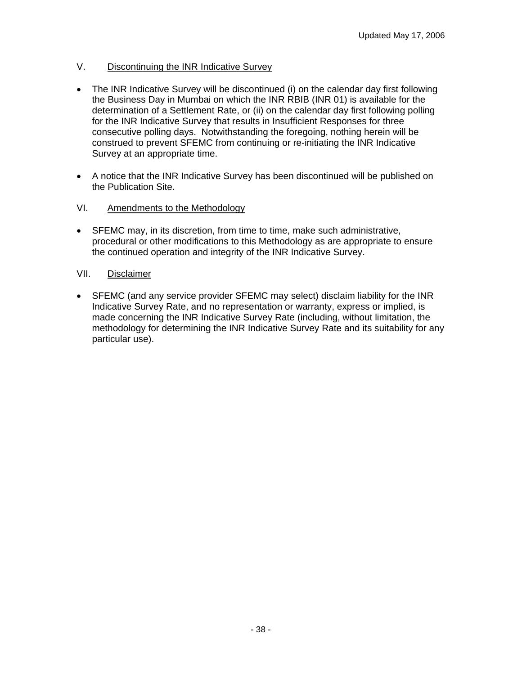### V. Discontinuing the INR Indicative Survey

- The INR Indicative Survey will be discontinued (i) on the calendar day first following the Business Day in Mumbai on which the INR RBIB (INR 01) is available for the determination of a Settlement Rate, or (ii) on the calendar day first following polling for the INR Indicative Survey that results in Insufficient Responses for three consecutive polling days. Notwithstanding the foregoing, nothing herein will be construed to prevent SFEMC from continuing or re-initiating the INR Indicative Survey at an appropriate time.
- A notice that the INR Indicative Survey has been discontinued will be published on the Publication Site.

#### VI. Amendments to the Methodology

• SFEMC may, in its discretion, from time to time, make such administrative, procedural or other modifications to this Methodology as are appropriate to ensure the continued operation and integrity of the INR Indicative Survey.

#### VII. Disclaimer

• SFEMC (and any service provider SFEMC may select) disclaim liability for the INR Indicative Survey Rate, and no representation or warranty, express or implied, is made concerning the INR Indicative Survey Rate (including, without limitation, the methodology for determining the INR Indicative Survey Rate and its suitability for any particular use).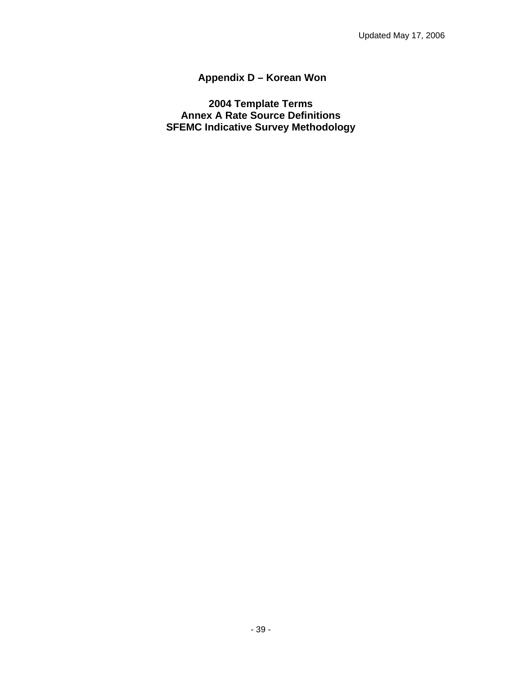# **Appendix D – Korean Won**

<span id="page-38-0"></span>**2004 Template Terms Annex A Rate Source Definitions SFEMC Indicative Survey Methodology**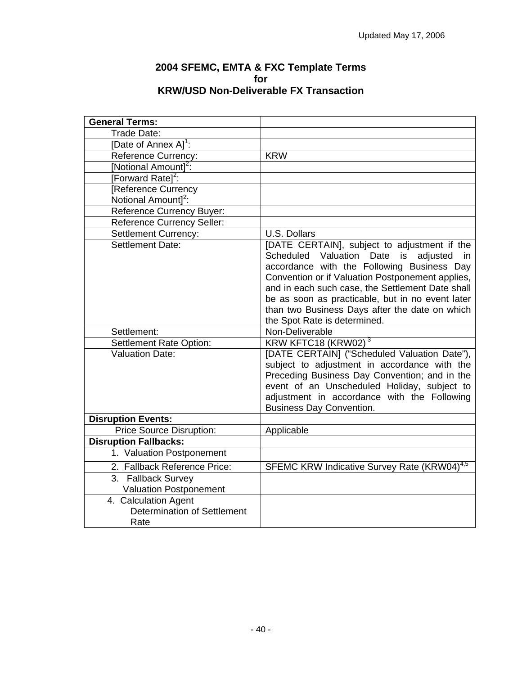#### **2004 SFEMC, EMTA & FXC Template Terms for KRW/USD Non-Deliverable FX Transaction**

<span id="page-39-0"></span>

| <b>General Terms:</b>                                              |                                                                                                                                                                                                                                                                                                                                                                                        |
|--------------------------------------------------------------------|----------------------------------------------------------------------------------------------------------------------------------------------------------------------------------------------------------------------------------------------------------------------------------------------------------------------------------------------------------------------------------------|
| Trade Date:                                                        |                                                                                                                                                                                                                                                                                                                                                                                        |
| [Date of Annex $\overline{Al}$ <sup>1</sup> :                      |                                                                                                                                                                                                                                                                                                                                                                                        |
| <b>Reference Currency:</b>                                         | <b>KRW</b>                                                                                                                                                                                                                                                                                                                                                                             |
| [Notional Amount] <sup>2</sup> :                                   |                                                                                                                                                                                                                                                                                                                                                                                        |
| [Forward Rate] <sup>2</sup> :                                      |                                                                                                                                                                                                                                                                                                                                                                                        |
| Reference Currency                                                 |                                                                                                                                                                                                                                                                                                                                                                                        |
| Notional Amount] <sup>2</sup> :                                    |                                                                                                                                                                                                                                                                                                                                                                                        |
| Reference Currency Buyer:                                          |                                                                                                                                                                                                                                                                                                                                                                                        |
| <b>Reference Currency Seller:</b>                                  |                                                                                                                                                                                                                                                                                                                                                                                        |
| <b>Settlement Currency:</b>                                        | U.S. Dollars                                                                                                                                                                                                                                                                                                                                                                           |
| Settlement Date:                                                   | [DATE CERTAIN], subject to adjustment if the<br>Scheduled Valuation Date is<br>adjusted in<br>accordance with the Following Business Day<br>Convention or if Valuation Postponement applies,<br>and in each such case, the Settlement Date shall<br>be as soon as practicable, but in no event later<br>than two Business Days after the date on which<br>the Spot Rate is determined. |
| Settlement:                                                        | Non-Deliverable                                                                                                                                                                                                                                                                                                                                                                        |
| Settlement Rate Option:                                            | KRW KFTC18 (KRW0 $2)^3$                                                                                                                                                                                                                                                                                                                                                                |
| <b>Valuation Date:</b>                                             | [DATE CERTAIN] ("Scheduled Valuation Date"),<br>subject to adjustment in accordance with the<br>Preceding Business Day Convention; and in the<br>event of an Unscheduled Holiday, subject to<br>adjustment in accordance with the Following<br><b>Business Day Convention.</b>                                                                                                         |
| <b>Disruption Events:</b>                                          |                                                                                                                                                                                                                                                                                                                                                                                        |
| Price Source Disruption:                                           | Applicable                                                                                                                                                                                                                                                                                                                                                                             |
| <b>Disruption Fallbacks:</b>                                       |                                                                                                                                                                                                                                                                                                                                                                                        |
| 1. Valuation Postponement                                          |                                                                                                                                                                                                                                                                                                                                                                                        |
| 2. Fallback Reference Price:                                       | SFEMC KRW Indicative Survey Rate (KRW04) <sup>4,5</sup>                                                                                                                                                                                                                                                                                                                                |
| 3. Fallback Survey<br><b>Valuation Postponement</b>                |                                                                                                                                                                                                                                                                                                                                                                                        |
| 4. Calculation Agent<br><b>Determination of Settlement</b><br>Rate |                                                                                                                                                                                                                                                                                                                                                                                        |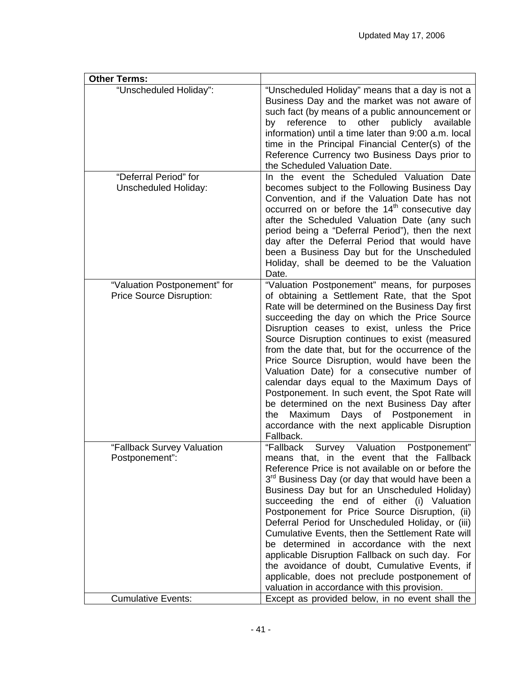| <b>Other Terms:</b>                                             |                                                                                                                                                                                                                                                                                                                                                                                                                                                                                                                                                                                                                                                                                                                             |
|-----------------------------------------------------------------|-----------------------------------------------------------------------------------------------------------------------------------------------------------------------------------------------------------------------------------------------------------------------------------------------------------------------------------------------------------------------------------------------------------------------------------------------------------------------------------------------------------------------------------------------------------------------------------------------------------------------------------------------------------------------------------------------------------------------------|
| "Unscheduled Holiday":                                          | "Unscheduled Holiday" means that a day is not a<br>Business Day and the market was not aware of<br>such fact (by means of a public announcement or<br>by<br>reference<br>to<br>other<br>publicly<br>available<br>information) until a time later than 9:00 a.m. local<br>time in the Principal Financial Center(s) of the<br>Reference Currency two Business Days prior to<br>the Scheduled Valuation Date.                                                                                                                                                                                                                                                                                                                 |
| "Deferral Period" for<br><b>Unscheduled Holiday:</b>            | In the event the Scheduled Valuation Date<br>becomes subject to the Following Business Day<br>Convention, and if the Valuation Date has not<br>occurred on or before the 14 <sup>th</sup> consecutive day<br>after the Scheduled Valuation Date (any such<br>period being a "Deferral Period"), then the next<br>day after the Deferral Period that would have<br>been a Business Day but for the Unscheduled<br>Holiday, shall be deemed to be the Valuation<br>Date.                                                                                                                                                                                                                                                      |
| "Valuation Postponement" for<br><b>Price Source Disruption:</b> | "Valuation Postponement" means, for purposes<br>of obtaining a Settlement Rate, that the Spot<br>Rate will be determined on the Business Day first<br>succeeding the day on which the Price Source<br>Disruption ceases to exist, unless the Price<br>Source Disruption continues to exist (measured<br>from the date that, but for the occurrence of the<br>Price Source Disruption, would have been the<br>Valuation Date) for a consecutive number of<br>calendar days equal to the Maximum Days of<br>Postponement. In such event, the Spot Rate will<br>be determined on the next Business Day after<br>Maximum<br>Days of Postponement<br>the<br>in in<br>accordance with the next applicable Disruption<br>Fallback. |
| "Fallback Survey Valuation<br>Postponement":                    | "Fallback<br>Survey Valuation Postponement"<br>means that, in the event that the Fallback<br>Reference Price is not available on or before the<br>3 <sup>rd</sup> Business Day (or day that would have been a<br>Business Day but for an Unscheduled Holiday)<br>succeeding the end of either (i) Valuation<br>Postponement for Price Source Disruption, (ii)<br>Deferral Period for Unscheduled Holiday, or (iii)<br>Cumulative Events, then the Settlement Rate will<br>be determined in accordance with the next<br>applicable Disruption Fallback on such day. For<br>the avoidance of doubt, Cumulative Events, if<br>applicable, does not preclude postponement of                                                    |
| <b>Cumulative Events:</b>                                       | valuation in accordance with this provision.<br>Except as provided below, in no event shall the                                                                                                                                                                                                                                                                                                                                                                                                                                                                                                                                                                                                                             |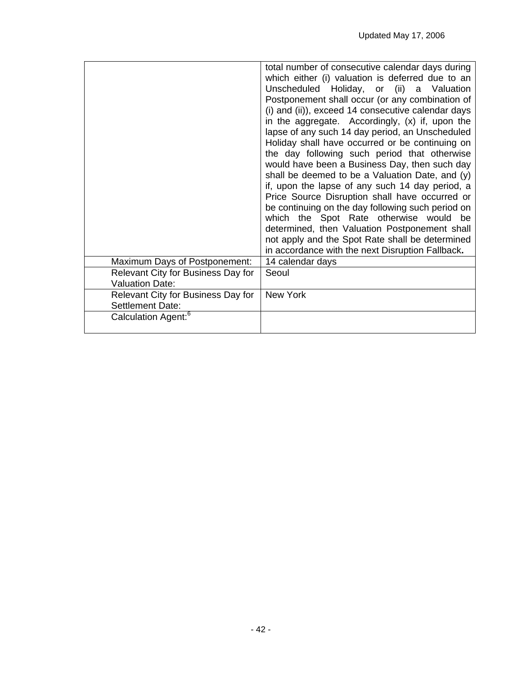|                                    | total number of consecutive calendar days during<br>which either (i) valuation is deferred due to an<br>Unscheduled Holiday, or (ii) a Valuation<br>Postponement shall occur (or any combination of<br>(i) and (ii)), exceed 14 consecutive calendar days<br>in the aggregate. Accordingly, (x) if, upon the<br>lapse of any such 14 day period, an Unscheduled<br>Holiday shall have occurred or be continuing on<br>the day following such period that otherwise<br>would have been a Business Day, then such day<br>shall be deemed to be a Valuation Date, and (y)<br>if, upon the lapse of any such 14 day period, a<br>Price Source Disruption shall have occurred or<br>be continuing on the day following such period on<br>which the Spot Rate otherwise would be<br>determined, then Valuation Postponement shall<br>not apply and the Spot Rate shall be determined<br>in accordance with the next Disruption Fallback. |
|------------------------------------|------------------------------------------------------------------------------------------------------------------------------------------------------------------------------------------------------------------------------------------------------------------------------------------------------------------------------------------------------------------------------------------------------------------------------------------------------------------------------------------------------------------------------------------------------------------------------------------------------------------------------------------------------------------------------------------------------------------------------------------------------------------------------------------------------------------------------------------------------------------------------------------------------------------------------------|
| Maximum Days of Postponement:      | 14 calendar days                                                                                                                                                                                                                                                                                                                                                                                                                                                                                                                                                                                                                                                                                                                                                                                                                                                                                                                   |
| Relevant City for Business Day for | Seoul                                                                                                                                                                                                                                                                                                                                                                                                                                                                                                                                                                                                                                                                                                                                                                                                                                                                                                                              |
| <b>Valuation Date:</b>             |                                                                                                                                                                                                                                                                                                                                                                                                                                                                                                                                                                                                                                                                                                                                                                                                                                                                                                                                    |
| Relevant City for Business Day for | <b>New York</b>                                                                                                                                                                                                                                                                                                                                                                                                                                                                                                                                                                                                                                                                                                                                                                                                                                                                                                                    |
| <b>Settlement Date:</b>            |                                                                                                                                                                                                                                                                                                                                                                                                                                                                                                                                                                                                                                                                                                                                                                                                                                                                                                                                    |
| Calculation Agent: <sup>6</sup>    |                                                                                                                                                                                                                                                                                                                                                                                                                                                                                                                                                                                                                                                                                                                                                                                                                                                                                                                                    |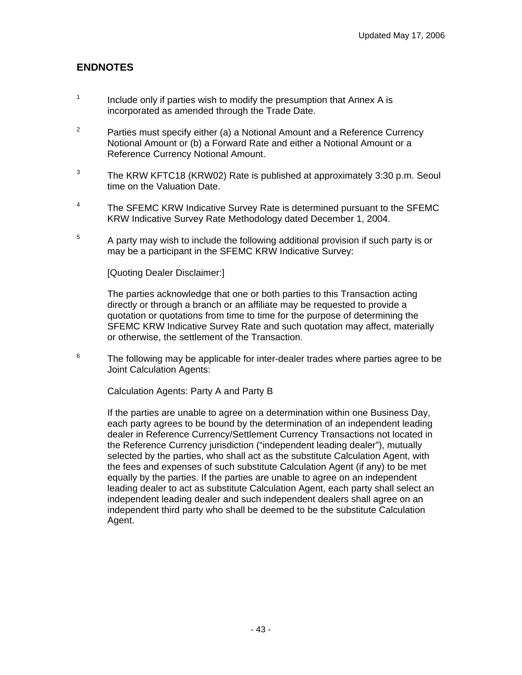# **ENDNOTES**

- 1 Include only if parties wish to modify the presumption that Annex A is incorporated as amended through the Trade Date.
- <sup>2</sup> Parties must specify either (a) a Notional Amount and a Reference Currency Notional Amount or (b) a Forward Rate and either a Notional Amount or a Reference Currency Notional Amount.
- $3$  The KRW KFTC18 (KRW02) Rate is published at approximately 3:30 p.m. Seoul time on the Valuation Date.
- $4$  The SFEMC KRW Indicative Survey Rate is determined pursuant to the SFEMC KRW Indicative Survey Rate Methodology dated December 1, 2004.
- $5 A$  party may wish to include the following additional provision if such party is or may be a participant in the SFEMC KRW Indicative Survey:

[Quoting Dealer Disclaimer:]

The parties acknowledge that one or both parties to this Transaction acting directly or through a branch or an affiliate may be requested to provide a quotation or quotations from time to time for the purpose of determining the SFEMC KRW Indicative Survey Rate and such quotation may affect, materially or otherwise, the settlement of the Transaction.

 $6$  The following may be applicable for inter-dealer trades where parties agree to be Joint Calculation Agents:

Calculation Agents: Party A and Party B

If the parties are unable to agree on a determination within one Business Day, each party agrees to be bound by the determination of an independent leading dealer in Reference Currency/Settlement Currency Transactions not located in the Reference Currency jurisdiction ("independent leading dealer"), mutually selected by the parties, who shall act as the substitute Calculation Agent, with the fees and expenses of such substitute Calculation Agent (if any) to be met equally by the parties. If the parties are unable to agree on an independent leading dealer to act as substitute Calculation Agent, each party shall select an independent leading dealer and such independent dealers shall agree on an independent third party who shall be deemed to be the substitute Calculation Agent.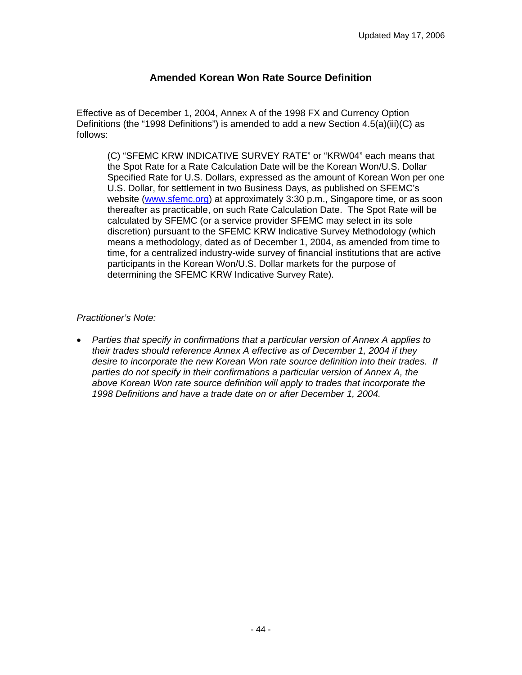# **Amended Korean Won Rate Source Definition**

<span id="page-43-0"></span>Effective as of December 1, 2004, Annex A of the 1998 FX and Currency Option Definitions (the "1998 Definitions") is amended to add a new Section  $4.5(a)(iii)(C)$  as follows:

(C) "SFEMC KRW INDICATIVE SURVEY RATE" or "KRW04" each means that the Spot Rate for a Rate Calculation Date will be the Korean Won/U.S. Dollar Specified Rate for U.S. Dollars, expressed as the amount of Korean Won per one U.S. Dollar, for settlement in two Business Days, as published on SFEMC's website [\(www.sfemc.org](http://www.sfemc.org/)) at approximately 3:30 p.m., Singapore time, or as soon thereafter as practicable, on such Rate Calculation Date. The Spot Rate will be calculated by SFEMC (or a service provider SFEMC may select in its sole discretion) pursuant to the SFEMC KRW Indicative Survey Methodology (which means a methodology, dated as of December 1, 2004, as amended from time to time, for a centralized industry-wide survey of financial institutions that are active participants in the Korean Won/U.S. Dollar markets for the purpose of determining the SFEMC KRW Indicative Survey Rate).

#### *Practitioner's Note:*

• *Parties that specify in confirmations that a particular version of Annex A applies to their trades should reference Annex A effective as of December 1, 2004 if they desire to incorporate the new Korean Won rate source definition into their trades. If parties do not specify in their confirmations a particular version of Annex A, the above Korean Won rate source definition will apply to trades that incorporate the 1998 Definitions and have a trade date on or after December 1, 2004.*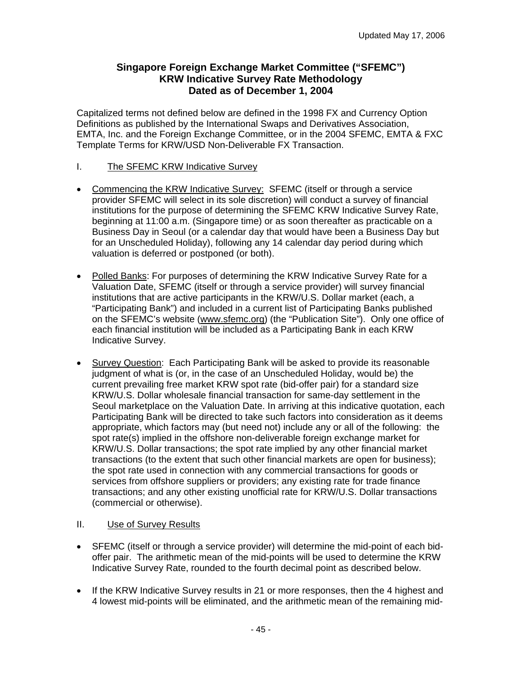## <span id="page-44-0"></span>**Singapore Foreign Exchange Market Committee ("SFEMC") KRW Indicative Survey Rate Methodology Dated as of December 1, 2004**

Capitalized terms not defined below are defined in the 1998 FX and Currency Option Definitions as published by the International Swaps and Derivatives Association, EMTA, Inc. and the Foreign Exchange Committee, or in the 2004 SFEMC, EMTA & FXC Template Terms for KRW/USD Non-Deliverable FX Transaction.

#### I. The SFEMC KRW Indicative Survey

- Commencing the KRW Indicative Survey: SFEMC (itself or through a service provider SFEMC will select in its sole discretion) will conduct a survey of financial institutions for the purpose of determining the SFEMC KRW Indicative Survey Rate, beginning at 11:00 a.m. (Singapore time) or as soon thereafter as practicable on a Business Day in Seoul (or a calendar day that would have been a Business Day but for an Unscheduled Holiday), following any 14 calendar day period during which valuation is deferred or postponed (or both).
- Polled Banks: For purposes of determining the KRW Indicative Survey Rate for a Valuation Date, SFEMC (itself or through a service provider) will survey financial institutions that are active participants in the KRW/U.S. Dollar market (each, a "Participating Bank") and included in a current list of Participating Banks published on the SFEMC's website [\(www.sfemc.org](http://www.sfemc.org/)) (the "Publication Site"). Only one office of each financial institution will be included as a Participating Bank in each KRW Indicative Survey.
- Survey Question: Each Participating Bank will be asked to provide its reasonable judgment of what is (or, in the case of an Unscheduled Holiday, would be) the current prevailing free market KRW spot rate (bid-offer pair) for a standard size KRW/U.S. Dollar wholesale financial transaction for same-day settlement in the Seoul marketplace on the Valuation Date. In arriving at this indicative quotation, each Participating Bank will be directed to take such factors into consideration as it deems appropriate, which factors may (but need not) include any or all of the following: the spot rate(s) implied in the offshore non-deliverable foreign exchange market for KRW/U.S. Dollar transactions; the spot rate implied by any other financial market transactions (to the extent that such other financial markets are open for business); the spot rate used in connection with any commercial transactions for goods or services from offshore suppliers or providers; any existing rate for trade finance transactions; and any other existing unofficial rate for KRW/U.S. Dollar transactions (commercial or otherwise).

#### II. Use of Survey Results

- SFEMC (itself or through a service provider) will determine the mid-point of each bidoffer pair. The arithmetic mean of the mid-points will be used to determine the KRW Indicative Survey Rate, rounded to the fourth decimal point as described below.
- If the KRW Indicative Survey results in 21 or more responses, then the 4 highest and 4 lowest mid-points will be eliminated, and the arithmetic mean of the remaining mid-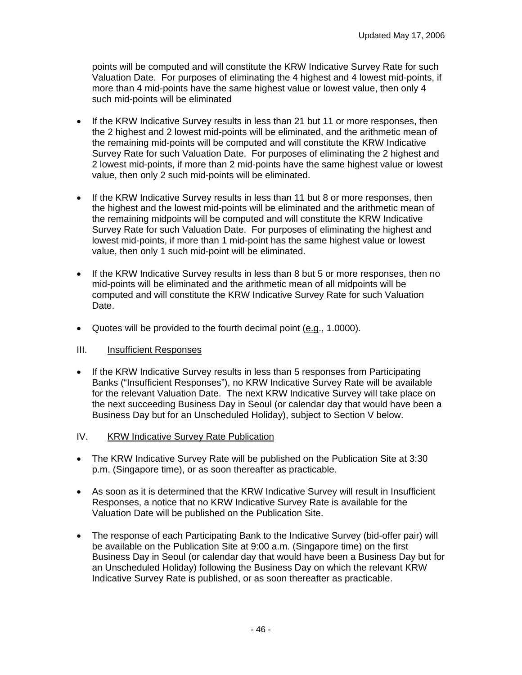points will be computed and will constitute the KRW Indicative Survey Rate for such Valuation Date. For purposes of eliminating the 4 highest and 4 lowest mid-points, if more than 4 mid-points have the same highest value or lowest value, then only 4 such mid-points will be eliminated

- If the KRW Indicative Survey results in less than 21 but 11 or more responses, then the 2 highest and 2 lowest mid-points will be eliminated, and the arithmetic mean of the remaining mid-points will be computed and will constitute the KRW Indicative Survey Rate for such Valuation Date. For purposes of eliminating the 2 highest and 2 lowest mid-points, if more than 2 mid-points have the same highest value or lowest value, then only 2 such mid-points will be eliminated.
- If the KRW Indicative Survey results in less than 11 but 8 or more responses, then the highest and the lowest mid-points will be eliminated and the arithmetic mean of the remaining midpoints will be computed and will constitute the KRW Indicative Survey Rate for such Valuation Date. For purposes of eliminating the highest and lowest mid-points, if more than 1 mid-point has the same highest value or lowest value, then only 1 such mid-point will be eliminated.
- If the KRW Indicative Survey results in less than 8 but 5 or more responses, then no mid-points will be eliminated and the arithmetic mean of all midpoints will be computed and will constitute the KRW Indicative Survey Rate for such Valuation Date.
- Quotes will be provided to the fourth decimal point (e.g., 1.0000).

#### III. Insufficient Responses

- If the KRW Indicative Survey results in less than 5 responses from Participating Banks ("Insufficient Responses"), no KRW Indicative Survey Rate will be available for the relevant Valuation Date. The next KRW Indicative Survey will take place on the next succeeding Business Day in Seoul (or calendar day that would have been a Business Day but for an Unscheduled Holiday), subject to Section V below.
- IV. KRW Indicative Survey Rate Publication
- The KRW Indicative Survey Rate will be published on the Publication Site at 3:30 p.m. (Singapore time), or as soon thereafter as practicable.
- As soon as it is determined that the KRW Indicative Survey will result in Insufficient Responses, a notice that no KRW Indicative Survey Rate is available for the Valuation Date will be published on the Publication Site.
- The response of each Participating Bank to the Indicative Survey (bid-offer pair) will be available on the Publication Site at 9:00 a.m. (Singapore time) on the first Business Day in Seoul (or calendar day that would have been a Business Day but for an Unscheduled Holiday) following the Business Day on which the relevant KRW Indicative Survey Rate is published, or as soon thereafter as practicable.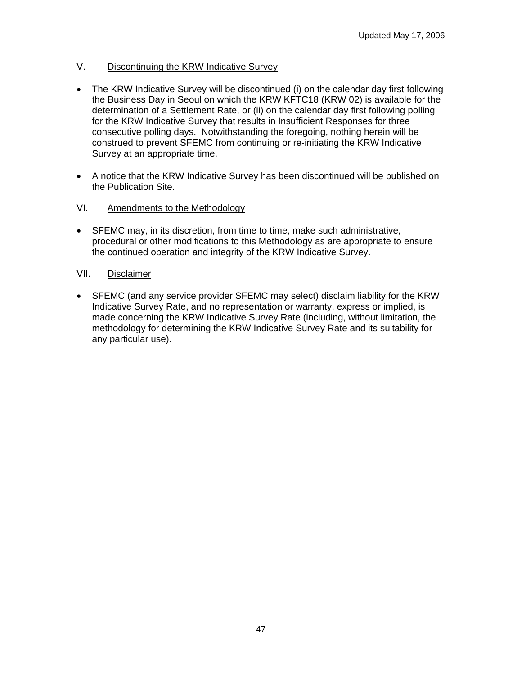### V. Discontinuing the KRW Indicative Survey

- The KRW Indicative Survey will be discontinued (i) on the calendar day first following the Business Day in Seoul on which the KRW KFTC18 (KRW 02) is available for the determination of a Settlement Rate, or (ii) on the calendar day first following polling for the KRW Indicative Survey that results in Insufficient Responses for three consecutive polling days. Notwithstanding the foregoing, nothing herein will be construed to prevent SFEMC from continuing or re-initiating the KRW Indicative Survey at an appropriate time.
- A notice that the KRW Indicative Survey has been discontinued will be published on the Publication Site.

#### VI. Amendments to the Methodology

• SFEMC may, in its discretion, from time to time, make such administrative, procedural or other modifications to this Methodology as are appropriate to ensure the continued operation and integrity of the KRW Indicative Survey.

#### VII. Disclaimer

• SFEMC (and any service provider SFEMC may select) disclaim liability for the KRW Indicative Survey Rate, and no representation or warranty, express or implied, is made concerning the KRW Indicative Survey Rate (including, without limitation, the methodology for determining the KRW Indicative Survey Rate and its suitability for any particular use).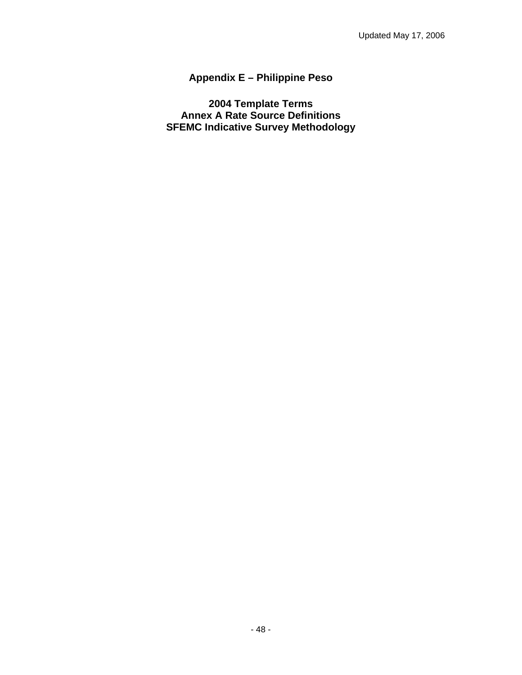# **Appendix E – Philippine Peso**

<span id="page-47-0"></span>**2004 Template Terms Annex A Rate Source Definitions SFEMC Indicative Survey Methodology**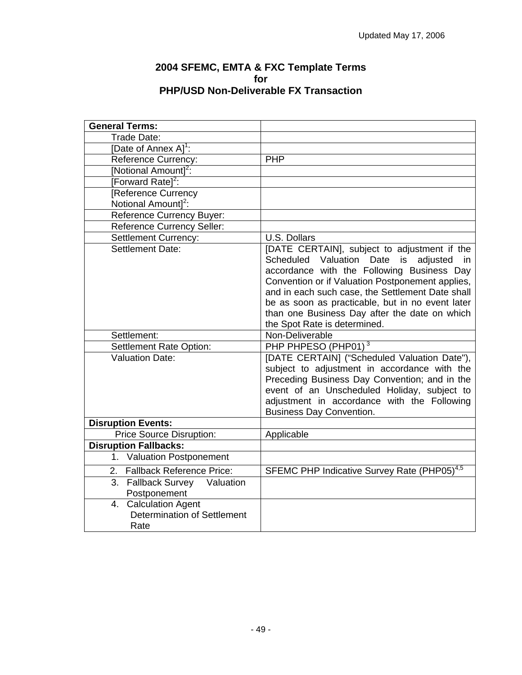#### **2004 SFEMC, EMTA & FXC Template Terms for PHP/USD Non-Deliverable FX Transaction**

<span id="page-48-0"></span>

| <b>General Terms:</b>                                       |                                                                                                                                                                                                                                                                                                                                                                                                                                             |
|-------------------------------------------------------------|---------------------------------------------------------------------------------------------------------------------------------------------------------------------------------------------------------------------------------------------------------------------------------------------------------------------------------------------------------------------------------------------------------------------------------------------|
| Trade Date:                                                 |                                                                                                                                                                                                                                                                                                                                                                                                                                             |
| [Date of Annex A] <sup>1</sup> :                            |                                                                                                                                                                                                                                                                                                                                                                                                                                             |
| <b>Reference Currency:</b>                                  | <b>PHP</b>                                                                                                                                                                                                                                                                                                                                                                                                                                  |
| [Notional Amount] <sup>2</sup> :                            |                                                                                                                                                                                                                                                                                                                                                                                                                                             |
| [Forward Rate] <sup>2</sup> :                               |                                                                                                                                                                                                                                                                                                                                                                                                                                             |
| [Reference Currency                                         |                                                                                                                                                                                                                                                                                                                                                                                                                                             |
| Notional Amount] <sup>2</sup> :                             |                                                                                                                                                                                                                                                                                                                                                                                                                                             |
| Reference Currency Buyer:                                   |                                                                                                                                                                                                                                                                                                                                                                                                                                             |
| <b>Reference Currency Seller:</b>                           |                                                                                                                                                                                                                                                                                                                                                                                                                                             |
| <b>Settlement Currency:</b>                                 | U.S. Dollars                                                                                                                                                                                                                                                                                                                                                                                                                                |
| Settlement Date:<br>Settlement:<br>Settlement Rate Option:  | [DATE CERTAIN], subject to adjustment if the<br>Scheduled Valuation Date is<br>adjusted in<br>accordance with the Following Business Day<br>Convention or if Valuation Postponement applies,<br>and in each such case, the Settlement Date shall<br>be as soon as practicable, but in no event later<br>than one Business Day after the date on which<br>the Spot Rate is determined.<br>Non-Deliverable<br>PHP PHPESO (PHP01) <sup>3</sup> |
| <b>Valuation Date:</b>                                      | [DATE CERTAIN] ("Scheduled Valuation Date"),                                                                                                                                                                                                                                                                                                                                                                                                |
|                                                             | subject to adjustment in accordance with the<br>Preceding Business Day Convention; and in the<br>event of an Unscheduled Holiday, subject to<br>adjustment in accordance with the Following<br><b>Business Day Convention.</b>                                                                                                                                                                                                              |
| <b>Disruption Events:</b>                                   |                                                                                                                                                                                                                                                                                                                                                                                                                                             |
| <b>Price Source Disruption:</b>                             | Applicable                                                                                                                                                                                                                                                                                                                                                                                                                                  |
| <b>Disruption Fallbacks:</b>                                |                                                                                                                                                                                                                                                                                                                                                                                                                                             |
| 1. Valuation Postponement                                   |                                                                                                                                                                                                                                                                                                                                                                                                                                             |
| <b>Fallback Reference Price:</b><br>2.                      | SFEMC PHP Indicative Survey Rate (PHP05) <sup>4,5</sup>                                                                                                                                                                                                                                                                                                                                                                                     |
| Valuation<br>3. Fallback Survey<br>Postponement             |                                                                                                                                                                                                                                                                                                                                                                                                                                             |
| 4. Calculation Agent<br>Determination of Settlement<br>Rate |                                                                                                                                                                                                                                                                                                                                                                                                                                             |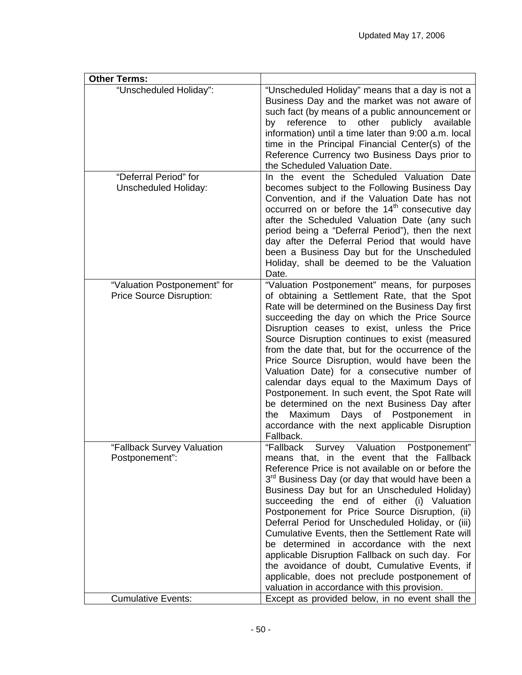| <b>Other Terms:</b>                                             |                                                                                                                                                                                                                                                                                                                                                                                                                                                                                                                                                                                                                                                                                                                          |
|-----------------------------------------------------------------|--------------------------------------------------------------------------------------------------------------------------------------------------------------------------------------------------------------------------------------------------------------------------------------------------------------------------------------------------------------------------------------------------------------------------------------------------------------------------------------------------------------------------------------------------------------------------------------------------------------------------------------------------------------------------------------------------------------------------|
| "Unscheduled Holiday":                                          | "Unscheduled Holiday" means that a day is not a<br>Business Day and the market was not aware of<br>such fact (by means of a public announcement or<br>publicly<br>by<br>reference<br>to<br>other<br>available<br>information) until a time later than 9:00 a.m. local<br>time in the Principal Financial Center(s) of the<br>Reference Currency two Business Days prior to<br>the Scheduled Valuation Date.                                                                                                                                                                                                                                                                                                              |
| "Deferral Period" for<br>Unscheduled Holiday:                   | In the event the Scheduled Valuation Date<br>becomes subject to the Following Business Day<br>Convention, and if the Valuation Date has not<br>occurred on or before the 14 <sup>th</sup> consecutive day<br>after the Scheduled Valuation Date (any such<br>period being a "Deferral Period"), then the next<br>day after the Deferral Period that would have<br>been a Business Day but for the Unscheduled<br>Holiday, shall be deemed to be the Valuation<br>Date.                                                                                                                                                                                                                                                   |
| "Valuation Postponement" for<br><b>Price Source Disruption:</b> | "Valuation Postponement" means, for purposes<br>of obtaining a Settlement Rate, that the Spot<br>Rate will be determined on the Business Day first<br>succeeding the day on which the Price Source<br>Disruption ceases to exist, unless the Price<br>Source Disruption continues to exist (measured<br>from the date that, but for the occurrence of the<br>Price Source Disruption, would have been the<br>Valuation Date) for a consecutive number of<br>calendar days equal to the Maximum Days of<br>Postponement. In such event, the Spot Rate will<br>be determined on the next Business Day after<br>Maximum Days of Postponement<br>the<br>in in<br>accordance with the next applicable Disruption<br>Fallback. |
| "Fallback Survey Valuation<br>Postponement":                    | "Fallback<br>Survey Valuation Postponement"<br>means that, in the event that the Fallback<br>Reference Price is not available on or before the<br>3 <sup>rd</sup> Business Day (or day that would have been a<br>Business Day but for an Unscheduled Holiday)<br>succeeding the end of either (i) Valuation<br>Postponement for Price Source Disruption, (ii)<br>Deferral Period for Unscheduled Holiday, or (iii)<br>Cumulative Events, then the Settlement Rate will<br>be determined in accordance with the next<br>applicable Disruption Fallback on such day. For<br>the avoidance of doubt, Cumulative Events, if<br>applicable, does not preclude postponement of                                                 |
| <b>Cumulative Events:</b>                                       | valuation in accordance with this provision.<br>Except as provided below, in no event shall the                                                                                                                                                                                                                                                                                                                                                                                                                                                                                                                                                                                                                          |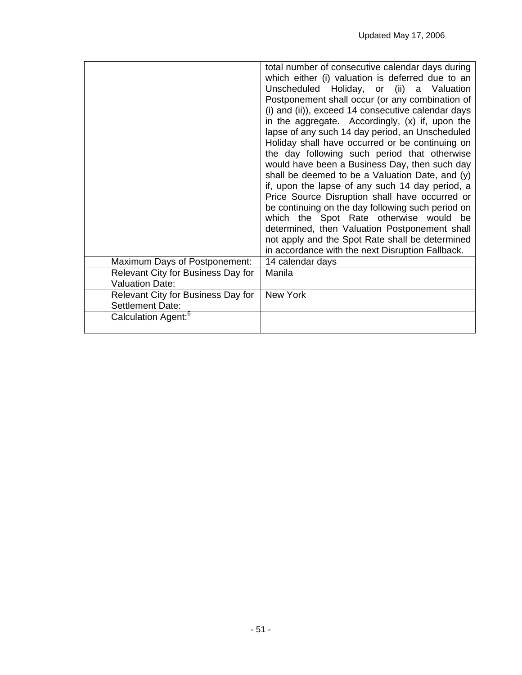|                                    | total number of consecutive calendar days during<br>which either (i) valuation is deferred due to an<br>Unscheduled Holiday, or (ii) a Valuation<br>Postponement shall occur (or any combination of<br>(i) and (ii)), exceed 14 consecutive calendar days<br>in the aggregate. Accordingly, (x) if, upon the<br>lapse of any such 14 day period, an Unscheduled<br>Holiday shall have occurred or be continuing on<br>the day following such period that otherwise<br>would have been a Business Day, then such day<br>shall be deemed to be a Valuation Date, and (y)<br>if, upon the lapse of any such 14 day period, a<br>Price Source Disruption shall have occurred or<br>be continuing on the day following such period on<br>which the Spot Rate otherwise would be<br>determined, then Valuation Postponement shall<br>not apply and the Spot Rate shall be determined<br>in accordance with the next Disruption Fallback. |
|------------------------------------|------------------------------------------------------------------------------------------------------------------------------------------------------------------------------------------------------------------------------------------------------------------------------------------------------------------------------------------------------------------------------------------------------------------------------------------------------------------------------------------------------------------------------------------------------------------------------------------------------------------------------------------------------------------------------------------------------------------------------------------------------------------------------------------------------------------------------------------------------------------------------------------------------------------------------------|
| Maximum Days of Postponement:      | 14 calendar days                                                                                                                                                                                                                                                                                                                                                                                                                                                                                                                                                                                                                                                                                                                                                                                                                                                                                                                   |
| Relevant City for Business Day for | Manila                                                                                                                                                                                                                                                                                                                                                                                                                                                                                                                                                                                                                                                                                                                                                                                                                                                                                                                             |
| <b>Valuation Date:</b>             |                                                                                                                                                                                                                                                                                                                                                                                                                                                                                                                                                                                                                                                                                                                                                                                                                                                                                                                                    |
| Relevant City for Business Day for | New York                                                                                                                                                                                                                                                                                                                                                                                                                                                                                                                                                                                                                                                                                                                                                                                                                                                                                                                           |
| Settlement Date:                   |                                                                                                                                                                                                                                                                                                                                                                                                                                                                                                                                                                                                                                                                                                                                                                                                                                                                                                                                    |
| Calculation Agent: <sup>6</sup>    |                                                                                                                                                                                                                                                                                                                                                                                                                                                                                                                                                                                                                                                                                                                                                                                                                                                                                                                                    |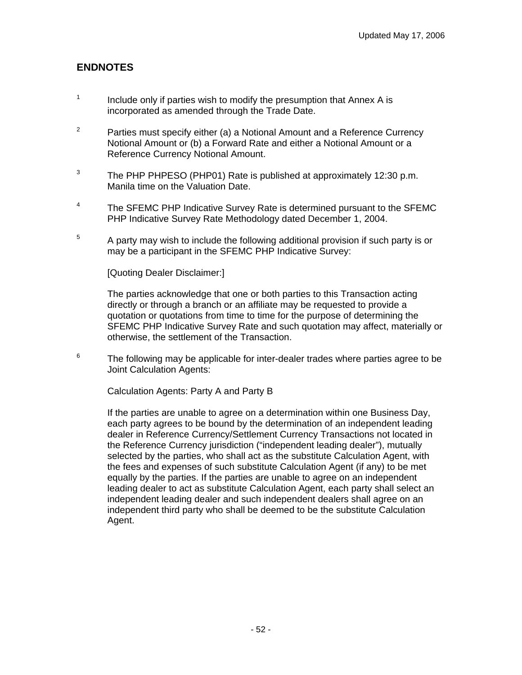# **ENDNOTES**

- 1 Include only if parties wish to modify the presumption that Annex A is incorporated as amended through the Trade Date.
- <sup>2</sup> Parties must specify either (a) a Notional Amount and a Reference Currency Notional Amount or (b) a Forward Rate and either a Notional Amount or a Reference Currency Notional Amount.
- $3$  The PHP PHPESO (PHP01) Rate is published at approximately 12:30 p.m. Manila time on the Valuation Date.
- $4 7$  The SFEMC PHP Indicative Survey Rate is determined pursuant to the SFEMC PHP Indicative Survey Rate Methodology dated December 1, 2004.
- 5 A party may wish to include the following additional provision if such party is or may be a participant in the SFEMC PHP Indicative Survey:

[Quoting Dealer Disclaimer:]

The parties acknowledge that one or both parties to this Transaction acting directly or through a branch or an affiliate may be requested to provide a quotation or quotations from time to time for the purpose of determining the SFEMC PHP Indicative Survey Rate and such quotation may affect, materially or otherwise, the settlement of the Transaction.

6 The following may be applicable for inter-dealer trades where parties agree to be Joint Calculation Agents:

Calculation Agents: Party A and Party B

If the parties are unable to agree on a determination within one Business Day, each party agrees to be bound by the determination of an independent leading dealer in Reference Currency/Settlement Currency Transactions not located in the Reference Currency jurisdiction ("independent leading dealer"), mutually selected by the parties, who shall act as the substitute Calculation Agent, with the fees and expenses of such substitute Calculation Agent (if any) to be met equally by the parties. If the parties are unable to agree on an independent leading dealer to act as substitute Calculation Agent, each party shall select an independent leading dealer and such independent dealers shall agree on an independent third party who shall be deemed to be the substitute Calculation Agent.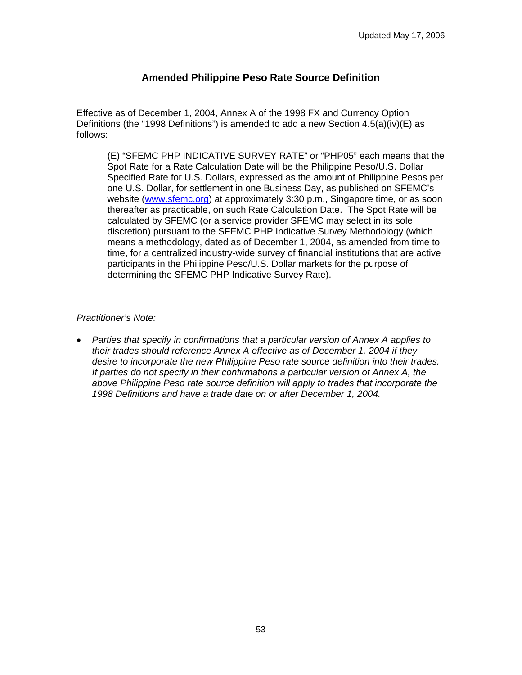# **Amended Philippine Peso Rate Source Definition**

<span id="page-52-0"></span>Effective as of December 1, 2004, Annex A of the 1998 FX and Currency Option Definitions (the "1998 Definitions") is amended to add a new Section  $4.5(a)(iv)(E)$  as follows:

(E) "SFEMC PHP INDICATIVE SURVEY RATE" or "PHP05" each means that the Spot Rate for a Rate Calculation Date will be the Philippine Peso/U.S. Dollar Specified Rate for U.S. Dollars, expressed as the amount of Philippine Pesos per one U.S. Dollar, for settlement in one Business Day, as published on SFEMC's website [\(www.sfemc.org](http://www.sfemc.org/)) at approximately 3:30 p.m., Singapore time, or as soon thereafter as practicable, on such Rate Calculation Date. The Spot Rate will be calculated by SFEMC (or a service provider SFEMC may select in its sole discretion) pursuant to the SFEMC PHP Indicative Survey Methodology (which means a methodology, dated as of December 1, 2004, as amended from time to time, for a centralized industry-wide survey of financial institutions that are active participants in the Philippine Peso/U.S. Dollar markets for the purpose of determining the SFEMC PHP Indicative Survey Rate).

#### *Practitioner's Note:*

• *Parties that specify in confirmations that a particular version of Annex A applies to their trades should reference Annex A effective as of December 1, 2004 if they desire to incorporate the new Philippine Peso rate source definition into their trades. If parties do not specify in their confirmations a particular version of Annex A, the above Philippine Peso rate source definition will apply to trades that incorporate the 1998 Definitions and have a trade date on or after December 1, 2004.*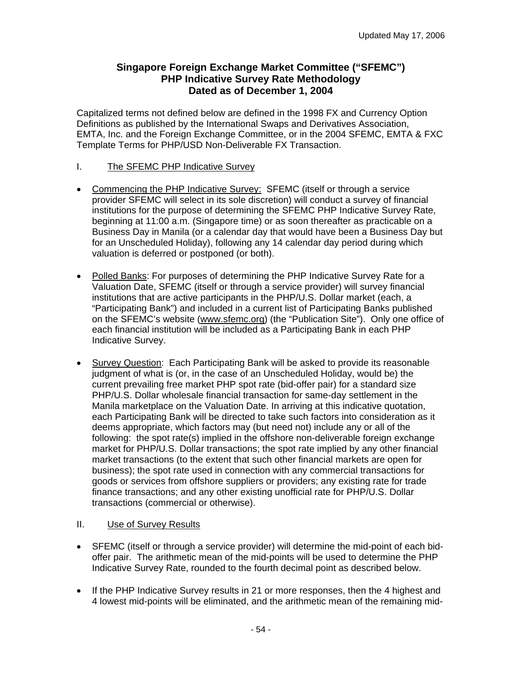## <span id="page-53-0"></span>**Singapore Foreign Exchange Market Committee ("SFEMC") PHP Indicative Survey Rate Methodology Dated as of December 1, 2004**

Capitalized terms not defined below are defined in the 1998 FX and Currency Option Definitions as published by the International Swaps and Derivatives Association, EMTA, Inc. and the Foreign Exchange Committee, or in the 2004 SFEMC, EMTA & FXC Template Terms for PHP/USD Non-Deliverable FX Transaction.

#### I. The SFEMC PHP Indicative Survey

- Commencing the PHP Indicative Survey: SFEMC (itself or through a service provider SFEMC will select in its sole discretion) will conduct a survey of financial institutions for the purpose of determining the SFEMC PHP Indicative Survey Rate, beginning at 11:00 a.m. (Singapore time) or as soon thereafter as practicable on a Business Day in Manila (or a calendar day that would have been a Business Day but for an Unscheduled Holiday), following any 14 calendar day period during which valuation is deferred or postponed (or both).
- Polled Banks: For purposes of determining the PHP Indicative Survey Rate for a Valuation Date, SFEMC (itself or through a service provider) will survey financial institutions that are active participants in the PHP/U.S. Dollar market (each, a "Participating Bank") and included in a current list of Participating Banks published on the SFEMC's website [\(www.sfemc.org](http://www.sfemc.org/)) (the "Publication Site"). Only one office of each financial institution will be included as a Participating Bank in each PHP Indicative Survey.
- Survey Question: Each Participating Bank will be asked to provide its reasonable judgment of what is (or, in the case of an Unscheduled Holiday, would be) the current prevailing free market PHP spot rate (bid-offer pair) for a standard size PHP/U.S. Dollar wholesale financial transaction for same-day settlement in the Manila marketplace on the Valuation Date. In arriving at this indicative quotation, each Participating Bank will be directed to take such factors into consideration as it deems appropriate, which factors may (but need not) include any or all of the following: the spot rate(s) implied in the offshore non-deliverable foreign exchange market for PHP/U.S. Dollar transactions; the spot rate implied by any other financial market transactions (to the extent that such other financial markets are open for business); the spot rate used in connection with any commercial transactions for goods or services from offshore suppliers or providers; any existing rate for trade finance transactions; and any other existing unofficial rate for PHP/U.S. Dollar transactions (commercial or otherwise).

#### II. Use of Survey Results

- SFEMC (itself or through a service provider) will determine the mid-point of each bidoffer pair. The arithmetic mean of the mid-points will be used to determine the PHP Indicative Survey Rate, rounded to the fourth decimal point as described below.
- If the PHP Indicative Survey results in 21 or more responses, then the 4 highest and 4 lowest mid-points will be eliminated, and the arithmetic mean of the remaining mid-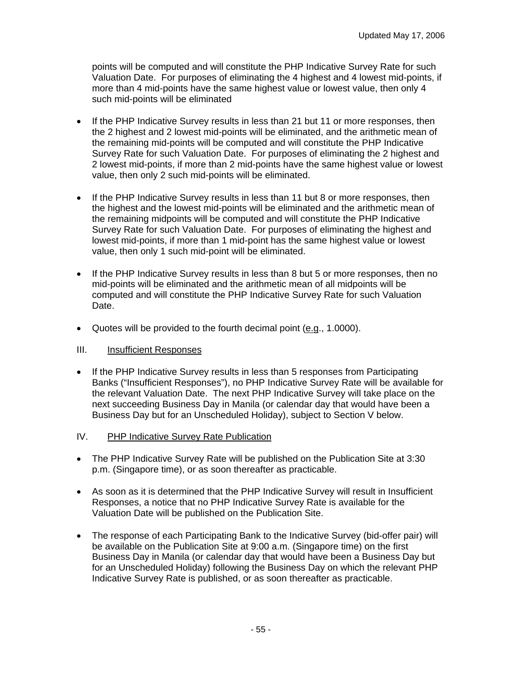points will be computed and will constitute the PHP Indicative Survey Rate for such Valuation Date. For purposes of eliminating the 4 highest and 4 lowest mid-points, if more than 4 mid-points have the same highest value or lowest value, then only 4 such mid-points will be eliminated

- If the PHP Indicative Survey results in less than 21 but 11 or more responses, then the 2 highest and 2 lowest mid-points will be eliminated, and the arithmetic mean of the remaining mid-points will be computed and will constitute the PHP Indicative Survey Rate for such Valuation Date. For purposes of eliminating the 2 highest and 2 lowest mid-points, if more than 2 mid-points have the same highest value or lowest value, then only 2 such mid-points will be eliminated.
- If the PHP Indicative Survey results in less than 11 but 8 or more responses, then the highest and the lowest mid-points will be eliminated and the arithmetic mean of the remaining midpoints will be computed and will constitute the PHP Indicative Survey Rate for such Valuation Date. For purposes of eliminating the highest and lowest mid-points, if more than 1 mid-point has the same highest value or lowest value, then only 1 such mid-point will be eliminated.
- If the PHP Indicative Survey results in less than 8 but 5 or more responses, then no mid-points will be eliminated and the arithmetic mean of all midpoints will be computed and will constitute the PHP Indicative Survey Rate for such Valuation Date.
- Quotes will be provided to the fourth decimal point (e.g., 1.0000).

#### III. Insufficient Responses

- If the PHP Indicative Survey results in less than 5 responses from Participating Banks ("Insufficient Responses"), no PHP Indicative Survey Rate will be available for the relevant Valuation Date. The next PHP Indicative Survey will take place on the next succeeding Business Day in Manila (or calendar day that would have been a Business Day but for an Unscheduled Holiday), subject to Section V below.
- IV. PHP Indicative Survey Rate Publication
- The PHP Indicative Survey Rate will be published on the Publication Site at 3:30 p.m. (Singapore time), or as soon thereafter as practicable.
- As soon as it is determined that the PHP Indicative Survey will result in Insufficient Responses, a notice that no PHP Indicative Survey Rate is available for the Valuation Date will be published on the Publication Site.
- The response of each Participating Bank to the Indicative Survey (bid-offer pair) will be available on the Publication Site at 9:00 a.m. (Singapore time) on the first Business Day in Manila (or calendar day that would have been a Business Day but for an Unscheduled Holiday) following the Business Day on which the relevant PHP Indicative Survey Rate is published, or as soon thereafter as practicable.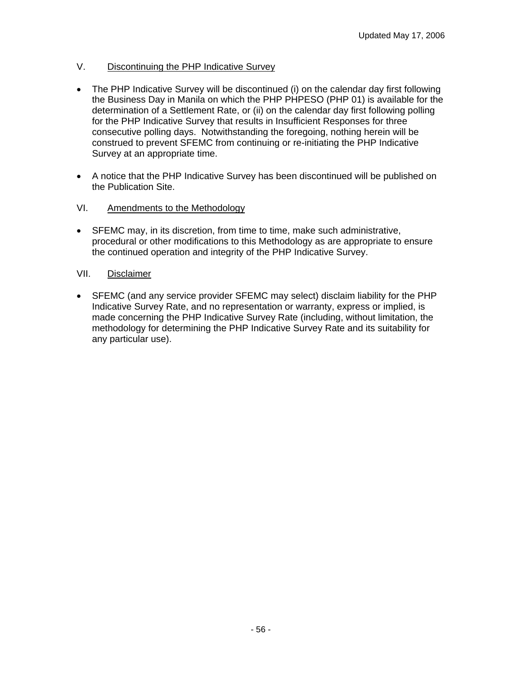### V. Discontinuing the PHP Indicative Survey

- The PHP Indicative Survey will be discontinued (i) on the calendar day first following the Business Day in Manila on which the PHP PHPESO (PHP 01) is available for the determination of a Settlement Rate, or (ii) on the calendar day first following polling for the PHP Indicative Survey that results in Insufficient Responses for three consecutive polling days. Notwithstanding the foregoing, nothing herein will be construed to prevent SFEMC from continuing or re-initiating the PHP Indicative Survey at an appropriate time.
- A notice that the PHP Indicative Survey has been discontinued will be published on the Publication Site.

#### VI. Amendments to the Methodology

• SFEMC may, in its discretion, from time to time, make such administrative, procedural or other modifications to this Methodology as are appropriate to ensure the continued operation and integrity of the PHP Indicative Survey.

#### VII. Disclaimer

• SFEMC (and any service provider SFEMC may select) disclaim liability for the PHP Indicative Survey Rate, and no representation or warranty, express or implied, is made concerning the PHP Indicative Survey Rate (including, without limitation, the methodology for determining the PHP Indicative Survey Rate and its suitability for any particular use).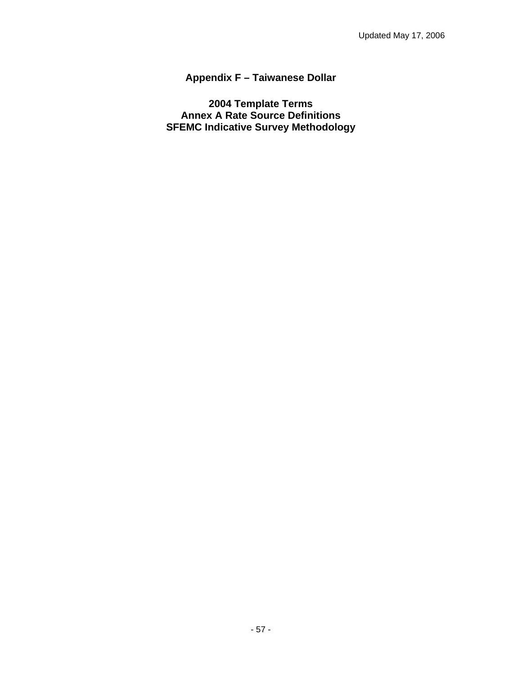# **Appendix F – Taiwanese Dollar**

<span id="page-56-0"></span>**2004 Template Terms Annex A Rate Source Definitions SFEMC Indicative Survey Methodology**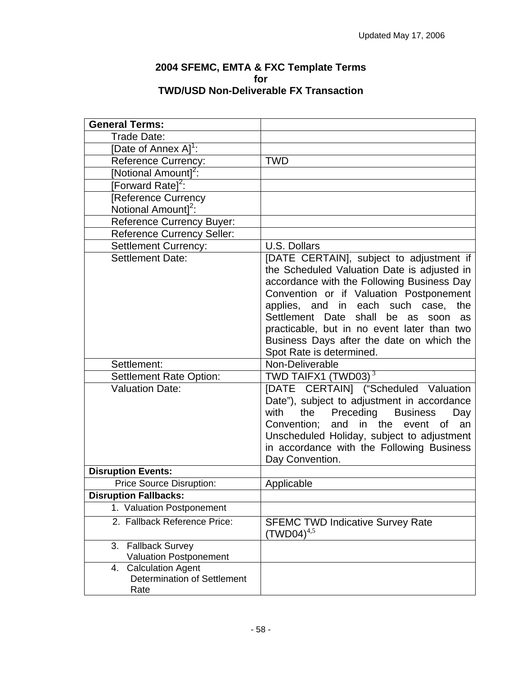#### **2004 SFEMC, EMTA & FXC Template Terms for TWD/USD Non-Deliverable FX Transaction**

<span id="page-57-0"></span>

| <b>General Terms:</b>                                                        |                                                                                                                                                                                                                                                                                                                                                                                                       |
|------------------------------------------------------------------------------|-------------------------------------------------------------------------------------------------------------------------------------------------------------------------------------------------------------------------------------------------------------------------------------------------------------------------------------------------------------------------------------------------------|
| Trade Date:                                                                  |                                                                                                                                                                                                                                                                                                                                                                                                       |
| [Date of Annex A] <sup>1</sup> :                                             |                                                                                                                                                                                                                                                                                                                                                                                                       |
| <b>Reference Currency:</b>                                                   | <b>TWD</b>                                                                                                                                                                                                                                                                                                                                                                                            |
| [Notional Amount] <sup>2</sup> :                                             |                                                                                                                                                                                                                                                                                                                                                                                                       |
| [Forward Rate] <sup>2</sup> :                                                |                                                                                                                                                                                                                                                                                                                                                                                                       |
| [Reference Currency                                                          |                                                                                                                                                                                                                                                                                                                                                                                                       |
| Notional Amount] <sup>2</sup> :                                              |                                                                                                                                                                                                                                                                                                                                                                                                       |
| Reference Currency Buyer:                                                    |                                                                                                                                                                                                                                                                                                                                                                                                       |
| <b>Reference Currency Seller:</b>                                            |                                                                                                                                                                                                                                                                                                                                                                                                       |
| <b>Settlement Currency:</b>                                                  | U.S. Dollars                                                                                                                                                                                                                                                                                                                                                                                          |
| <b>Settlement Date:</b>                                                      | [DATE CERTAIN], subject to adjustment if<br>the Scheduled Valuation Date is adjusted in<br>accordance with the Following Business Day<br>Convention or if Valuation Postponement<br>applies, and in each such case,<br>the<br>Settlement Date<br>shall<br>be as<br>soon<br>as<br>practicable, but in no event later than two<br>Business Days after the date on which the<br>Spot Rate is determined. |
| Settlement:                                                                  | Non-Deliverable                                                                                                                                                                                                                                                                                                                                                                                       |
| <b>Settlement Rate Option:</b>                                               | TWD TAIFX1 (TWD03) <sup>3</sup>                                                                                                                                                                                                                                                                                                                                                                       |
| <b>Valuation Date:</b>                                                       | [DATE CERTAIN] ("Scheduled Valuation<br>Date"), subject to adjustment in accordance<br>with<br>Preceding<br><b>Business</b><br>the<br>Day<br>and<br>in the<br>Convention;<br>event<br><b>of</b><br>an<br>Unscheduled Holiday, subject to adjustment<br>in accordance with the Following Business<br>Day Convention.                                                                                   |
| <b>Disruption Events:</b>                                                    |                                                                                                                                                                                                                                                                                                                                                                                                       |
| Price Source Disruption:                                                     | Applicable                                                                                                                                                                                                                                                                                                                                                                                            |
| <b>Disruption Fallbacks:</b>                                                 |                                                                                                                                                                                                                                                                                                                                                                                                       |
| 1. Valuation Postponement                                                    |                                                                                                                                                                                                                                                                                                                                                                                                       |
| 2. Fallback Reference Price:                                                 | <b>SFEMC TWD Indicative Survey Rate</b><br>(TWD04) $^{4,5}$                                                                                                                                                                                                                                                                                                                                           |
| <b>Fallback Survey</b><br>3.                                                 |                                                                                                                                                                                                                                                                                                                                                                                                       |
| <b>Valuation Postponement</b>                                                |                                                                                                                                                                                                                                                                                                                                                                                                       |
| <b>Calculation Agent</b><br>4.<br><b>Determination of Settlement</b><br>Rate |                                                                                                                                                                                                                                                                                                                                                                                                       |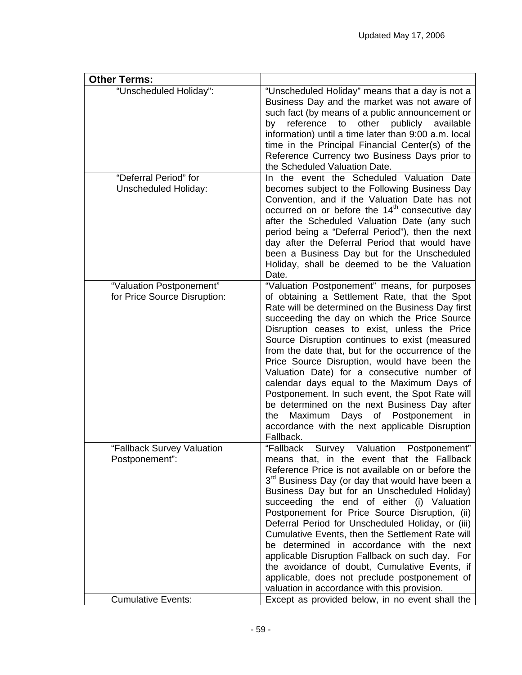| <b>Other Terms:</b>                                      |                                                                                                                                                                                                                                                                                                                                                                                                                                                                                                                                                                                                                                                                                                                          |
|----------------------------------------------------------|--------------------------------------------------------------------------------------------------------------------------------------------------------------------------------------------------------------------------------------------------------------------------------------------------------------------------------------------------------------------------------------------------------------------------------------------------------------------------------------------------------------------------------------------------------------------------------------------------------------------------------------------------------------------------------------------------------------------------|
| "Unscheduled Holiday":                                   | "Unscheduled Holiday" means that a day is not a<br>Business Day and the market was not aware of<br>such fact (by means of a public announcement or<br>reference to other publicly<br>by<br>available<br>information) until a time later than 9:00 a.m. local<br>time in the Principal Financial Center(s) of the<br>Reference Currency two Business Days prior to<br>the Scheduled Valuation Date.                                                                                                                                                                                                                                                                                                                       |
| "Deferral Period" for<br><b>Unscheduled Holiday:</b>     | In the event the Scheduled Valuation Date<br>becomes subject to the Following Business Day<br>Convention, and if the Valuation Date has not<br>occurred on or before the 14 <sup>th</sup> consecutive day<br>after the Scheduled Valuation Date (any such<br>period being a "Deferral Period"), then the next<br>day after the Deferral Period that would have<br>been a Business Day but for the Unscheduled<br>Holiday, shall be deemed to be the Valuation<br>Date.                                                                                                                                                                                                                                                   |
| "Valuation Postponement"<br>for Price Source Disruption: | "Valuation Postponement" means, for purposes<br>of obtaining a Settlement Rate, that the Spot<br>Rate will be determined on the Business Day first<br>succeeding the day on which the Price Source<br>Disruption ceases to exist, unless the Price<br>Source Disruption continues to exist (measured<br>from the date that, but for the occurrence of the<br>Price Source Disruption, would have been the<br>Valuation Date) for a consecutive number of<br>calendar days equal to the Maximum Days of<br>Postponement. In such event, the Spot Rate will<br>be determined on the next Business Day after<br>Days of Postponement<br>the<br>Maximum<br>in<br>accordance with the next applicable Disruption<br>Fallback. |
| "Fallback Survey Valuation<br>Postponement":             | Survey Valuation<br>"Fallback<br>Postponement"<br>means that, in the event that the Fallback<br>Reference Price is not available on or before the<br>3 <sup>rd</sup> Business Day (or day that would have been a<br>Business Day but for an Unscheduled Holiday)<br>succeeding the end of either (i) Valuation<br>Postponement for Price Source Disruption, (ii)<br>Deferral Period for Unscheduled Holiday, or (iii)<br>Cumulative Events, then the Settlement Rate will<br>be determined in accordance with the next<br>applicable Disruption Fallback on such day. For<br>the avoidance of doubt, Cumulative Events, if<br>applicable, does not preclude postponement of                                              |
| <b>Cumulative Events:</b>                                | valuation in accordance with this provision.<br>Except as provided below, in no event shall the                                                                                                                                                                                                                                                                                                                                                                                                                                                                                                                                                                                                                          |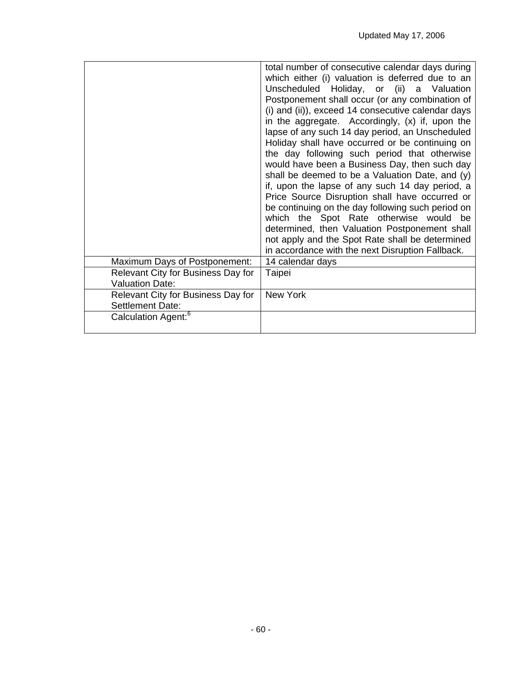|                                    | total number of consecutive calendar days during<br>which either (i) valuation is deferred due to an<br>Unscheduled Holiday, or (ii) a Valuation<br>Postponement shall occur (or any combination of<br>(i) and (ii)), exceed 14 consecutive calendar days<br>in the aggregate. Accordingly, (x) if, upon the<br>lapse of any such 14 day period, an Unscheduled<br>Holiday shall have occurred or be continuing on<br>the day following such period that otherwise<br>would have been a Business Day, then such day<br>shall be deemed to be a Valuation Date, and (y)<br>if, upon the lapse of any such 14 day period, a<br>Price Source Disruption shall have occurred or<br>be continuing on the day following such period on<br>which the Spot Rate otherwise would be<br>determined, then Valuation Postponement shall<br>not apply and the Spot Rate shall be determined<br>in accordance with the next Disruption Fallback. |
|------------------------------------|------------------------------------------------------------------------------------------------------------------------------------------------------------------------------------------------------------------------------------------------------------------------------------------------------------------------------------------------------------------------------------------------------------------------------------------------------------------------------------------------------------------------------------------------------------------------------------------------------------------------------------------------------------------------------------------------------------------------------------------------------------------------------------------------------------------------------------------------------------------------------------------------------------------------------------|
| Maximum Days of Postponement:      | 14 calendar days                                                                                                                                                                                                                                                                                                                                                                                                                                                                                                                                                                                                                                                                                                                                                                                                                                                                                                                   |
| Relevant City for Business Day for | Taipei                                                                                                                                                                                                                                                                                                                                                                                                                                                                                                                                                                                                                                                                                                                                                                                                                                                                                                                             |
| <b>Valuation Date:</b>             |                                                                                                                                                                                                                                                                                                                                                                                                                                                                                                                                                                                                                                                                                                                                                                                                                                                                                                                                    |
| Relevant City for Business Day for | New York                                                                                                                                                                                                                                                                                                                                                                                                                                                                                                                                                                                                                                                                                                                                                                                                                                                                                                                           |
| Settlement Date:                   |                                                                                                                                                                                                                                                                                                                                                                                                                                                                                                                                                                                                                                                                                                                                                                                                                                                                                                                                    |
| Calculation Agent: <sup>6</sup>    |                                                                                                                                                                                                                                                                                                                                                                                                                                                                                                                                                                                                                                                                                                                                                                                                                                                                                                                                    |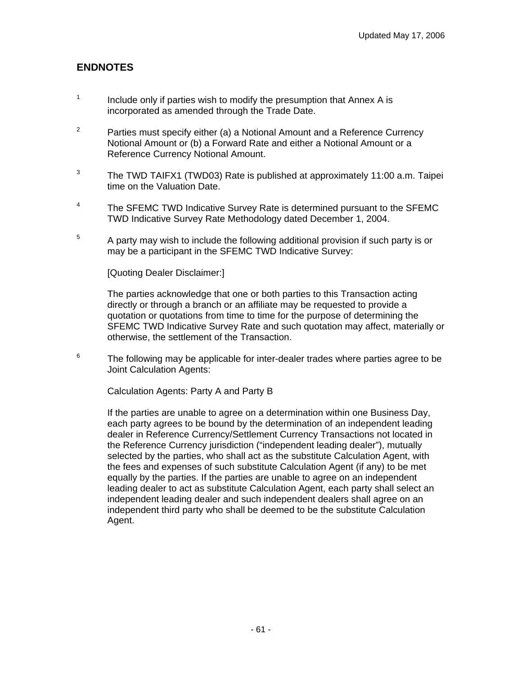# **ENDNOTES**

- 1 Include only if parties wish to modify the presumption that Annex A is incorporated as amended through the Trade Date.
- <sup>2</sup> Parties must specify either (a) a Notional Amount and a Reference Currency Notional Amount or (b) a Forward Rate and either a Notional Amount or a Reference Currency Notional Amount.
- $3$  The TWD TAIFX1 (TWD03) Rate is published at approximately 11:00 a.m. Taipei time on the Valuation Date.
- $4$  The SFEMC TWD Indicative Survey Rate is determined pursuant to the SFEMC TWD Indicative Survey Rate Methodology dated December 1, 2004.
- $5 A$  party may wish to include the following additional provision if such party is or may be a participant in the SFEMC TWD Indicative Survey:

[Quoting Dealer Disclaimer:]

The parties acknowledge that one or both parties to this Transaction acting directly or through a branch or an affiliate may be requested to provide a quotation or quotations from time to time for the purpose of determining the SFEMC TWD Indicative Survey Rate and such quotation may affect, materially or otherwise, the settlement of the Transaction.

 $6$  The following may be applicable for inter-dealer trades where parties agree to be Joint Calculation Agents:

Calculation Agents: Party A and Party B

If the parties are unable to agree on a determination within one Business Day, each party agrees to be bound by the determination of an independent leading dealer in Reference Currency/Settlement Currency Transactions not located in the Reference Currency jurisdiction ("independent leading dealer"), mutually selected by the parties, who shall act as the substitute Calculation Agent, with the fees and expenses of such substitute Calculation Agent (if any) to be met equally by the parties. If the parties are unable to agree on an independent leading dealer to act as substitute Calculation Agent, each party shall select an independent leading dealer and such independent dealers shall agree on an independent third party who shall be deemed to be the substitute Calculation Agent.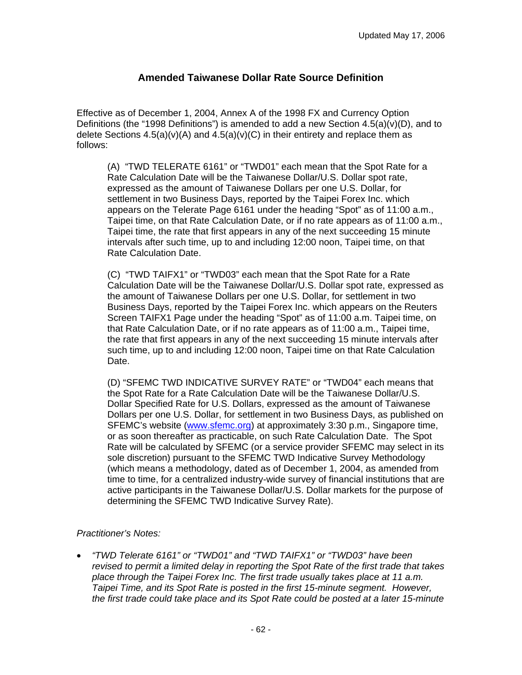# **Amended Taiwanese Dollar Rate Source Definition**

<span id="page-61-0"></span>Effective as of December 1, 2004, Annex A of the 1998 FX and Currency Option Definitions (the "1998 Definitions") is amended to add a new Section  $4.5(a)(v)(D)$ , and to delete Sections  $4.5(a)(v)(A)$  and  $4.5(a)(v)(C)$  in their entirety and replace them as follows:

(A) "TWD TELERATE 6161" or "TWD01" each mean that the Spot Rate for a Rate Calculation Date will be the Taiwanese Dollar/U.S. Dollar spot rate, expressed as the amount of Taiwanese Dollars per one U.S. Dollar, for settlement in two Business Days, reported by the Taipei Forex Inc. which appears on the Telerate Page 6161 under the heading "Spot" as of 11:00 a.m., Taipei time, on that Rate Calculation Date, or if no rate appears as of 11:00 a.m., Taipei time, the rate that first appears in any of the next succeeding 15 minute intervals after such time, up to and including 12:00 noon, Taipei time, on that Rate Calculation Date.

(C) "TWD TAIFX1" or "TWD03" each mean that the Spot Rate for a Rate Calculation Date will be the Taiwanese Dollar/U.S. Dollar spot rate, expressed as the amount of Taiwanese Dollars per one U.S. Dollar, for settlement in two Business Days, reported by the Taipei Forex Inc. which appears on the Reuters Screen TAIFX1 Page under the heading "Spot" as of 11:00 a.m. Taipei time, on that Rate Calculation Date, or if no rate appears as of 11:00 a.m., Taipei time, the rate that first appears in any of the next succeeding 15 minute intervals after such time, up to and including 12:00 noon, Taipei time on that Rate Calculation Date.

(D) "SFEMC TWD INDICATIVE SURVEY RATE" or "TWD04" each means that the Spot Rate for a Rate Calculation Date will be the Taiwanese Dollar/U.S. Dollar Specified Rate for U.S. Dollars, expressed as the amount of Taiwanese Dollars per one U.S. Dollar, for settlement in two Business Days, as published on SFEMC's website [\(www.sfemc.org\)](http://www.sfemc.org/) at approximately 3:30 p.m., Singapore time, or as soon thereafter as practicable, on such Rate Calculation Date. The Spot Rate will be calculated by SFEMC (or a service provider SFEMC may select in its sole discretion) pursuant to the SFEMC TWD Indicative Survey Methodology (which means a methodology, dated as of December 1, 2004, as amended from time to time, for a centralized industry-wide survey of financial institutions that are active participants in the Taiwanese Dollar/U.S. Dollar markets for the purpose of determining the SFEMC TWD Indicative Survey Rate).

#### *Practitioner's Notes:*

• *"TWD Telerate 6161" or "TWD01" and "TWD TAIFX1" or "TWD03" have been revised to permit a limited delay in reporting the Spot Rate of the first trade that takes place through the Taipei Forex Inc. The first trade usually takes place at 11 a.m. Taipei Time, and its Spot Rate is posted in the first 15-minute segment. However, the first trade could take place and its Spot Rate could be posted at a later 15-minute*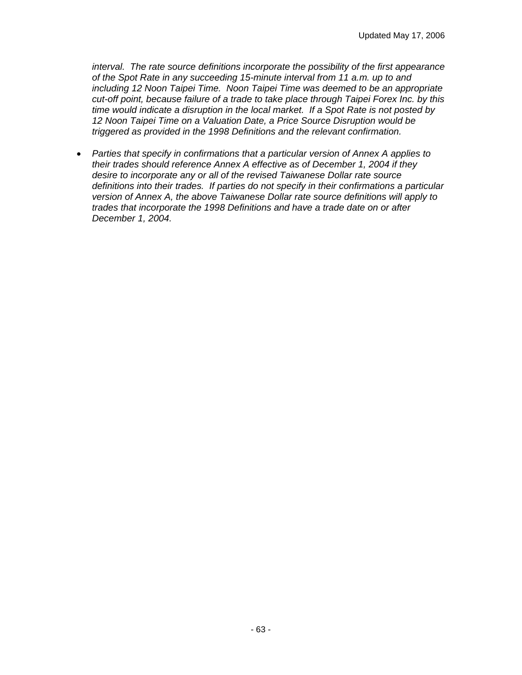*interval. The rate source definitions incorporate the possibility of the first appearance of the Spot Rate in any succeeding 15-minute interval from 11 a.m. up to and including 12 Noon Taipei Time. Noon Taipei Time was deemed to be an appropriate cut-off point, because failure of a trade to take place through Taipei Forex Inc. by this time would indicate a disruption in the local market. If a Spot Rate is not posted by 12 Noon Taipei Time on a Valuation Date, a Price Source Disruption would be triggered as provided in the 1998 Definitions and the relevant confirmation.* 

• *Parties that specify in confirmations that a particular version of Annex A applies to their trades should reference Annex A effective as of December 1, 2004 if they desire to incorporate any or all of the revised Taiwanese Dollar rate source definitions into their trades. If parties do not specify in their confirmations a particular version of Annex A, the above Taiwanese Dollar rate source definitions will apply to trades that incorporate the 1998 Definitions and have a trade date on or after December 1, 2004.*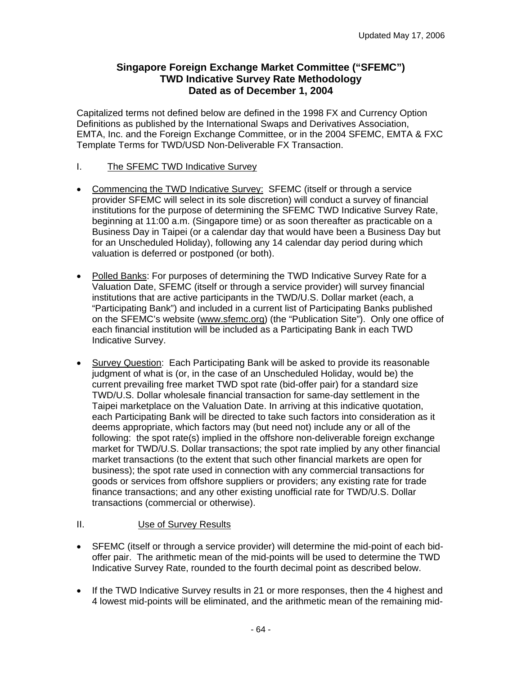## <span id="page-63-0"></span>**Singapore Foreign Exchange Market Committee ("SFEMC") TWD Indicative Survey Rate Methodology Dated as of December 1, 2004**

Capitalized terms not defined below are defined in the 1998 FX and Currency Option Definitions as published by the International Swaps and Derivatives Association, EMTA, Inc. and the Foreign Exchange Committee, or in the 2004 SFEMC, EMTA & FXC Template Terms for TWD/USD Non-Deliverable FX Transaction.

#### I. The SFEMC TWD Indicative Survey

- Commencing the TWD Indicative Survey: SFEMC (itself or through a service provider SFEMC will select in its sole discretion) will conduct a survey of financial institutions for the purpose of determining the SFEMC TWD Indicative Survey Rate, beginning at 11:00 a.m. (Singapore time) or as soon thereafter as practicable on a Business Day in Taipei (or a calendar day that would have been a Business Day but for an Unscheduled Holiday), following any 14 calendar day period during which valuation is deferred or postponed (or both).
- Polled Banks: For purposes of determining the TWD Indicative Survey Rate for a Valuation Date, SFEMC (itself or through a service provider) will survey financial institutions that are active participants in the TWD/U.S. Dollar market (each, a "Participating Bank") and included in a current list of Participating Banks published on the SFEMC's website [\(www.sfemc.org](http://www.sfemc.org/)) (the "Publication Site"). Only one office of each financial institution will be included as a Participating Bank in each TWD Indicative Survey.
- Survey Question: Each Participating Bank will be asked to provide its reasonable judgment of what is (or, in the case of an Unscheduled Holiday, would be) the current prevailing free market TWD spot rate (bid-offer pair) for a standard size TWD/U.S. Dollar wholesale financial transaction for same-day settlement in the Taipei marketplace on the Valuation Date. In arriving at this indicative quotation, each Participating Bank will be directed to take such factors into consideration as it deems appropriate, which factors may (but need not) include any or all of the following: the spot rate(s) implied in the offshore non-deliverable foreign exchange market for TWD/U.S. Dollar transactions; the spot rate implied by any other financial market transactions (to the extent that such other financial markets are open for business); the spot rate used in connection with any commercial transactions for goods or services from offshore suppliers or providers; any existing rate for trade finance transactions; and any other existing unofficial rate for TWD/U.S. Dollar transactions (commercial or otherwise).

#### II. Use of Survey Results

- SFEMC (itself or through a service provider) will determine the mid-point of each bidoffer pair. The arithmetic mean of the mid-points will be used to determine the TWD Indicative Survey Rate, rounded to the fourth decimal point as described below.
- If the TWD Indicative Survey results in 21 or more responses, then the 4 highest and 4 lowest mid-points will be eliminated, and the arithmetic mean of the remaining mid-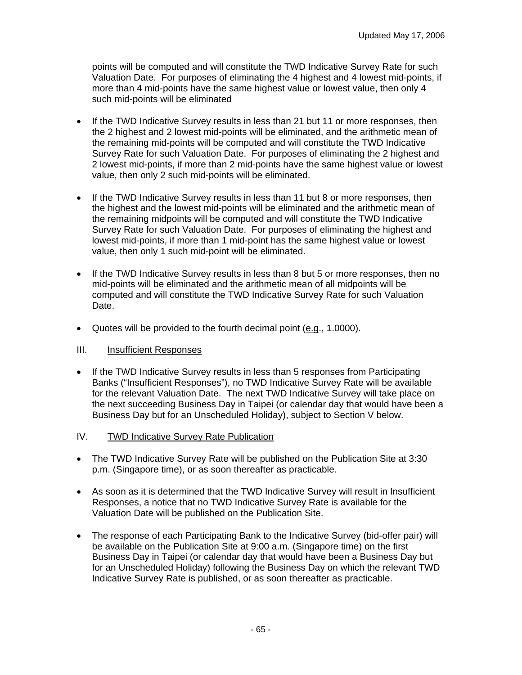points will be computed and will constitute the TWD Indicative Survey Rate for such Valuation Date. For purposes of eliminating the 4 highest and 4 lowest mid-points, if more than 4 mid-points have the same highest value or lowest value, then only 4 such mid-points will be eliminated

- If the TWD Indicative Survey results in less than 21 but 11 or more responses, then the 2 highest and 2 lowest mid-points will be eliminated, and the arithmetic mean of the remaining mid-points will be computed and will constitute the TWD Indicative Survey Rate for such Valuation Date. For purposes of eliminating the 2 highest and 2 lowest mid-points, if more than 2 mid-points have the same highest value or lowest value, then only 2 such mid-points will be eliminated.
- If the TWD Indicative Survey results in less than 11 but 8 or more responses, then the highest and the lowest mid-points will be eliminated and the arithmetic mean of the remaining midpoints will be computed and will constitute the TWD Indicative Survey Rate for such Valuation Date. For purposes of eliminating the highest and lowest mid-points, if more than 1 mid-point has the same highest value or lowest value, then only 1 such mid-point will be eliminated.
- If the TWD Indicative Survey results in less than 8 but 5 or more responses, then no mid-points will be eliminated and the arithmetic mean of all midpoints will be computed and will constitute the TWD Indicative Survey Rate for such Valuation Date.
- Quotes will be provided to the fourth decimal point (e.g., 1.0000).

#### III. Insufficient Responses

- If the TWD Indicative Survey results in less than 5 responses from Participating Banks ("Insufficient Responses"), no TWD Indicative Survey Rate will be available for the relevant Valuation Date. The next TWD Indicative Survey will take place on the next succeeding Business Day in Taipei (or calendar day that would have been a Business Day but for an Unscheduled Holiday), subject to Section V below.
- IV. TWD Indicative Survey Rate Publication
- The TWD Indicative Survey Rate will be published on the Publication Site at 3:30 p.m. (Singapore time), or as soon thereafter as practicable.
- As soon as it is determined that the TWD Indicative Survey will result in Insufficient Responses, a notice that no TWD Indicative Survey Rate is available for the Valuation Date will be published on the Publication Site.
- The response of each Participating Bank to the Indicative Survey (bid-offer pair) will be available on the Publication Site at 9:00 a.m. (Singapore time) on the first Business Day in Taipei (or calendar day that would have been a Business Day but for an Unscheduled Holiday) following the Business Day on which the relevant TWD Indicative Survey Rate is published, or as soon thereafter as practicable.